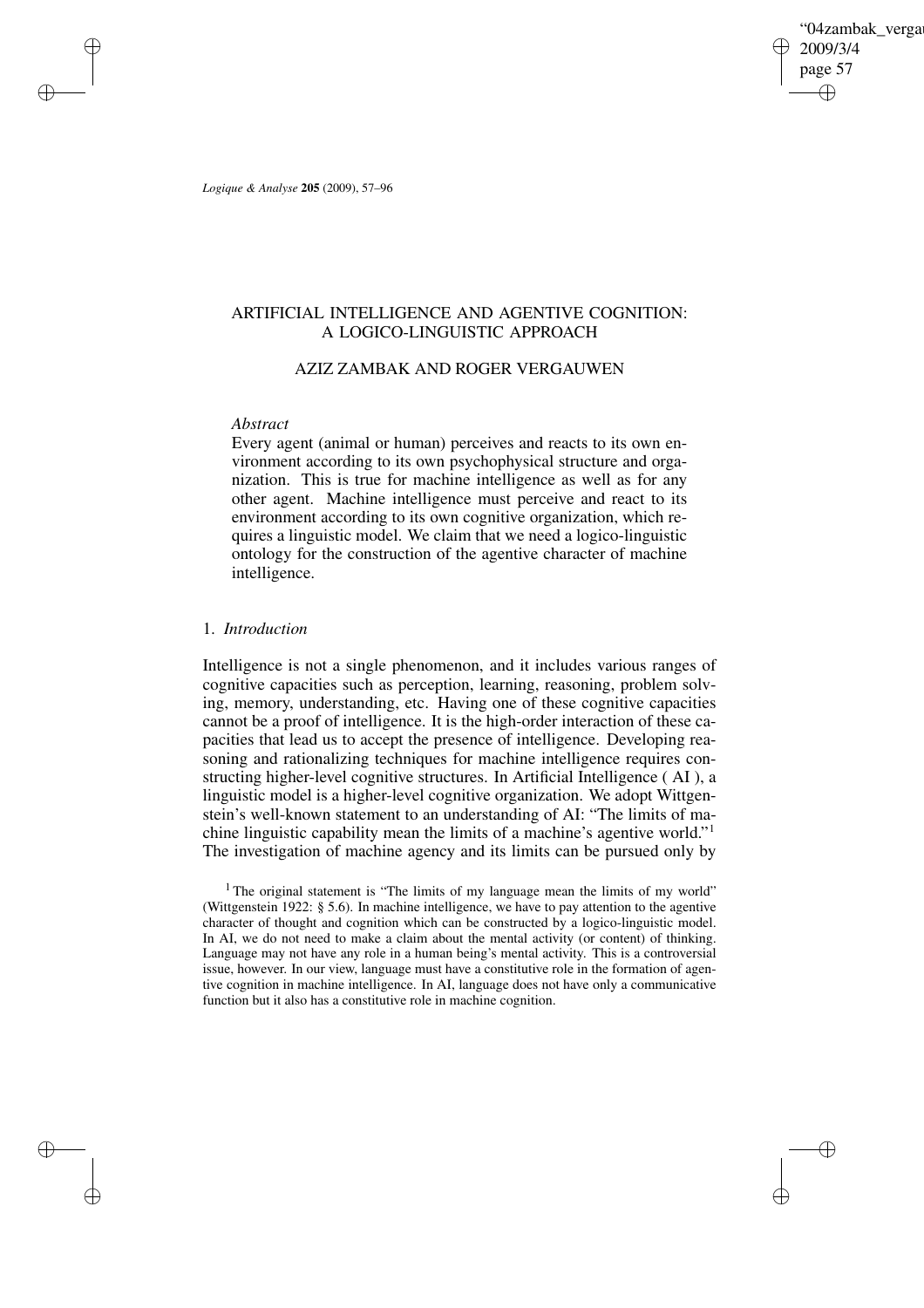'04zambak verga 2009/3/4 page 57 ✐ ✐

✐

✐

*Logique & Analyse* **205** (2009), 57–96

✐

✐

✐

✐

# ARTIFICIAL INTELLIGENCE AND AGENTIVE COGNITION: A LOGICO-LINGUISTIC APPROACH

# AZIZ ZAMBAK AND ROGER VERGAUWEN

# *Abstract*

Every agent (animal or human) perceives and reacts to its own environment according to its own psychophysical structure and organization. This is true for machine intelligence as well as for any other agent. Machine intelligence must perceive and react to its environment according to its own cognitive organization, which requires a linguistic model. We claim that we need a logico-linguistic ontology for the construction of the agentive character of machine intelligence.

# 1. *Introduction*

Intelligence is not a single phenomenon, and it includes various ranges of cognitive capacities such as perception, learning, reasoning, problem solving, memory, understanding, etc. Having one of these cognitive capacities cannot be a proof of intelligence. It is the high-order interaction of these capacities that lead us to accept the presence of intelligence. Developing reasoning and rationalizing techniques for machine intelligence requires constructing higher-level cognitive structures. In Artificial Intelligence ( AI ), a linguistic model is a higher-level cognitive organization. We adopt Wittgenstein's well-known statement to an understanding of AI: "The limits of machine linguistic capability mean the limits of a machine's agentive world." 1 The investigation of machine agency and its limits can be pursued only by

<sup>&</sup>lt;sup>1</sup> The original statement is "The limits of my language mean the limits of my world" (Wittgenstein 1922: § 5.6). In machine intelligence, we have to pay attention to the agentive character of thought and cognition which can be constructed by a logico-linguistic model. In AI, we do not need to make a claim about the mental activity (or content) of thinking. Language may not have any role in a human being's mental activity. This is a controversial issue, however. In our view, language must have a constitutive role in the formation of agentive cognition in machine intelligence. In AI, language does not have only a communicative function but it also has a constitutive role in machine cognition.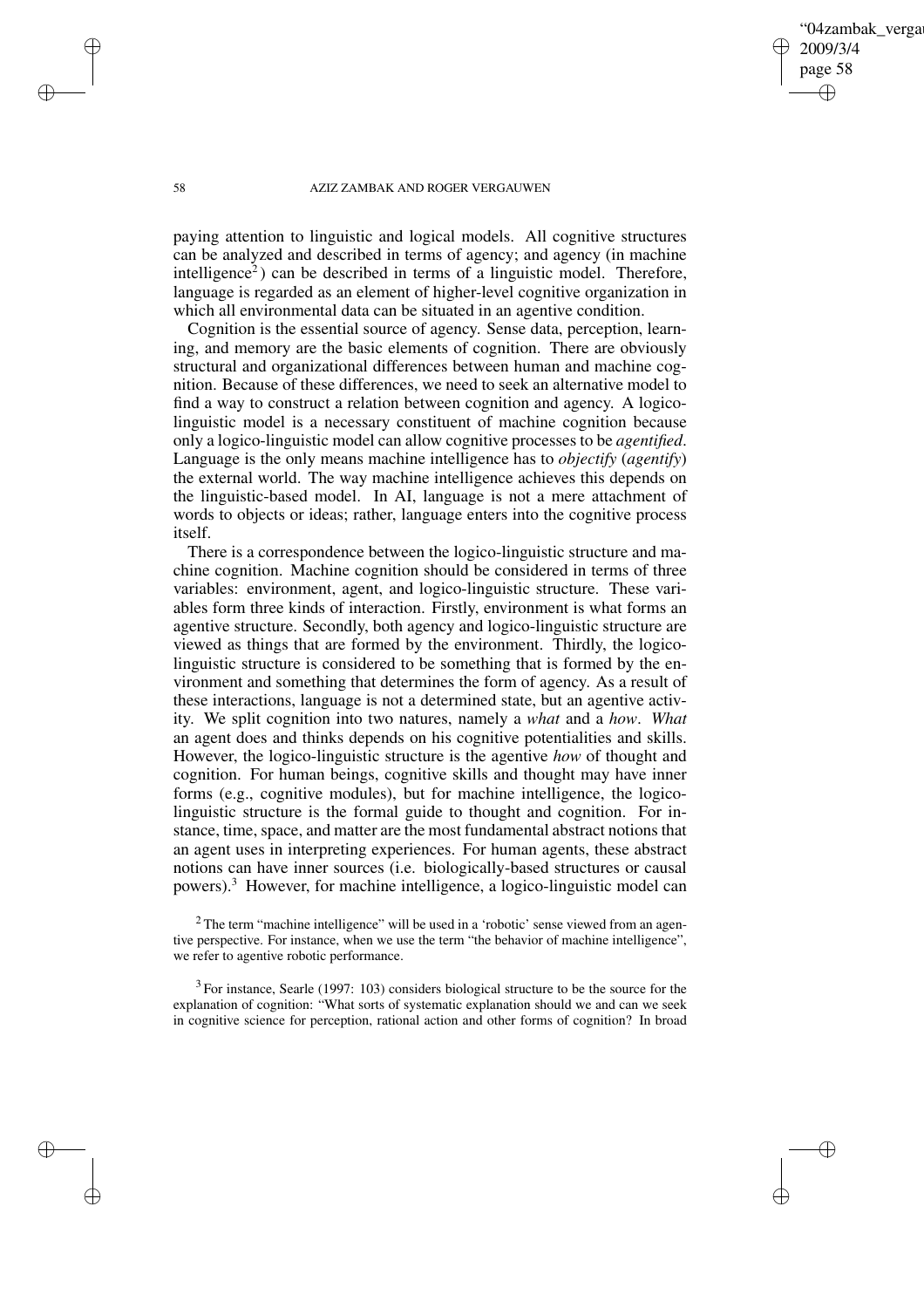04zambak verga 2009/3/4 page 58 ✐ ✐

✐

✐

#### 58 AZIZ ZAMBAK AND ROGER VERGAUWEN

paying attention to linguistic and logical models. All cognitive structures can be analyzed and described in terms of agency; and agency (in machine intelligence<sup>2</sup>) can be described in terms of a linguistic model. Therefore, language is regarded as an element of higher-level cognitive organization in which all environmental data can be situated in an agentive condition.

Cognition is the essential source of agency. Sense data, perception, learning, and memory are the basic elements of cognition. There are obviously structural and organizational differences between human and machine cognition. Because of these differences, we need to seek an alternative model to find a way to construct a relation between cognition and agency. A logicolinguistic model is a necessary constituent of machine cognition because only a logico-linguistic model can allow cognitive processes to be *agentified*. Language is the only means machine intelligence has to *objectify* (*agentify*) the external world. The way machine intelligence achieves this depends on the linguistic-based model. In AI, language is not a mere attachment of words to objects or ideas; rather, language enters into the cognitive process itself.

There is a correspondence between the logico-linguistic structure and machine cognition. Machine cognition should be considered in terms of three variables: environment, agent, and logico-linguistic structure. These variables form three kinds of interaction. Firstly, environment is what forms an agentive structure. Secondly, both agency and logico-linguistic structure are viewed as things that are formed by the environment. Thirdly, the logicolinguistic structure is considered to be something that is formed by the environment and something that determines the form of agency. As a result of these interactions, language is not a determined state, but an agentive activity. We split cognition into two natures, namely a *what* and a *how*. *What* an agent does and thinks depends on his cognitive potentialities and skills. However, the logico-linguistic structure is the agentive *how* of thought and cognition. For human beings, cognitive skills and thought may have inner forms (e.g., cognitive modules), but for machine intelligence, the logicolinguistic structure is the formal guide to thought and cognition. For instance, time, space, and matter are the most fundamental abstract notions that an agent uses in interpreting experiences. For human agents, these abstract notions can have inner sources (i.e. biologically-based structures or causal powers).<sup>3</sup> However, for machine intelligence, a logico-linguistic model can

 $2$  The term "machine intelligence" will be used in a 'robotic' sense viewed from an agentive perspective. For instance, when we use the term "the behavior of machine intelligence", we refer to agentive robotic performance.

 $3$  For instance, Searle (1997: 103) considers biological structure to be the source for the explanation of cognition: "What sorts of systematic explanation should we and can we seek in cognitive science for perception, rational action and other forms of cognition? In broad

✐

✐

✐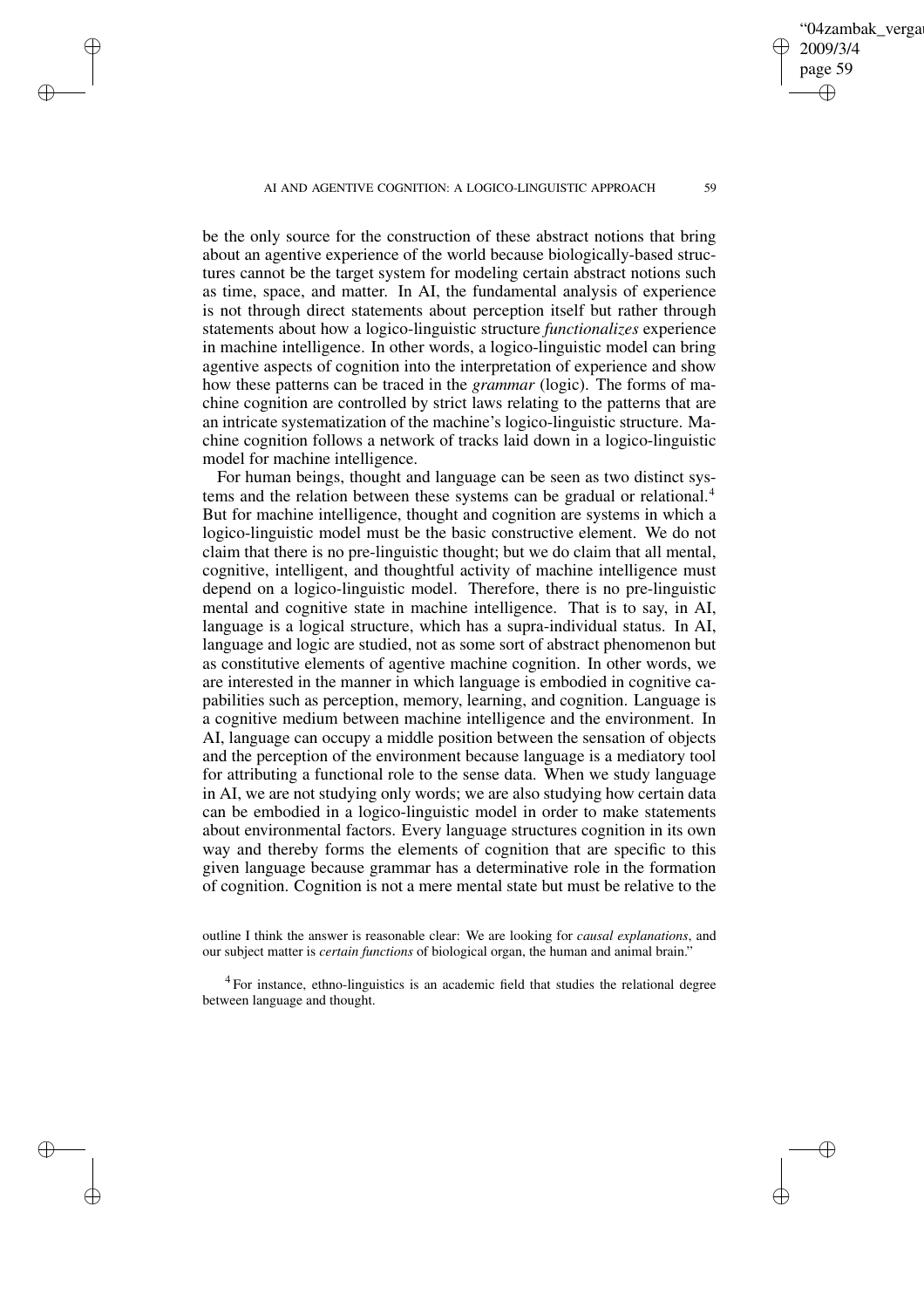✐

✐

✐

✐

2009/3/4 page 59 ✐ ✐

✐

✐

04zambak verga

be the only source for the construction of these abstract notions that bring about an agentive experience of the world because biologically-based structures cannot be the target system for modeling certain abstract notions such as time, space, and matter. In AI, the fundamental analysis of experience is not through direct statements about perception itself but rather through statements about how a logico-linguistic structure *functionalizes* experience in machine intelligence. In other words, a logico-linguistic model can bring agentive aspects of cognition into the interpretation of experience and show how these patterns can be traced in the *grammar* (logic). The forms of machine cognition are controlled by strict laws relating to the patterns that are an intricate systematization of the machine's logico-linguistic structure. Machine cognition follows a network of tracks laid down in a logico-linguistic model for machine intelligence.

For human beings, thought and language can be seen as two distinct systems and the relation between these systems can be gradual or relational.<sup>4</sup> But for machine intelligence, thought and cognition are systems in which a logico-linguistic model must be the basic constructive element. We do not claim that there is no pre-linguistic thought; but we do claim that all mental, cognitive, intelligent, and thoughtful activity of machine intelligence must depend on a logico-linguistic model. Therefore, there is no pre-linguistic mental and cognitive state in machine intelligence. That is to say, in AI, language is a logical structure, which has a supra-individual status. In AI, language and logic are studied, not as some sort of abstract phenomenon but as constitutive elements of agentive machine cognition. In other words, we are interested in the manner in which language is embodied in cognitive capabilities such as perception, memory, learning, and cognition. Language is a cognitive medium between machine intelligence and the environment. In AI, language can occupy a middle position between the sensation of objects and the perception of the environment because language is a mediatory tool for attributing a functional role to the sense data. When we study language in AI, we are not studying only words; we are also studying how certain data can be embodied in a logico-linguistic model in order to make statements about environmental factors. Every language structures cognition in its own way and thereby forms the elements of cognition that are specific to this given language because grammar has a determinative role in the formation of cognition. Cognition is not a mere mental state but must be relative to the

outline I think the answer is reasonable clear: We are looking for *causal explanations*, and our subject matter is *certain functions* of biological organ, the human and animal brain."

<sup>4</sup> For instance, ethno-linguistics is an academic field that studies the relational degree between language and thought.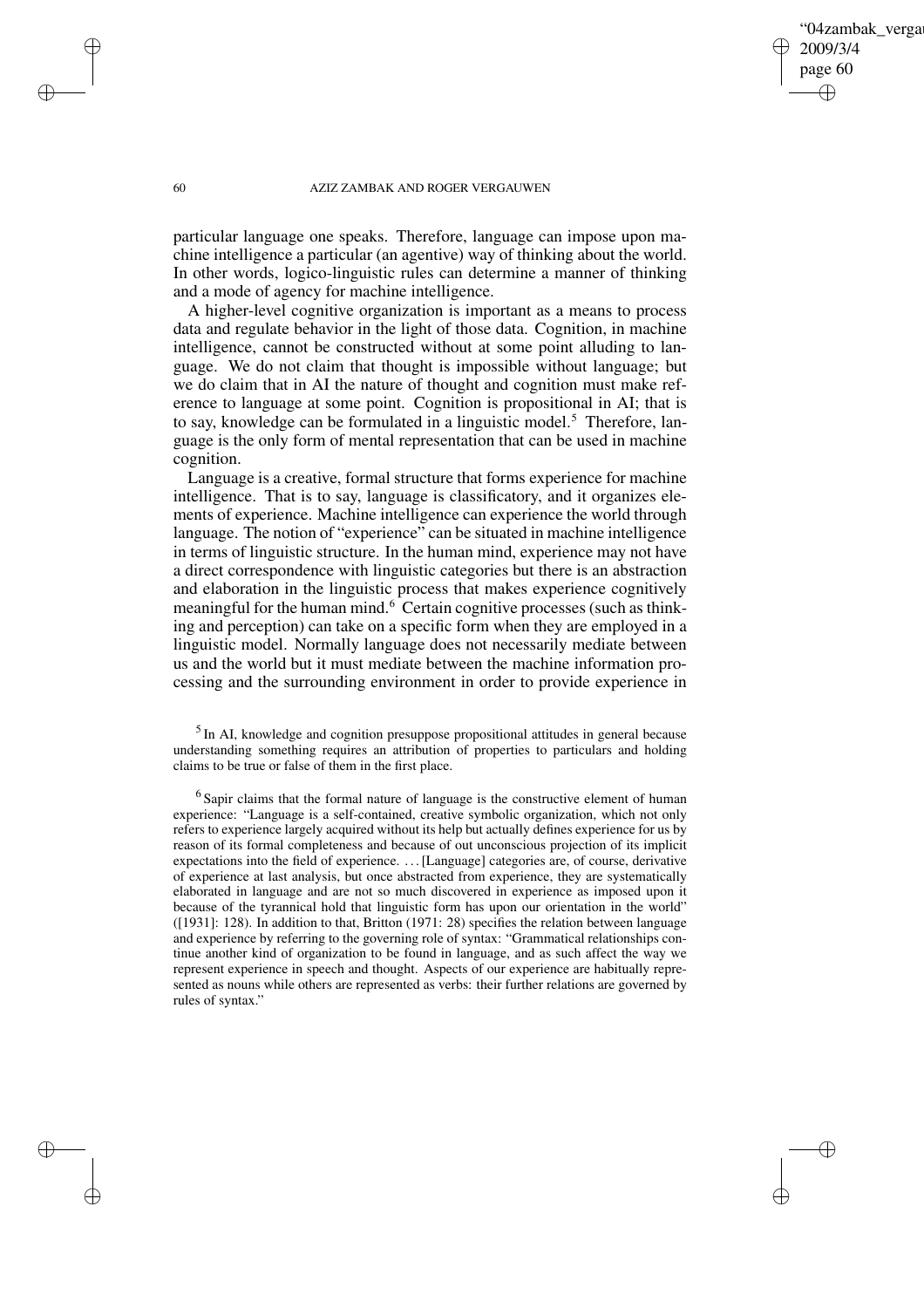04zambak verga 2009/3/4 page 60 ✐ ✐

✐

✐

#### 60 AZIZ ZAMBAK AND ROGER VERGAUWEN

particular language one speaks. Therefore, language can impose upon machine intelligence a particular (an agentive) way of thinking about the world. In other words, logico-linguistic rules can determine a manner of thinking and a mode of agency for machine intelligence.

A higher-level cognitive organization is important as a means to process data and regulate behavior in the light of those data. Cognition, in machine intelligence, cannot be constructed without at some point alluding to language. We do not claim that thought is impossible without language; but we do claim that in AI the nature of thought and cognition must make reference to language at some point. Cognition is propositional in AI; that is to say, knowledge can be formulated in a linguistic model.<sup>5</sup> Therefore, language is the only form of mental representation that can be used in machine cognition.

Language is a creative, formal structure that forms experience for machine intelligence. That is to say, language is classificatory, and it organizes elements of experience. Machine intelligence can experience the world through language. The notion of "experience" can be situated in machine intelligence in terms of linguistic structure. In the human mind, experience may not have a direct correspondence with linguistic categories but there is an abstraction and elaboration in the linguistic process that makes experience cognitively meaningful for the human mind.<sup>6</sup> Certain cognitive processes (such as thinking and perception) can take on a specific form when they are employed in a linguistic model. Normally language does not necessarily mediate between us and the world but it must mediate between the machine information processing and the surrounding environment in order to provide experience in

<sup>5</sup> In AI, knowledge and cognition presuppose propositional attitudes in general because understanding something requires an attribution of properties to particulars and holding claims to be true or false of them in the first place.

 $<sup>6</sup>$  Sapir claims that the formal nature of language is the constructive element of human</sup> experience: "Language is a self-contained, creative symbolic organization, which not only refers to experience largely acquired without its help but actually defines experience for us by reason of its formal completeness and because of out unconscious projection of its implicit expectations into the field of experience. . . .[Language] categories are, of course, derivative of experience at last analysis, but once abstracted from experience, they are systematically elaborated in language and are not so much discovered in experience as imposed upon it because of the tyrannical hold that linguistic form has upon our orientation in the world" ([1931]: 128). In addition to that, Britton (1971: 28) specifies the relation between language and experience by referring to the governing role of syntax: "Grammatical relationships continue another kind of organization to be found in language, and as such affect the way we represent experience in speech and thought. Aspects of our experience are habitually represented as nouns while others are represented as verbs: their further relations are governed by rules of syntax."

✐

✐

✐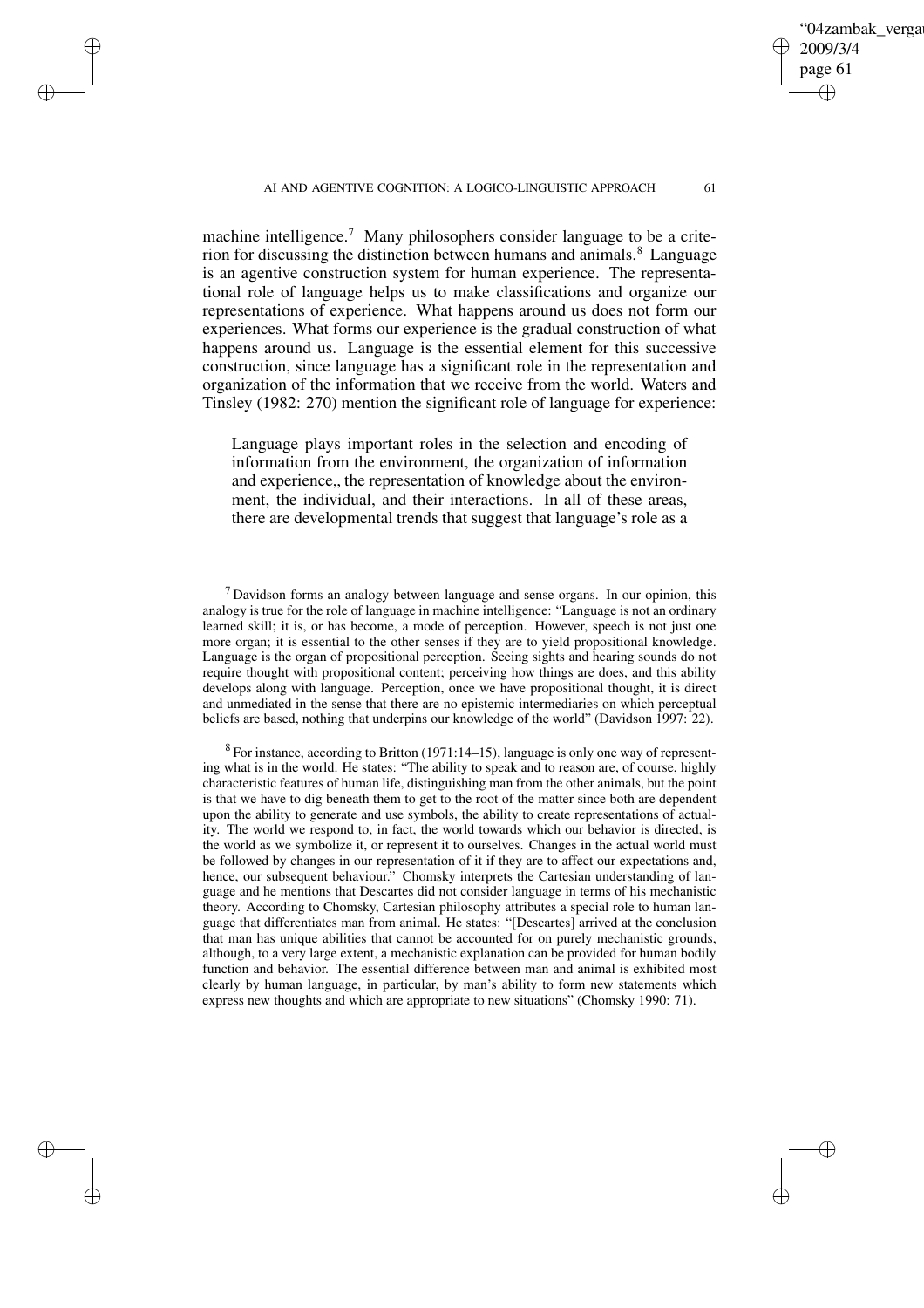'04zambak verga 2009/3/4 page 61 ✐ ✐

✐

✐

#### AI AND AGENTIVE COGNITION: A LOGICO-LINGUISTIC APPROACH 61

✐

✐

✐

✐

machine intelligence.<sup>7</sup> Many philosophers consider language to be a criterion for discussing the distinction between humans and animals.<sup>8</sup> Language is an agentive construction system for human experience. The representational role of language helps us to make classifications and organize our representations of experience. What happens around us does not form our experiences. What forms our experience is the gradual construction of what happens around us. Language is the essential element for this successive construction, since language has a significant role in the representation and organization of the information that we receive from the world. Waters and Tinsley (1982: 270) mention the significant role of language for experience:

Language plays important roles in the selection and encoding of information from the environment, the organization of information and experience, the representation of knowledge about the environment, the individual, and their interactions. In all of these areas, there are developmental trends that suggest that language's role as a

<sup>7</sup> Davidson forms an analogy between language and sense organs. In our opinion, this analogy is true for the role of language in machine intelligence: "Language is not an ordinary learned skill; it is, or has become, a mode of perception. However, speech is not just one more organ; it is essential to the other senses if they are to yield propositional knowledge. Language is the organ of propositional perception. Seeing sights and hearing sounds do not require thought with propositional content; perceiving how things are does, and this ability develops along with language. Perception, once we have propositional thought, it is direct and unmediated in the sense that there are no epistemic intermediaries on which perceptual beliefs are based, nothing that underpins our knowledge of the world" (Davidson 1997: 22).

 $8$  For instance, according to Britton (1971:14–15), language is only one way of representing what is in the world. He states: "The ability to speak and to reason are, of course, highly characteristic features of human life, distinguishing man from the other animals, but the point is that we have to dig beneath them to get to the root of the matter since both are dependent upon the ability to generate and use symbols, the ability to create representations of actuality. The world we respond to, in fact, the world towards which our behavior is directed, is the world as we symbolize it, or represent it to ourselves. Changes in the actual world must be followed by changes in our representation of it if they are to affect our expectations and, hence, our subsequent behaviour." Chomsky interprets the Cartesian understanding of language and he mentions that Descartes did not consider language in terms of his mechanistic theory. According to Chomsky, Cartesian philosophy attributes a special role to human language that differentiates man from animal. He states: "[Descartes] arrived at the conclusion that man has unique abilities that cannot be accounted for on purely mechanistic grounds, although, to a very large extent, a mechanistic explanation can be provided for human bodily function and behavior. The essential difference between man and animal is exhibited most clearly by human language, in particular, by man's ability to form new statements which express new thoughts and which are appropriate to new situations" (Chomsky 1990: 71).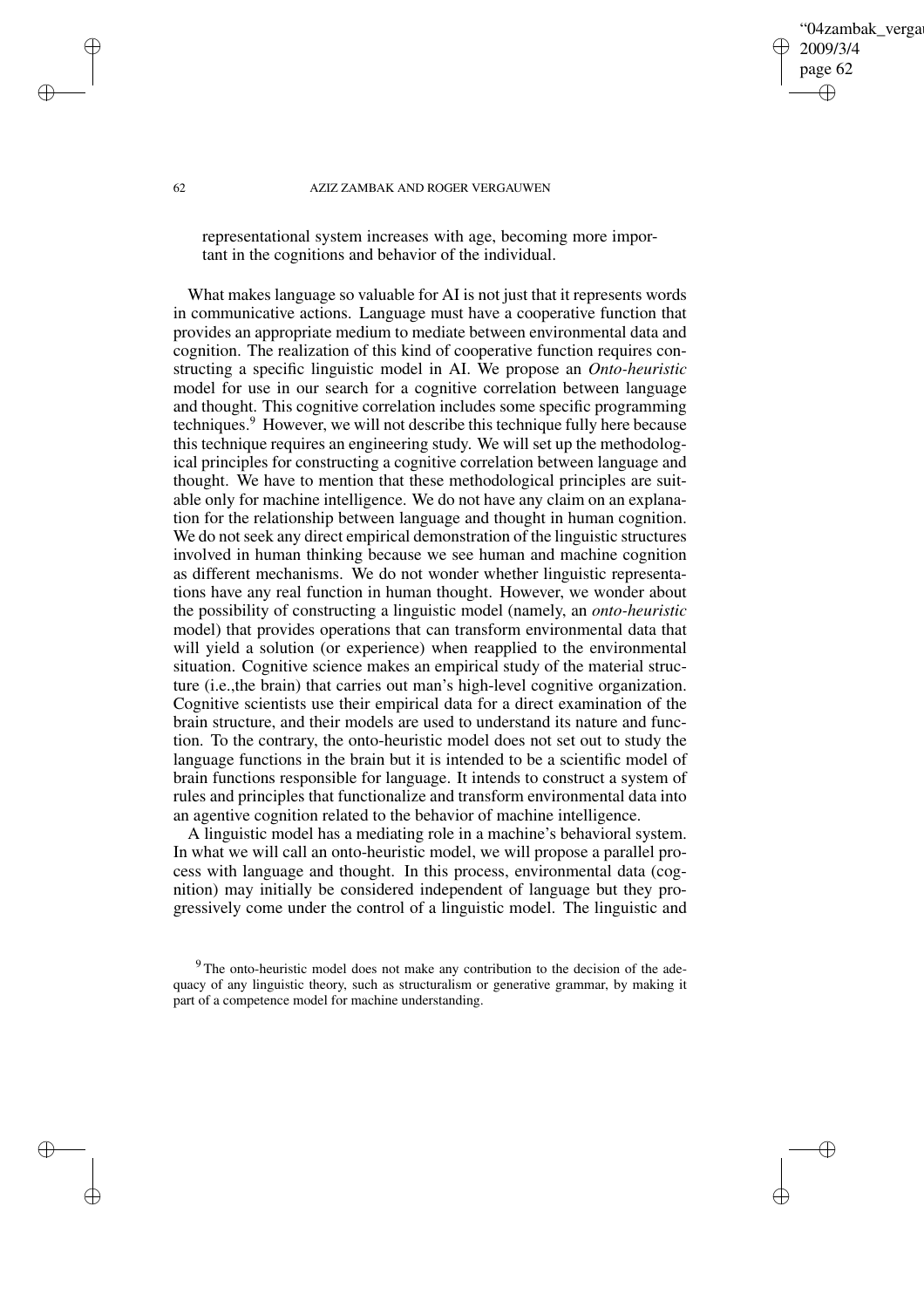## 04zambak verga 2009/3/4 page 62 ✐ ✐

✐

✐

#### 62 AZIZ ZAMBAK AND ROGER VERGAUWEN

representational system increases with age, becoming more important in the cognitions and behavior of the individual.

What makes language so valuable for AI is not just that it represents words in communicative actions. Language must have a cooperative function that provides an appropriate medium to mediate between environmental data and cognition. The realization of this kind of cooperative function requires constructing a specific linguistic model in AI. We propose an *Onto-heuristic* model for use in our search for a cognitive correlation between language and thought. This cognitive correlation includes some specific programming techniques.<sup>9</sup> However, we will not describe this technique fully here because this technique requires an engineering study. We will set up the methodological principles for constructing a cognitive correlation between language and thought. We have to mention that these methodological principles are suitable only for machine intelligence. We do not have any claim on an explanation for the relationship between language and thought in human cognition. We do not seek any direct empirical demonstration of the linguistic structures involved in human thinking because we see human and machine cognition as different mechanisms. We do not wonder whether linguistic representations have any real function in human thought. However, we wonder about the possibility of constructing a linguistic model (namely, an *onto-heuristic* model) that provides operations that can transform environmental data that will yield a solution (or experience) when reapplied to the environmental situation. Cognitive science makes an empirical study of the material structure (i.e.,the brain) that carries out man's high-level cognitive organization. Cognitive scientists use their empirical data for a direct examination of the brain structure, and their models are used to understand its nature and function. To the contrary, the onto-heuristic model does not set out to study the language functions in the brain but it is intended to be a scientific model of brain functions responsible for language. It intends to construct a system of rules and principles that functionalize and transform environmental data into an agentive cognition related to the behavior of machine intelligence.

A linguistic model has a mediating role in a machine's behavioral system. In what we will call an onto-heuristic model, we will propose a parallel process with language and thought. In this process, environmental data (cognition) may initially be considered independent of language but they progressively come under the control of a linguistic model. The linguistic and

✐

✐

✐

<sup>&</sup>lt;sup>9</sup> The onto-heuristic model does not make any contribution to the decision of the adequacy of any linguistic theory, such as structuralism or generative grammar, by making it part of a competence model for machine understanding.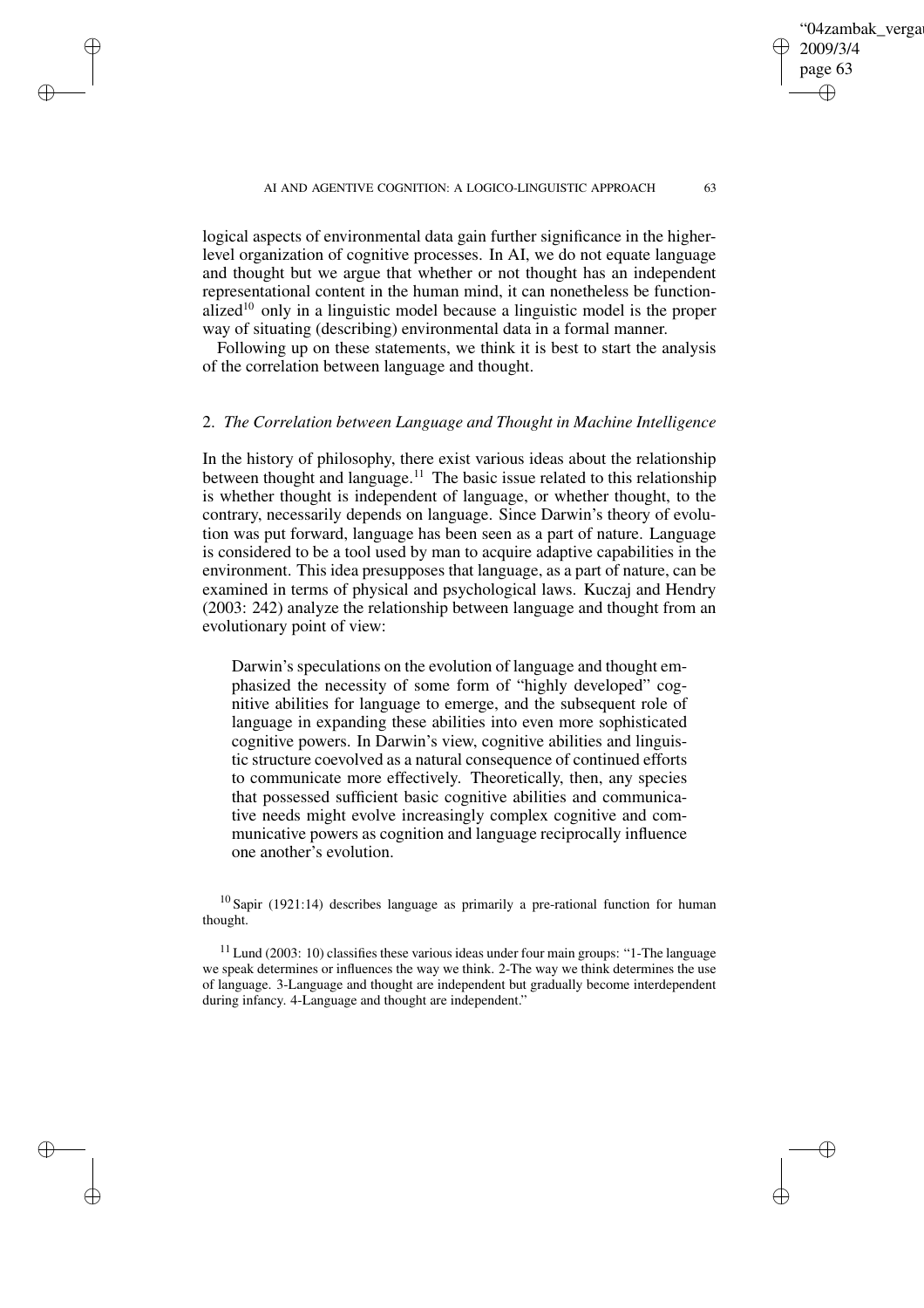logical aspects of environmental data gain further significance in the higherlevel organization of cognitive processes. In AI, we do not equate language and thought but we argue that whether or not thought has an independent representational content in the human mind, it can nonetheless be functionalized<sup>10</sup> only in a linguistic model because a linguistic model is the proper way of situating (describing) environmental data in a formal manner.

✐

✐

✐

✐

Following up on these statements, we think it is best to start the analysis of the correlation between language and thought.

## 2. *The Correlation between Language and Thought in Machine Intelligence*

In the history of philosophy, there exist various ideas about the relationship between thought and language.<sup>11</sup> The basic issue related to this relationship is whether thought is independent of language, or whether thought, to the contrary, necessarily depends on language. Since Darwin's theory of evolution was put forward, language has been seen as a part of nature. Language is considered to be a tool used by man to acquire adaptive capabilities in the environment. This idea presupposes that language, as a part of nature, can be examined in terms of physical and psychological laws. Kuczaj and Hendry (2003: 242) analyze the relationship between language and thought from an evolutionary point of view:

Darwin's speculations on the evolution of language and thought emphasized the necessity of some form of "highly developed" cognitive abilities for language to emerge, and the subsequent role of language in expanding these abilities into even more sophisticated cognitive powers. In Darwin's view, cognitive abilities and linguistic structure coevolved as a natural consequence of continued efforts to communicate more effectively. Theoretically, then, any species that possessed sufficient basic cognitive abilities and communicative needs might evolve increasingly complex cognitive and communicative powers as cognition and language reciprocally influence one another's evolution.

<sup>10</sup> Sapir (1921:14) describes language as primarily a pre-rational function for human thought.

 $11$  Lund (2003: 10) classifies these various ideas under four main groups: "1-The language we speak determines or influences the way we think. 2-The way we think determines the use of language. 3-Language and thought are independent but gradually become interdependent during infancy. 4-Language and thought are independent."

04zambak verga

2009/3/4 page 63

✐

✐

✐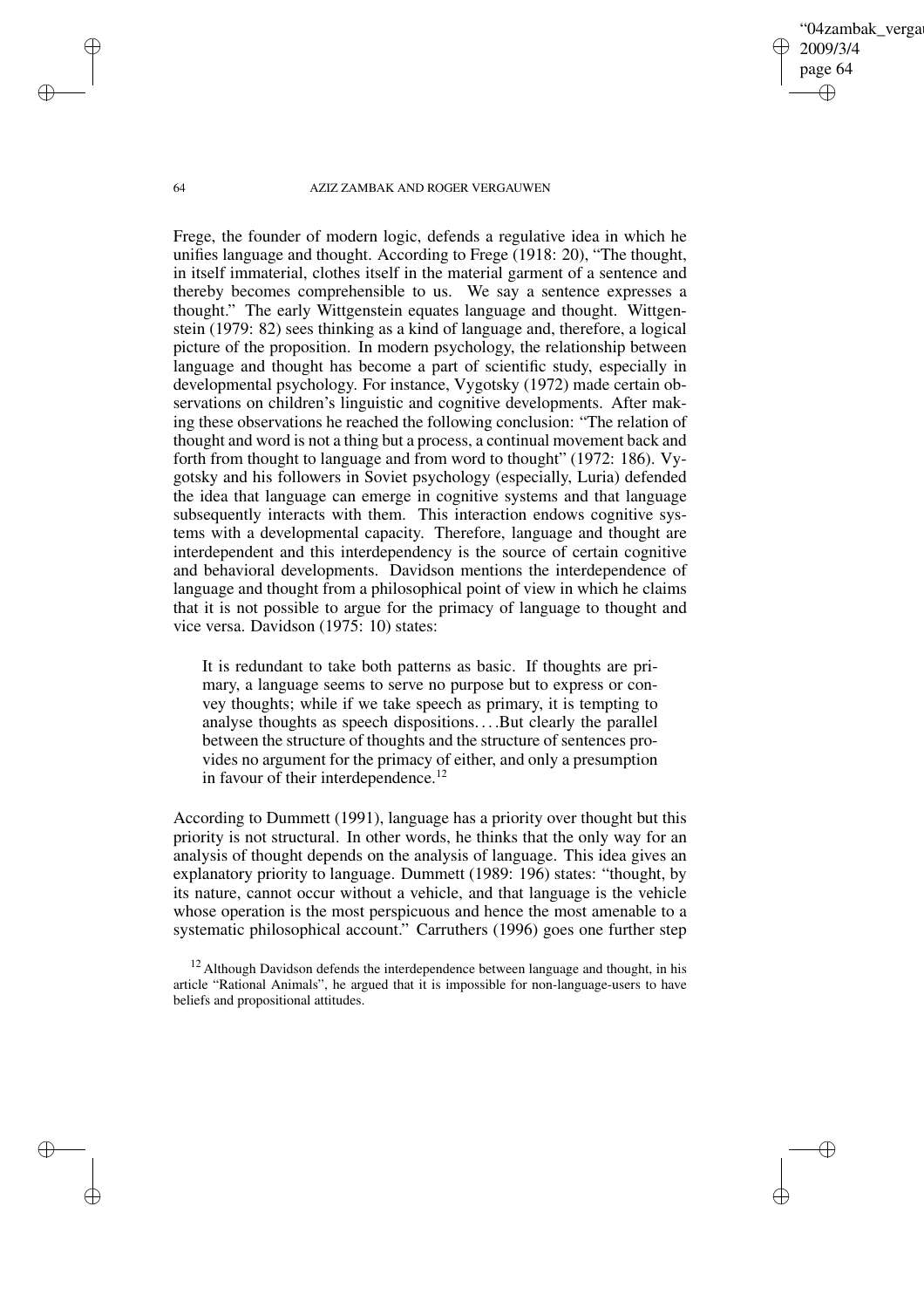04zambak verga 2009/3/4 page 64 ✐ ✐

✐

✐

#### 64 AZIZ ZAMBAK AND ROGER VERGAUWEN

Frege, the founder of modern logic, defends a regulative idea in which he unifies language and thought. According to Frege (1918: 20), "The thought, in itself immaterial, clothes itself in the material garment of a sentence and thereby becomes comprehensible to us. We say a sentence expresses a thought." The early Wittgenstein equates language and thought. Wittgenstein (1979: 82) sees thinking as a kind of language and, therefore, a logical picture of the proposition. In modern psychology, the relationship between language and thought has become a part of scientific study, especially in developmental psychology. For instance, Vygotsky (1972) made certain observations on children's linguistic and cognitive developments. After making these observations he reached the following conclusion: "The relation of thought and word is not a thing but a process, a continual movement back and forth from thought to language and from word to thought" (1972: 186). Vygotsky and his followers in Soviet psychology (especially, Luria) defended the idea that language can emerge in cognitive systems and that language subsequently interacts with them. This interaction endows cognitive systems with a developmental capacity. Therefore, language and thought are interdependent and this interdependency is the source of certain cognitive and behavioral developments. Davidson mentions the interdependence of language and thought from a philosophical point of view in which he claims that it is not possible to argue for the primacy of language to thought and vice versa. Davidson (1975: 10) states:

It is redundant to take both patterns as basic. If thoughts are primary, a language seems to serve no purpose but to express or convey thoughts; while if we take speech as primary, it is tempting to analyse thoughts as speech dispositions. . . .But clearly the parallel between the structure of thoughts and the structure of sentences provides no argument for the primacy of either, and only a presumption in favour of their interdependence.<sup>12</sup>

According to Dummett (1991), language has a priority over thought but this priority is not structural. In other words, he thinks that the only way for an analysis of thought depends on the analysis of language. This idea gives an explanatory priority to language. Dummett (1989: 196) states: "thought, by its nature, cannot occur without a vehicle, and that language is the vehicle whose operation is the most perspicuous and hence the most amenable to a systematic philosophical account." Carruthers (1996) goes one further step

✐

✐

✐

 $12$  Although Davidson defends the interdependence between language and thought, in his article "Rational Animals", he argued that it is impossible for non-language-users to have beliefs and propositional attitudes.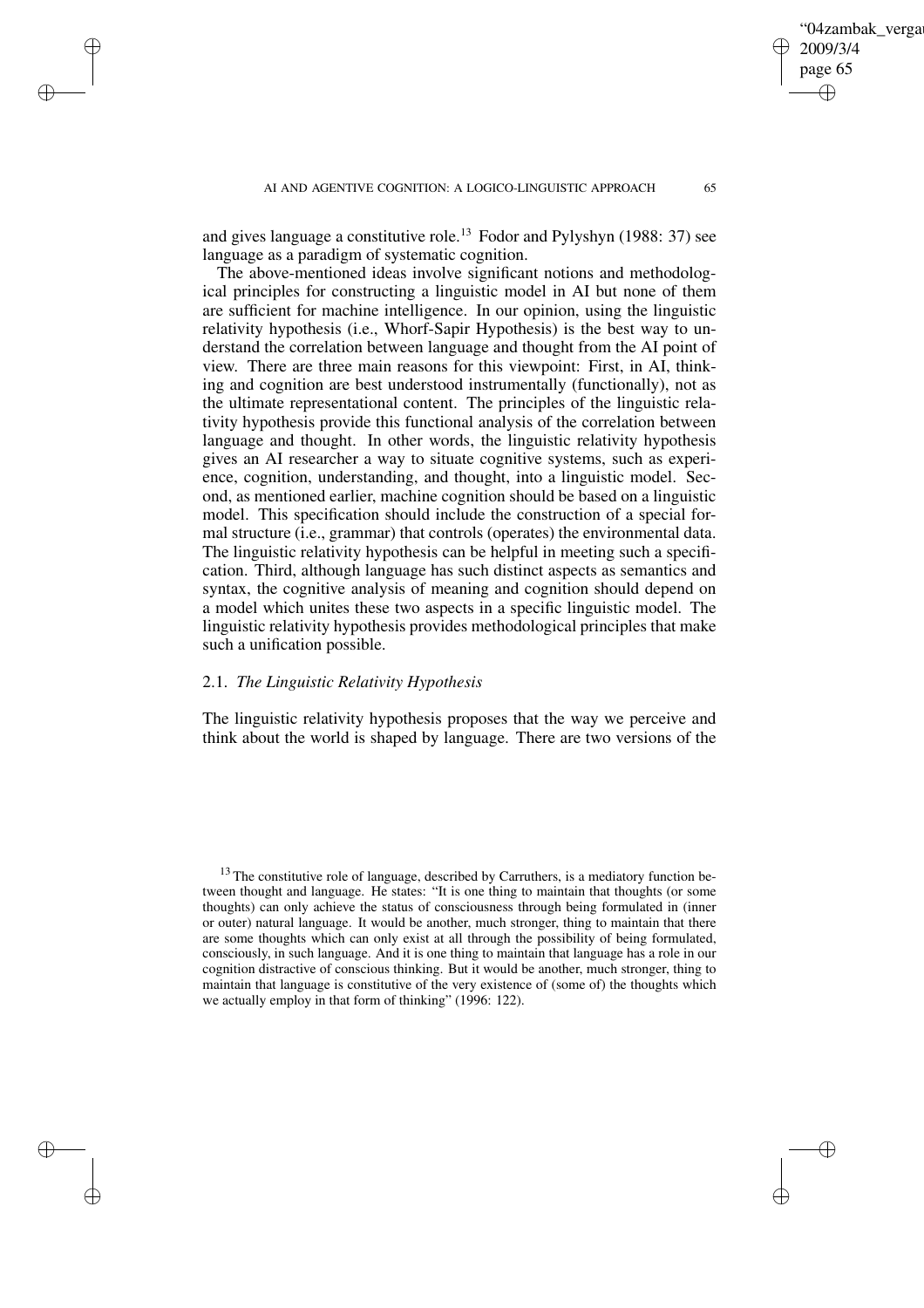and gives language a constitutive role.<sup>13</sup> Fodor and Pylyshyn (1988: 37) see language as a paradigm of systematic cognition.

The above-mentioned ideas involve significant notions and methodological principles for constructing a linguistic model in AI but none of them are sufficient for machine intelligence. In our opinion, using the linguistic relativity hypothesis (i.e., Whorf-Sapir Hypothesis) is the best way to understand the correlation between language and thought from the AI point of view. There are three main reasons for this viewpoint: First, in AI, thinking and cognition are best understood instrumentally (functionally), not as the ultimate representational content. The principles of the linguistic relativity hypothesis provide this functional analysis of the correlation between language and thought. In other words, the linguistic relativity hypothesis gives an AI researcher a way to situate cognitive systems, such as experience, cognition, understanding, and thought, into a linguistic model. Second, as mentioned earlier, machine cognition should be based on a linguistic model. This specification should include the construction of a special formal structure (i.e., grammar) that controls (operates) the environmental data. The linguistic relativity hypothesis can be helpful in meeting such a specification. Third, although language has such distinct aspects as semantics and syntax, the cognitive analysis of meaning and cognition should depend on a model which unites these two aspects in a specific linguistic model. The linguistic relativity hypothesis provides methodological principles that make such a unification possible.

## 2.1. *The Linguistic Relativity Hypothesis*

✐

✐

✐

✐

The linguistic relativity hypothesis proposes that the way we perceive and think about the world is shaped by language. There are two versions of the

'04zambak verga

2009/3/4 page 65

✐

✐

✐

<sup>&</sup>lt;sup>13</sup> The constitutive role of language, described by Carruthers, is a mediatory function between thought and language. He states: "It is one thing to maintain that thoughts (or some thoughts) can only achieve the status of consciousness through being formulated in (inner or outer) natural language. It would be another, much stronger, thing to maintain that there are some thoughts which can only exist at all through the possibility of being formulated, consciously, in such language. And it is one thing to maintain that language has a role in our cognition distractive of conscious thinking. But it would be another, much stronger, thing to maintain that language is constitutive of the very existence of (some of) the thoughts which we actually employ in that form of thinking" (1996: 122).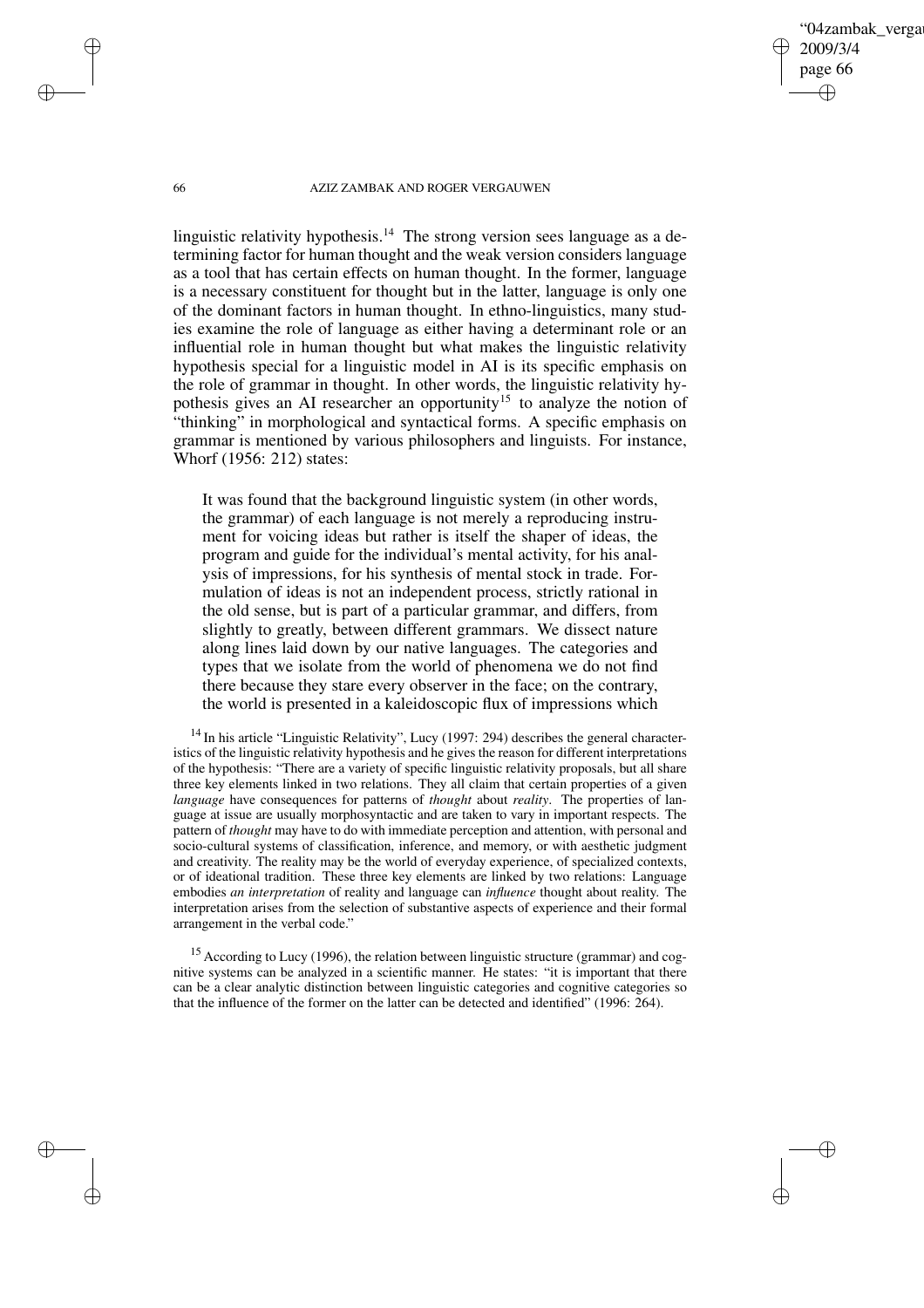'04zambak verga 2009/3/4 page 66 ✐ ✐

✐

✐

#### 66 AZIZ ZAMBAK AND ROGER VERGAUWEN

linguistic relativity hypothesis.<sup>14</sup> The strong version sees language as a determining factor for human thought and the weak version considers language as a tool that has certain effects on human thought. In the former, language is a necessary constituent for thought but in the latter, language is only one of the dominant factors in human thought. In ethno-linguistics, many studies examine the role of language as either having a determinant role or an influential role in human thought but what makes the linguistic relativity hypothesis special for a linguistic model in AI is its specific emphasis on the role of grammar in thought. In other words, the linguistic relativity hypothesis gives an AI researcher an opportunity<sup>15</sup> to analyze the notion of "thinking" in morphological and syntactical forms. A specific emphasis on grammar is mentioned by various philosophers and linguists. For instance, Whorf (1956: 212) states:

It was found that the background linguistic system (in other words, the grammar) of each language is not merely a reproducing instrument for voicing ideas but rather is itself the shaper of ideas, the program and guide for the individual's mental activity, for his analysis of impressions, for his synthesis of mental stock in trade. Formulation of ideas is not an independent process, strictly rational in the old sense, but is part of a particular grammar, and differs, from slightly to greatly, between different grammars. We dissect nature along lines laid down by our native languages. The categories and types that we isolate from the world of phenomena we do not find there because they stare every observer in the face; on the contrary, the world is presented in a kaleidoscopic flux of impressions which

 $14$  In his article "Linguistic Relativity", Lucy (1997: 294) describes the general characteristics of the linguistic relativity hypothesis and he gives the reason for different interpretations of the hypothesis: "There are a variety of specific linguistic relativity proposals, but all share three key elements linked in two relations. They all claim that certain properties of a given *language* have consequences for patterns of *thought* about *reality*. The properties of language at issue are usually morphosyntactic and are taken to vary in important respects. The pattern of *thought* may have to do with immediate perception and attention, with personal and socio-cultural systems of classification, inference, and memory, or with aesthetic judgment and creativity. The reality may be the world of everyday experience, of specialized contexts, or of ideational tradition. These three key elements are linked by two relations: Language embodies *an interpretation* of reality and language can *influence* thought about reality. The interpretation arises from the selection of substantive aspects of experience and their formal arrangement in the verbal code."

<sup>15</sup> According to Lucy (1996), the relation between linguistic structure (grammar) and cognitive systems can be analyzed in a scientific manner. He states: "it is important that there can be a clear analytic distinction between linguistic categories and cognitive categories so that the influence of the former on the latter can be detected and identified" (1996: 264).

✐

✐

✐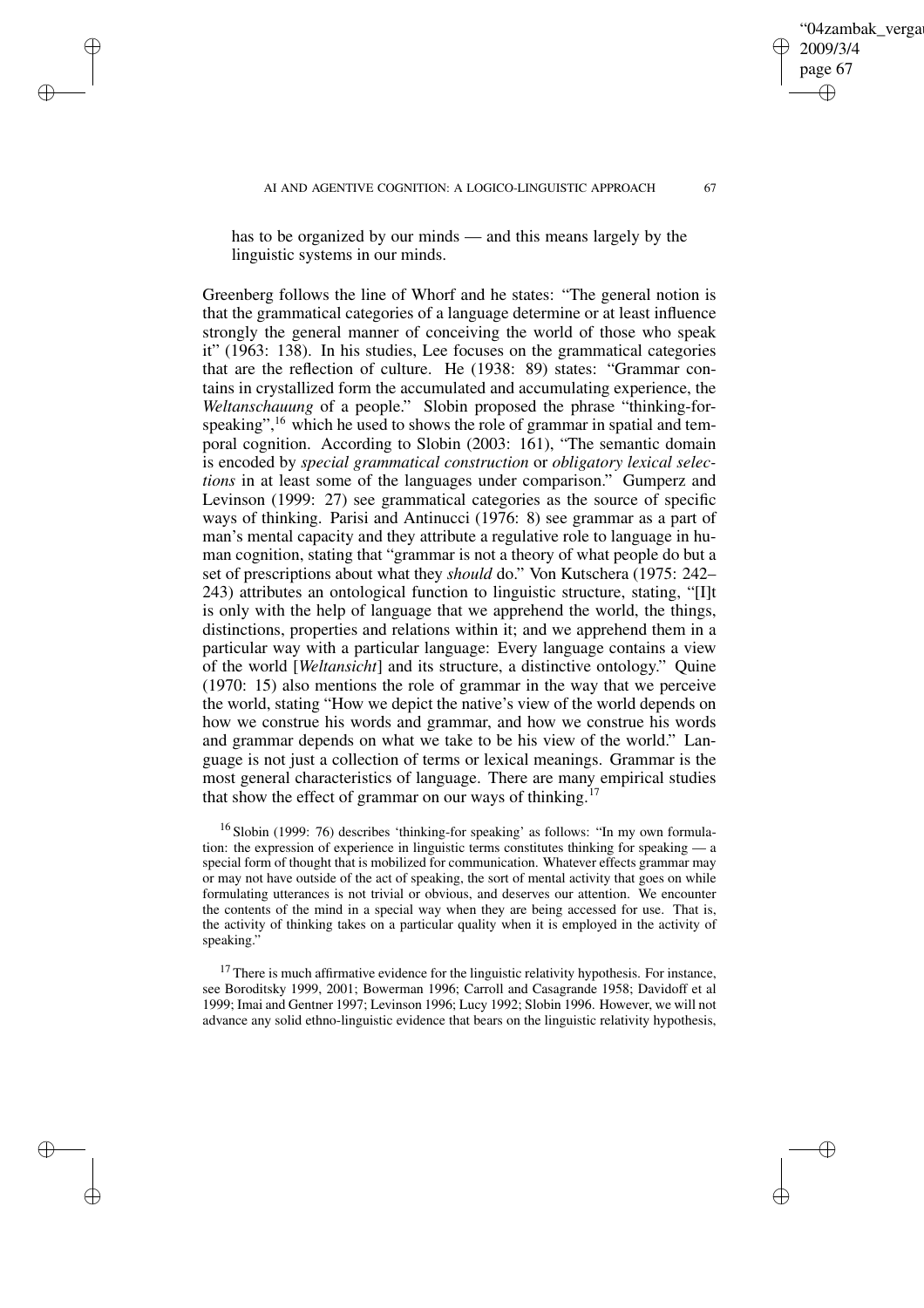✐

✐

✐

✐

has to be organized by our minds — and this means largely by the linguistic systems in our minds.

Greenberg follows the line of Whorf and he states: "The general notion is that the grammatical categories of a language determine or at least influence strongly the general manner of conceiving the world of those who speak it" (1963: 138). In his studies, Lee focuses on the grammatical categories that are the reflection of culture. He (1938: 89) states: "Grammar contains in crystallized form the accumulated and accumulating experience, the *Weltanschauung* of a people." Slobin proposed the phrase "thinking-forspeaking",<sup>16</sup> which he used to shows the role of grammar in spatial and temporal cognition. According to Slobin (2003: 161), "The semantic domain is encoded by *special grammatical construction* or *obligatory lexical selections* in at least some of the languages under comparison." Gumperz and Levinson (1999: 27) see grammatical categories as the source of specific ways of thinking. Parisi and Antinucci (1976: 8) see grammar as a part of man's mental capacity and they attribute a regulative role to language in human cognition, stating that "grammar is not a theory of what people do but a set of prescriptions about what they *should* do." Von Kutschera (1975: 242– 243) attributes an ontological function to linguistic structure, stating, "[I]t is only with the help of language that we apprehend the world, the things, distinctions, properties and relations within it; and we apprehend them in a particular way with a particular language: Every language contains a view of the world [*Weltansicht*] and its structure, a distinctive ontology." Quine (1970: 15) also mentions the role of grammar in the way that we perceive the world, stating "How we depict the native's view of the world depends on how we construe his words and grammar, and how we construe his words and grammar depends on what we take to be his view of the world." Language is not just a collection of terms or lexical meanings. Grammar is the most general characteristics of language. There are many empirical studies that show the effect of grammar on our ways of thinking.<sup>17</sup>

<sup>16</sup> Slobin (1999: 76) describes 'thinking-for speaking' as follows: "In my own formulation: the expression of experience in linguistic terms constitutes thinking for speaking — a special form of thought that is mobilized for communication. Whatever effects grammar may or may not have outside of the act of speaking, the sort of mental activity that goes on while formulating utterances is not trivial or obvious, and deserves our attention. We encounter the contents of the mind in a special way when they are being accessed for use. That is, the activity of thinking takes on a particular quality when it is employed in the activity of speaking."

 $17$  There is much affirmative evidence for the linguistic relativity hypothesis. For instance, see Boroditsky 1999, 2001; Bowerman 1996; Carroll and Casagrande 1958; Davidoff et al 1999; Imai and Gentner 1997; Levinson 1996; Lucy 1992; Slobin 1996. However, we will not advance any solid ethno-linguistic evidence that bears on the linguistic relativity hypothesis,

04zambak verga

2009/3/4 page 67

✐

✐

✐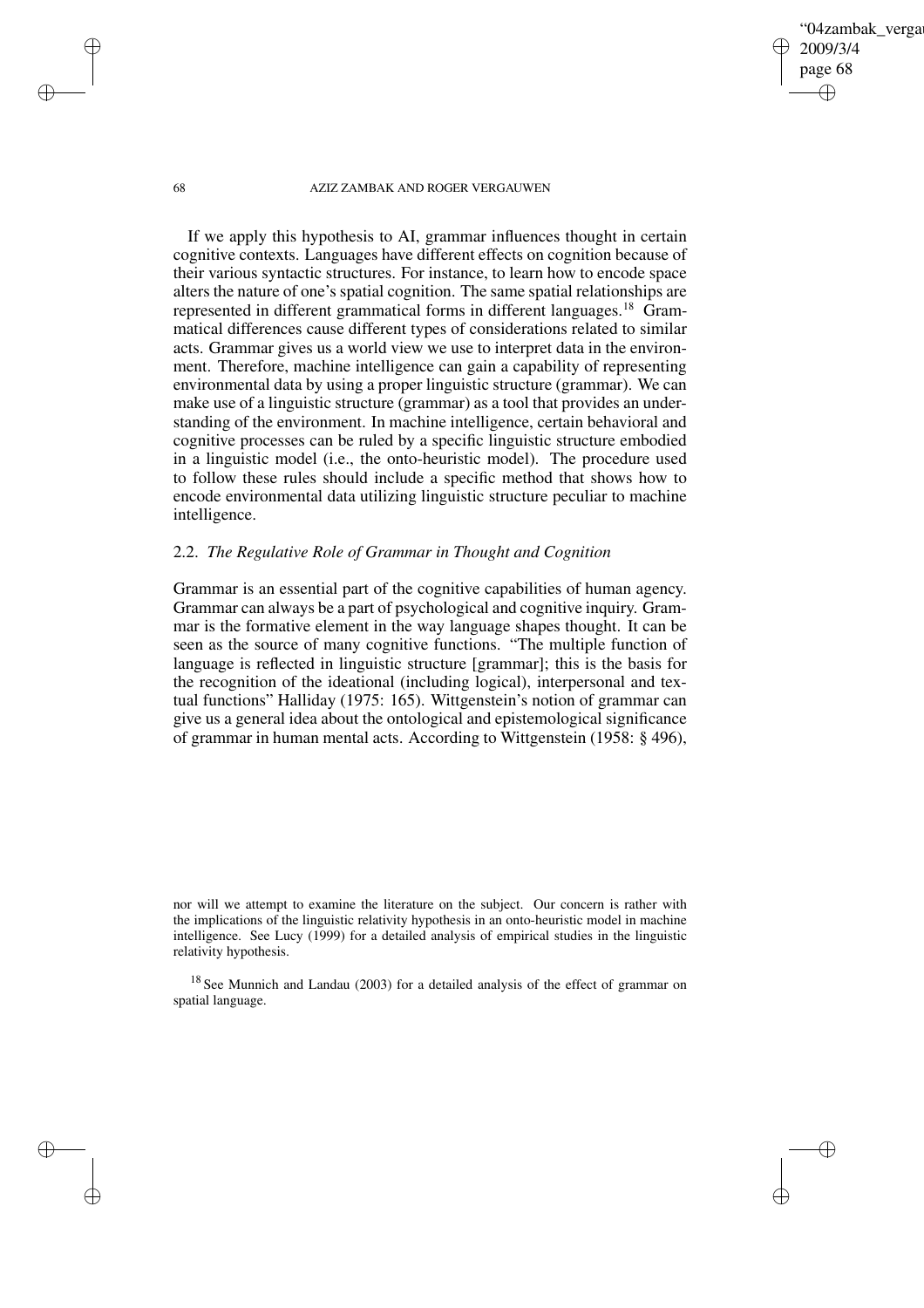'04zambak verga 2009/3/4 page 68 ✐ ✐

✐

✐

#### 68 AZIZ ZAMBAK AND ROGER VERGAUWEN

If we apply this hypothesis to AI, grammar influences thought in certain cognitive contexts. Languages have different effects on cognition because of their various syntactic structures. For instance, to learn how to encode space alters the nature of one's spatial cognition. The same spatial relationships are represented in different grammatical forms in different languages.<sup>18</sup> Grammatical differences cause different types of considerations related to similar acts. Grammar gives us a world view we use to interpret data in the environment. Therefore, machine intelligence can gain a capability of representing environmental data by using a proper linguistic structure (grammar). We can make use of a linguistic structure (grammar) as a tool that provides an understanding of the environment. In machine intelligence, certain behavioral and cognitive processes can be ruled by a specific linguistic structure embodied in a linguistic model (i.e., the onto-heuristic model). The procedure used to follow these rules should include a specific method that shows how to encode environmental data utilizing linguistic structure peculiar to machine intelligence.

# 2.2. *The Regulative Role of Grammar in Thought and Cognition*

Grammar is an essential part of the cognitive capabilities of human agency. Grammar can always be a part of psychological and cognitive inquiry. Grammar is the formative element in the way language shapes thought. It can be seen as the source of many cognitive functions. "The multiple function of language is reflected in linguistic structure [grammar]; this is the basis for the recognition of the ideational (including logical), interpersonal and textual functions" Halliday (1975: 165). Wittgenstein's notion of grammar can give us a general idea about the ontological and epistemological significance of grammar in human mental acts. According to Wittgenstein (1958: § 496),

nor will we attempt to examine the literature on the subject. Our concern is rather with the implications of the linguistic relativity hypothesis in an onto-heuristic model in machine intelligence. See Lucy (1999) for a detailed analysis of empirical studies in the linguistic relativity hypothesis.

<sup>18</sup> See Munnich and Landau (2003) for a detailed analysis of the effect of grammar on spatial language.

✐

✐

✐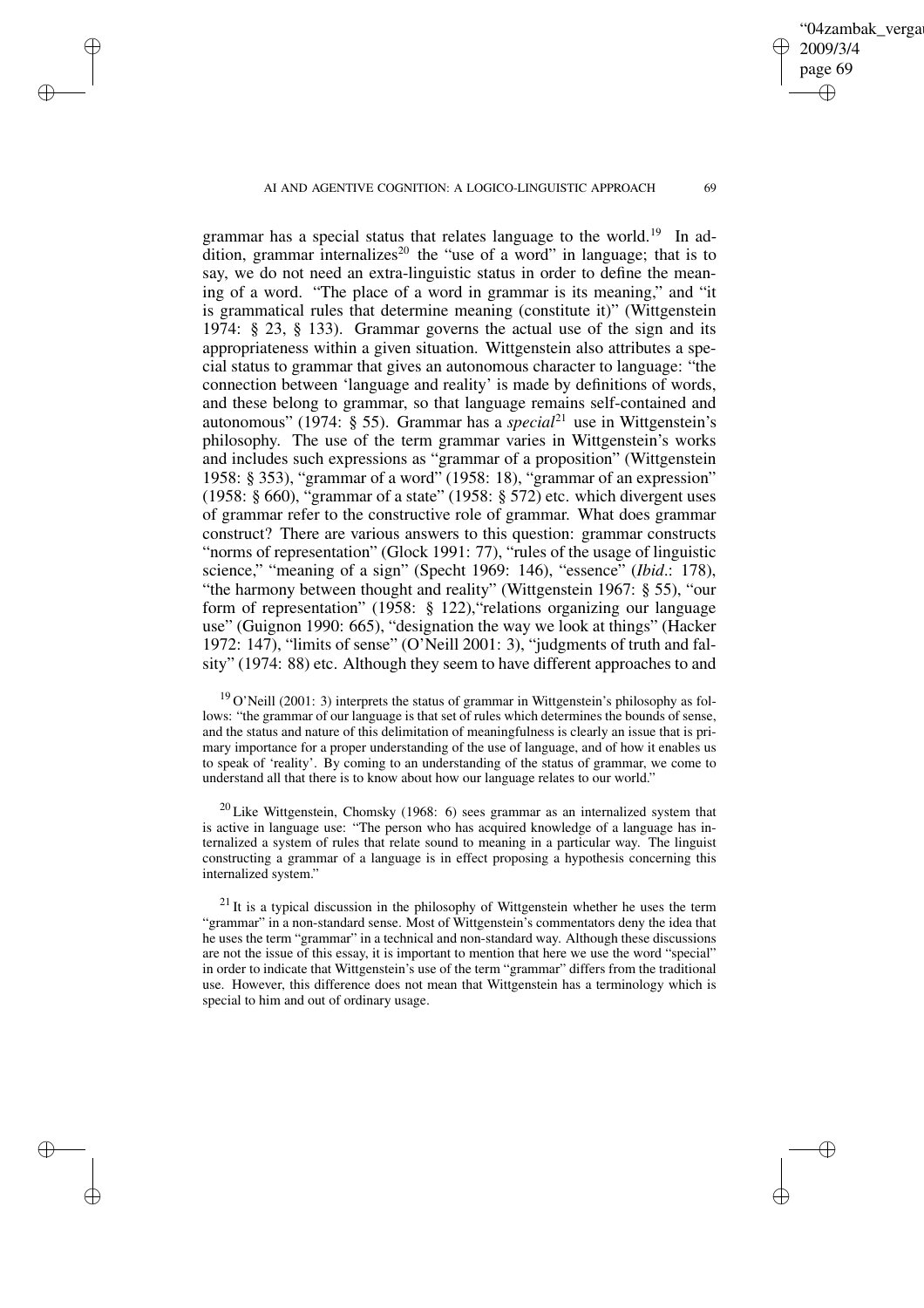✐

✐

✐

✐

04zambak verga

2009/3/4 page 69

✐

✐

✐

✐

grammar has a special status that relates language to the world.<sup>19</sup> In addition, grammar internalizes<sup>20</sup> the "use of a word" in language; that is to say, we do not need an extra-linguistic status in order to define the meaning of a word. "The place of a word in grammar is its meaning," and "it is grammatical rules that determine meaning (constitute it)" (Wittgenstein 1974: § 23, § 133). Grammar governs the actual use of the sign and its appropriateness within a given situation. Wittgenstein also attributes a special status to grammar that gives an autonomous character to language: "the connection between 'language and reality' is made by definitions of words, and these belong to grammar, so that language remains self-contained and autonomous" (1974: § 55). Grammar has a *special*<sup>21</sup> use in Wittgenstein's philosophy. The use of the term grammar varies in Wittgenstein's works and includes such expressions as "grammar of a proposition" (Wittgenstein 1958: § 353), "grammar of a word" (1958: 18), "grammar of an expression" (1958: § 660), "grammar of a state" (1958: § 572) etc. which divergent uses of grammar refer to the constructive role of grammar. What does grammar construct? There are various answers to this question: grammar constructs "norms of representation" (Glock 1991: 77), "rules of the usage of linguistic science," "meaning of a sign" (Specht 1969: 146), "essence" (*Ibid*.: 178), "the harmony between thought and reality" (Wittgenstein 1967: § 55), "our form of representation" (1958: § 122),"relations organizing our language use" (Guignon 1990: 665), "designation the way we look at things" (Hacker 1972: 147), "limits of sense" (O'Neill 2001: 3), "judgments of truth and falsity" (1974: 88) etc. Although they seem to have different approaches to and

 $19$  O'Neill (2001: 3) interprets the status of grammar in Wittgenstein's philosophy as follows: "the grammar of our language is that set of rules which determines the bounds of sense, and the status and nature of this delimitation of meaningfulness is clearly an issue that is primary importance for a proper understanding of the use of language, and of how it enables us to speak of 'reality'. By coming to an understanding of the status of grammar, we come to understand all that there is to know about how our language relates to our world."

 $20$  Like Wittgenstein, Chomsky (1968: 6) sees grammar as an internalized system that is active in language use: "The person who has acquired knowledge of a language has internalized a system of rules that relate sound to meaning in a particular way. The linguist constructing a grammar of a language is in effect proposing a hypothesis concerning this internalized system."

 $21$  It is a typical discussion in the philosophy of Wittgenstein whether he uses the term "grammar" in a non-standard sense. Most of Wittgenstein's commentators deny the idea that he uses the term "grammar" in a technical and non-standard way. Although these discussions are not the issue of this essay, it is important to mention that here we use the word "special" in order to indicate that Wittgenstein's use of the term "grammar" differs from the traditional use. However, this difference does not mean that Wittgenstein has a terminology which is special to him and out of ordinary usage.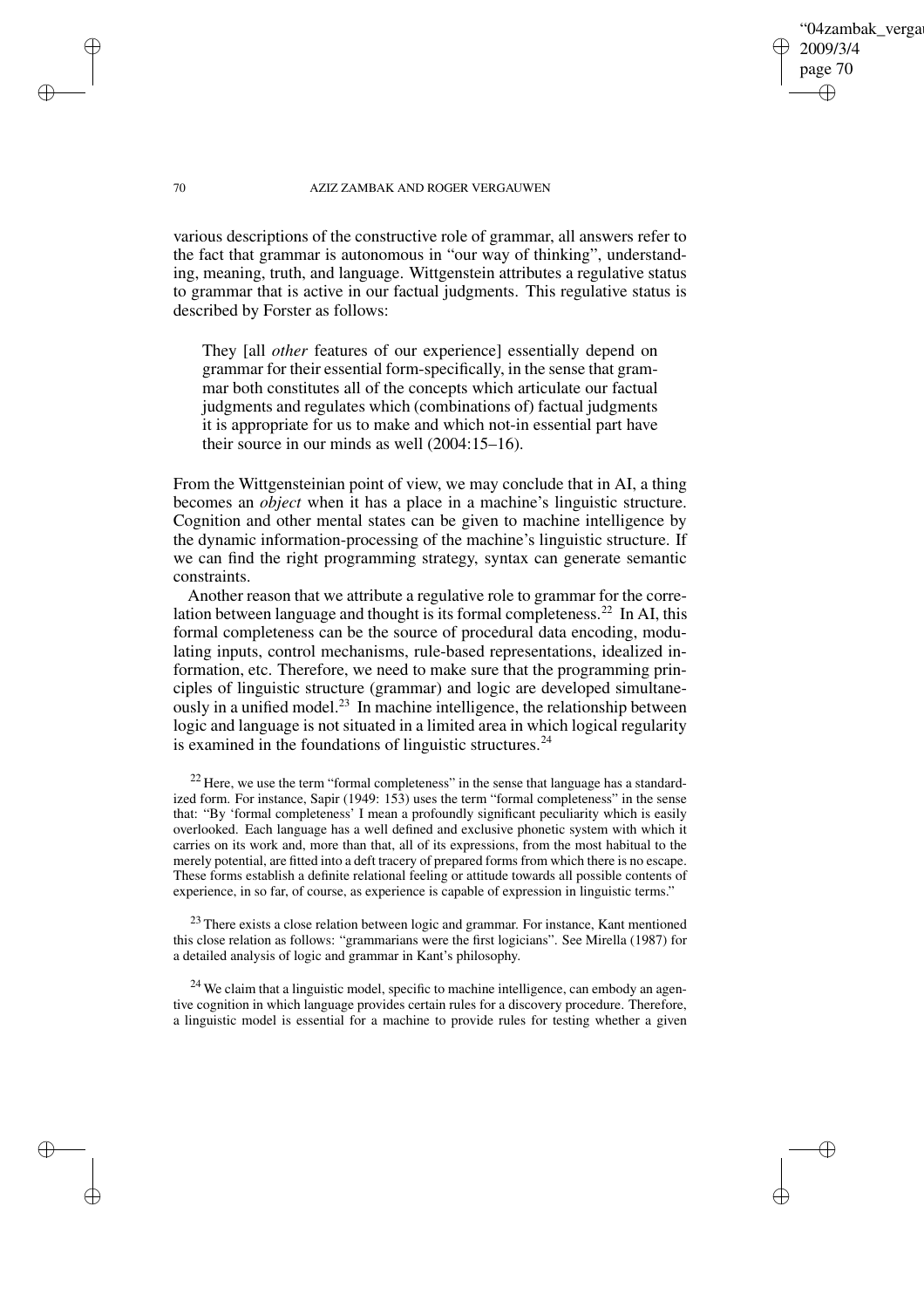04zambak verga 2009/3/4 page 70 ✐ ✐

✐

✐

#### 70 AZIZ ZAMBAK AND ROGER VERGAUWEN

various descriptions of the constructive role of grammar, all answers refer to the fact that grammar is autonomous in "our way of thinking", understanding, meaning, truth, and language. Wittgenstein attributes a regulative status to grammar that is active in our factual judgments. This regulative status is described by Forster as follows:

They [all *other* features of our experience] essentially depend on grammar for their essential form-specifically, in the sense that grammar both constitutes all of the concepts which articulate our factual judgments and regulates which (combinations of) factual judgments it is appropriate for us to make and which not-in essential part have their source in our minds as well (2004:15–16).

From the Wittgensteinian point of view, we may conclude that in AI, a thing becomes an *object* when it has a place in a machine's linguistic structure. Cognition and other mental states can be given to machine intelligence by the dynamic information-processing of the machine's linguistic structure. If we can find the right programming strategy, syntax can generate semantic constraints.

Another reason that we attribute a regulative role to grammar for the correlation between language and thought is its formal completeness.<sup>22</sup> In AI, this formal completeness can be the source of procedural data encoding, modulating inputs, control mechanisms, rule-based representations, idealized information, etc. Therefore, we need to make sure that the programming principles of linguistic structure (grammar) and logic are developed simultaneously in a unified model.<sup>23</sup> In machine intelligence, the relationship between logic and language is not situated in a limited area in which logical regularity is examined in the foundations of linguistic structures. $24$ 

 $22$  Here, we use the term "formal completeness" in the sense that language has a standardized form. For instance, Sapir (1949: 153) uses the term "formal completeness" in the sense that: "By 'formal completeness' I mean a profoundly significant peculiarity which is easily overlooked. Each language has a well defined and exclusive phonetic system with which it carries on its work and, more than that, all of its expressions, from the most habitual to the merely potential, are fitted into a deft tracery of prepared forms from which there is no escape. These forms establish a definite relational feeling or attitude towards all possible contents of experience, in so far, of course, as experience is capable of expression in linguistic terms."

<sup>23</sup> There exists a close relation between logic and grammar. For instance, Kant mentioned this close relation as follows: "grammarians were the first logicians". See Mirella (1987) for a detailed analysis of logic and grammar in Kant's philosophy.

 $24$  We claim that a linguistic model, specific to machine intelligence, can embody an agentive cognition in which language provides certain rules for a discovery procedure. Therefore, a linguistic model is essential for a machine to provide rules for testing whether a given

✐

✐

✐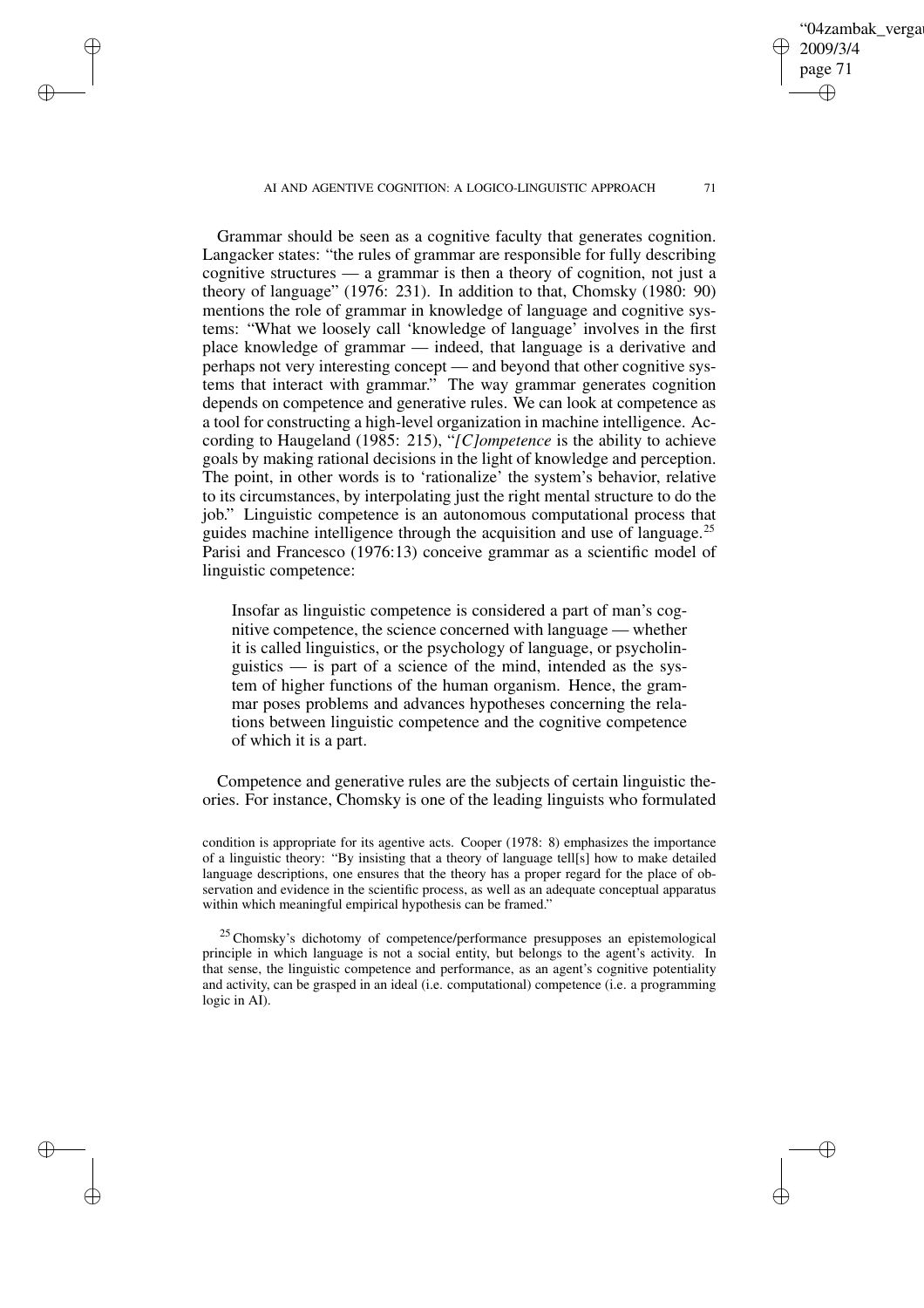✐

✐

✐

✐

Grammar should be seen as a cognitive faculty that generates cognition. Langacker states: "the rules of grammar are responsible for fully describing cognitive structures — a grammar is then a theory of cognition, not just a theory of language" (1976: 231). In addition to that, Chomsky (1980: 90) mentions the role of grammar in knowledge of language and cognitive systems: "What we loosely call 'knowledge of language' involves in the first place knowledge of grammar — indeed, that language is a derivative and perhaps not very interesting concept — and beyond that other cognitive systems that interact with grammar." The way grammar generates cognition depends on competence and generative rules. We can look at competence as a tool for constructing a high-level organization in machine intelligence. According to Haugeland (1985: 215), "*[C]ompetence* is the ability to achieve goals by making rational decisions in the light of knowledge and perception. The point, in other words is to 'rationalize' the system's behavior, relative to its circumstances, by interpolating just the right mental structure to do the job." Linguistic competence is an autonomous computational process that guides machine intelligence through the acquisition and use of language.<sup>25</sup> Parisi and Francesco (1976:13) conceive grammar as a scientific model of linguistic competence:

Insofar as linguistic competence is considered a part of man's cognitive competence, the science concerned with language — whether it is called linguistics, or the psychology of language, or psycholinguistics — is part of a science of the mind, intended as the system of higher functions of the human organism. Hence, the grammar poses problems and advances hypotheses concerning the relations between linguistic competence and the cognitive competence of which it is a part.

Competence and generative rules are the subjects of certain linguistic theories. For instance, Chomsky is one of the leading linguists who formulated

condition is appropriate for its agentive acts. Cooper (1978: 8) emphasizes the importance of a linguistic theory: "By insisting that a theory of language tell[s] how to make detailed language descriptions, one ensures that the theory has a proper regard for the place of observation and evidence in the scientific process, as well as an adequate conceptual apparatus within which meaningful empirical hypothesis can be framed."

<sup>25</sup> Chomsky's dichotomy of competence/performance presupposes an epistemological principle in which language is not a social entity, but belongs to the agent's activity. In that sense, the linguistic competence and performance, as an agent's cognitive potentiality and activity, can be grasped in an ideal (i.e. computational) competence (i.e. a programming logic in AI).

04zambak verga

2009/3/4 page 71

✐

✐

✐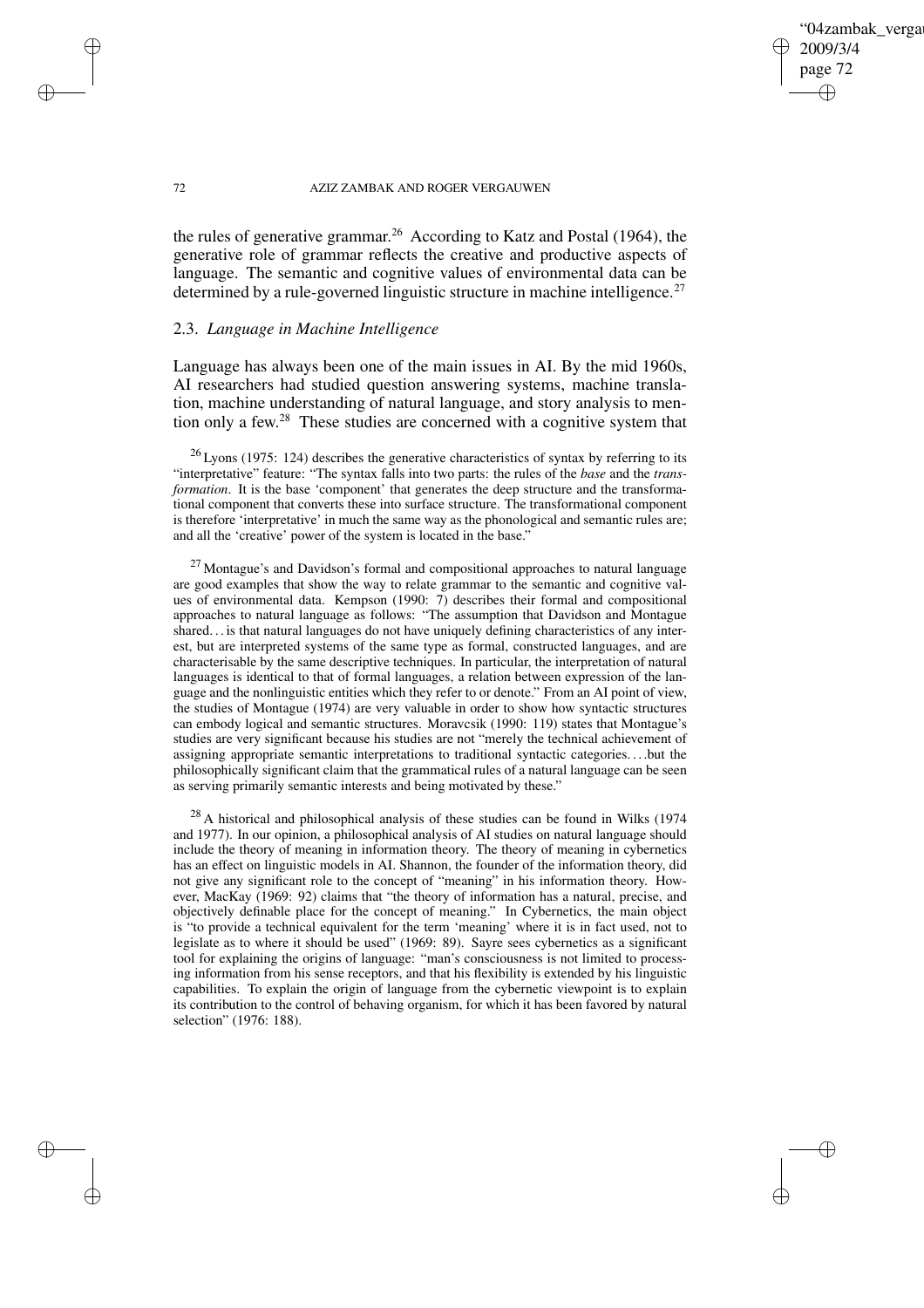✐

#### 72 AZIZ ZAMBAK AND ROGER VERGAUWEN

the rules of generative grammar.<sup>26</sup> According to Katz and Postal (1964), the generative role of grammar reflects the creative and productive aspects of language. The semantic and cognitive values of environmental data can be determined by a rule-governed linguistic structure in machine intelligence.<sup>27</sup>

## 2.3. *Language in Machine Intelligence*

✐

✐

✐

✐

Language has always been one of the main issues in AI. By the mid 1960s, AI researchers had studied question answering systems, machine translation, machine understanding of natural language, and story analysis to mention only a few. <sup>28</sup> These studies are concerned with a cognitive system that

 $26$  Lyons (1975: 124) describes the generative characteristics of syntax by referring to its "interpretative" feature: "The syntax falls into two parts: the rules of the *base* and the *transformation*. It is the base 'component' that generates the deep structure and the transformational component that converts these into surface structure. The transformational component is therefore 'interpretative' in much the same way as the phonological and semantic rules are; and all the 'creative' power of the system is located in the base."

 $27$  Montague's and Davidson's formal and compositional approaches to natural language are good examples that show the way to relate grammar to the semantic and cognitive values of environmental data. Kempson (1990: 7) describes their formal and compositional approaches to natural language as follows: "The assumption that Davidson and Montague shared. . . is that natural languages do not have uniquely defining characteristics of any interest, but are interpreted systems of the same type as formal, constructed languages, and are characterisable by the same descriptive techniques. In particular, the interpretation of natural languages is identical to that of formal languages, a relation between expression of the language and the nonlinguistic entities which they refer to or denote." From an AI point of view, the studies of Montague (1974) are very valuable in order to show how syntactic structures can embody logical and semantic structures. Moravcsik (1990: 119) states that Montague's studies are very significant because his studies are not "merely the technical achievement of assigning appropriate semantic interpretations to traditional syntactic categories. . . .but the philosophically significant claim that the grammatical rules of a natural language can be seen as serving primarily semantic interests and being motivated by these."

 $^{28}$  A historical and philosophical analysis of these studies can be found in Wilks (1974) and 1977). In our opinion, a philosophical analysis of AI studies on natural language should include the theory of meaning in information theory. The theory of meaning in cybernetics has an effect on linguistic models in AI. Shannon, the founder of the information theory, did not give any significant role to the concept of "meaning" in his information theory. However, MacKay (1969: 92) claims that "the theory of information has a natural, precise, and objectively definable place for the concept of meaning." In Cybernetics, the main object is "to provide a technical equivalent for the term 'meaning' where it is in fact used, not to legislate as to where it should be used" (1969: 89). Sayre sees cybernetics as a significant tool for explaining the origins of language: "man's consciousness is not limited to processing information from his sense receptors, and that his flexibility is extended by his linguistic capabilities. To explain the origin of language from the cybernetic viewpoint is to explain its contribution to the control of behaving organism, for which it has been favored by natural selection" (1976: 188).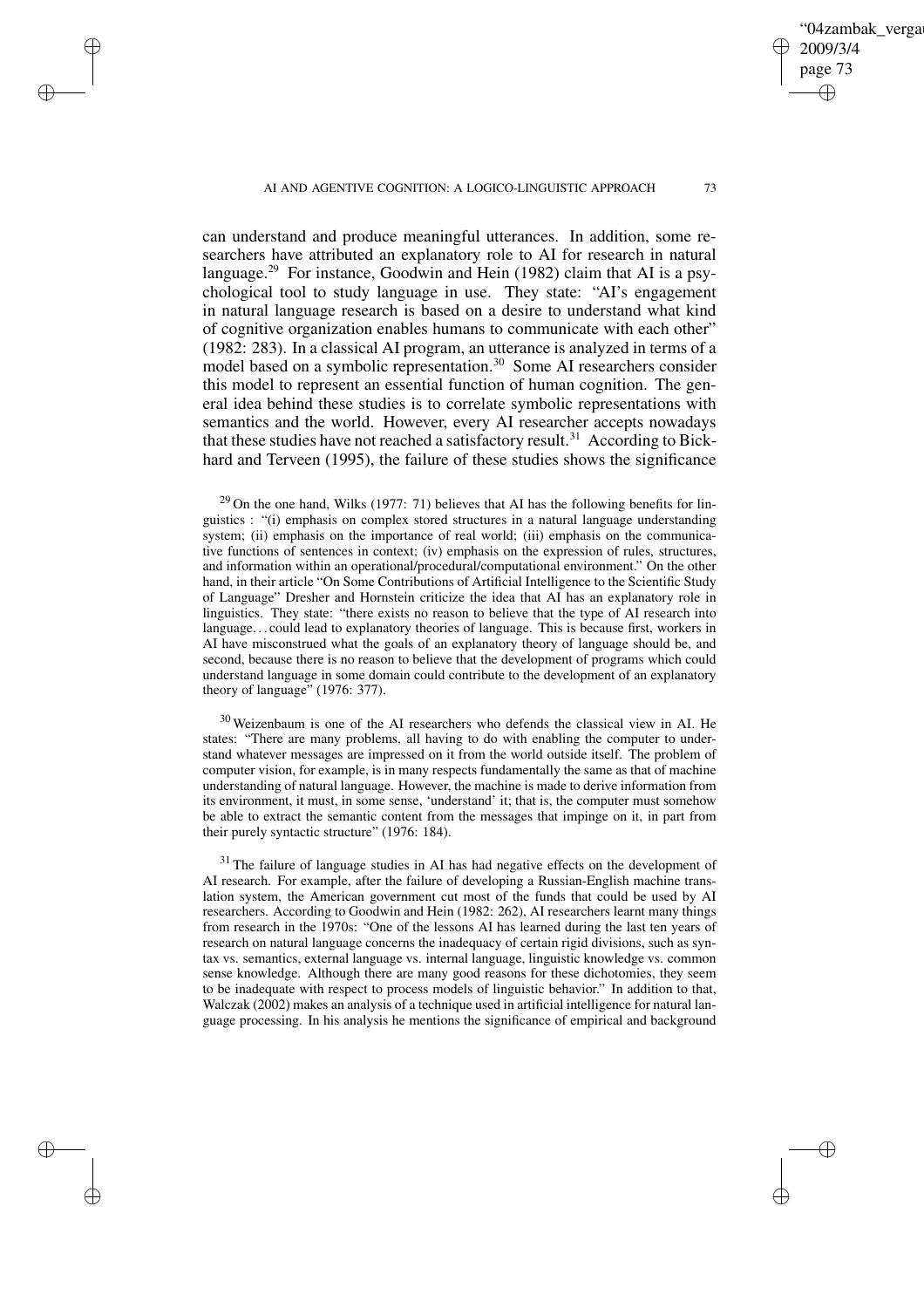✐

✐

✐

✐

can understand and produce meaningful utterances. In addition, some researchers have attributed an explanatory role to AI for research in natural language.<sup>29</sup> For instance, Goodwin and Hein (1982) claim that AI is a psychological tool to study language in use. They state: "AI's engagement in natural language research is based on a desire to understand what kind of cognitive organization enables humans to communicate with each other" (1982: 283). In a classical AI program, an utterance is analyzed in terms of a model based on a symbolic representation.<sup>30</sup> Some AI researchers consider this model to represent an essential function of human cognition. The general idea behind these studies is to correlate symbolic representations with semantics and the world. However, every AI researcher accepts nowadays that these studies have not reached a satisfactory result.<sup>31</sup> According to Bickhard and Terveen (1995), the failure of these studies shows the significance

 $29$  On the one hand, Wilks (1977: 71) believes that AI has the following benefits for linguistics : "(i) emphasis on complex stored structures in a natural language understanding system; (ii) emphasis on the importance of real world; (iii) emphasis on the communicative functions of sentences in context; (iv) emphasis on the expression of rules, structures, and information within an operational/procedural/computational environment." On the other hand, in their article "On Some Contributions of Artificial Intelligence to the Scientific Study of Language" Dresher and Hornstein criticize the idea that AI has an explanatory role in linguistics. They state: "there exists no reason to believe that the type of AI research into language. . . could lead to explanatory theories of language. This is because first, workers in AI have misconstrued what the goals of an explanatory theory of language should be, and second, because there is no reason to believe that the development of programs which could understand language in some domain could contribute to the development of an explanatory theory of language" (1976: 377).

<sup>30</sup> Weizenbaum is one of the AI researchers who defends the classical view in AI. He states: "There are many problems, all having to do with enabling the computer to understand whatever messages are impressed on it from the world outside itself. The problem of computer vision, for example, is in many respects fundamentally the same as that of machine understanding of natural language. However, the machine is made to derive information from its environment, it must, in some sense, 'understand' it; that is, the computer must somehow be able to extract the semantic content from the messages that impinge on it, in part from their purely syntactic structure" (1976: 184).

<sup>31</sup> The failure of language studies in AI has had negative effects on the development of AI research. For example, after the failure of developing a Russian-English machine translation system, the American government cut most of the funds that could be used by AI researchers. According to Goodwin and Hein (1982: 262), AI researchers learnt many things from research in the 1970s: "One of the lessons AI has learned during the last ten years of research on natural language concerns the inadequacy of certain rigid divisions, such as syntax vs. semantics, external language vs. internal language, linguistic knowledge vs. common sense knowledge. Although there are many good reasons for these dichotomies, they seem to be inadequate with respect to process models of linguistic behavior." In addition to that, Walczak (2002) makes an analysis of a technique used in artificial intelligence for natural language processing. In his analysis he mentions the significance of empirical and background

04zambak verga

2009/3/4 page 73

✐

✐

✐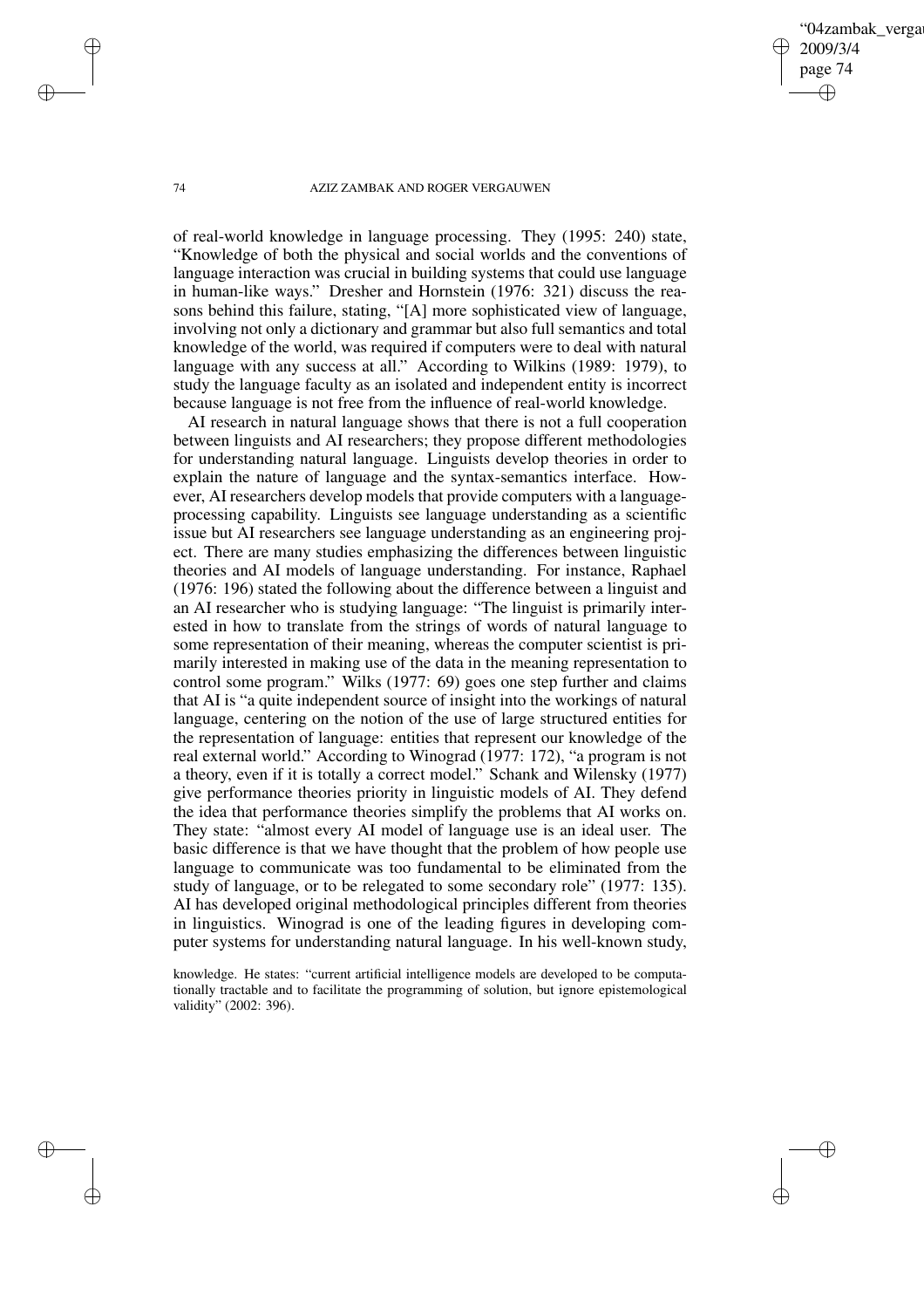04zambak verga 2009/3/4 page 74 ✐ ✐

✐

✐

#### 74 AZIZ ZAMBAK AND ROGER VERGAUWEN

of real-world knowledge in language processing. They (1995: 240) state, "Knowledge of both the physical and social worlds and the conventions of language interaction was crucial in building systems that could use language in human-like ways." Dresher and Hornstein (1976: 321) discuss the reasons behind this failure, stating, "[A] more sophisticated view of language, involving not only a dictionary and grammar but also full semantics and total knowledge of the world, was required if computers were to deal with natural language with any success at all." According to Wilkins (1989: 1979), to study the language faculty as an isolated and independent entity is incorrect because language is not free from the influence of real-world knowledge.

AI research in natural language shows that there is not a full cooperation between linguists and AI researchers; they propose different methodologies for understanding natural language. Linguists develop theories in order to explain the nature of language and the syntax-semantics interface. However, AI researchers develop models that provide computers with a languageprocessing capability. Linguists see language understanding as a scientific issue but AI researchers see language understanding as an engineering project. There are many studies emphasizing the differences between linguistic theories and AI models of language understanding. For instance, Raphael (1976: 196) stated the following about the difference between a linguist and an AI researcher who is studying language: "The linguist is primarily interested in how to translate from the strings of words of natural language to some representation of their meaning, whereas the computer scientist is primarily interested in making use of the data in the meaning representation to control some program." Wilks (1977: 69) goes one step further and claims that AI is "a quite independent source of insight into the workings of natural language, centering on the notion of the use of large structured entities for the representation of language: entities that represent our knowledge of the real external world." According to Winograd (1977: 172), "a program is not a theory, even if it is totally a correct model." Schank and Wilensky (1977) give performance theories priority in linguistic models of AI. They defend the idea that performance theories simplify the problems that AI works on. They state: "almost every AI model of language use is an ideal user. The basic difference is that we have thought that the problem of how people use language to communicate was too fundamental to be eliminated from the study of language, or to be relegated to some secondary role" (1977: 135). AI has developed original methodological principles different from theories in linguistics. Winograd is one of the leading figures in developing computer systems for understanding natural language. In his well-known study,

knowledge. He states: "current artificial intelligence models are developed to be computationally tractable and to facilitate the programming of solution, but ignore epistemological validity" (2002: 396).

✐

✐

✐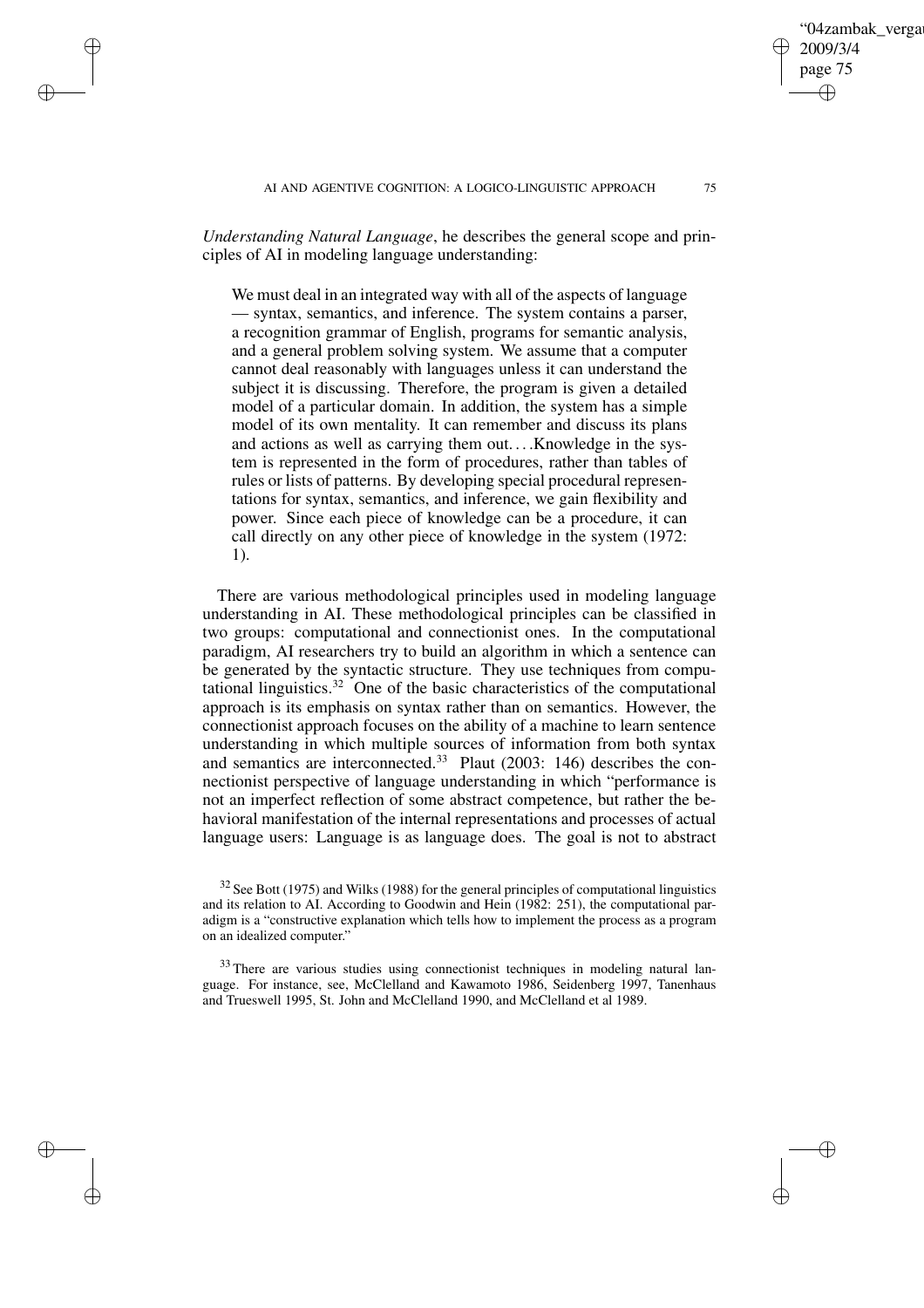*Understanding Natural Language*, he describes the general scope and principles of AI in modeling language understanding:

✐

✐

✐

✐

We must deal in an integrated way with all of the aspects of language — syntax, semantics, and inference. The system contains a parser, a recognition grammar of English, programs for semantic analysis, and a general problem solving system. We assume that a computer cannot deal reasonably with languages unless it can understand the subject it is discussing. Therefore, the program is given a detailed model of a particular domain. In addition, the system has a simple model of its own mentality. It can remember and discuss its plans and actions as well as carrying them out....Knowledge in the system is represented in the form of procedures, rather than tables of rules or lists of patterns. By developing special procedural representations for syntax, semantics, and inference, we gain flexibility and power. Since each piece of knowledge can be a procedure, it can call directly on any other piece of knowledge in the system (1972: 1).

There are various methodological principles used in modeling language understanding in AI. These methodological principles can be classified in two groups: computational and connectionist ones. In the computational paradigm, AI researchers try to build an algorithm in which a sentence can be generated by the syntactic structure. They use techniques from computational linguistics.<sup>32</sup> One of the basic characteristics of the computational approach is its emphasis on syntax rather than on semantics. However, the connectionist approach focuses on the ability of a machine to learn sentence understanding in which multiple sources of information from both syntax and semantics are interconnected.<sup>33</sup> Plaut (2003: 146) describes the connectionist perspective of language understanding in which "performance is not an imperfect reflection of some abstract competence, but rather the behavioral manifestation of the internal representations and processes of actual language users: Language is as language does. The goal is not to abstract

04zambak verga

2009/3/4 page 75

✐

✐

✐

 $32$  See Bott (1975) and Wilks (1988) for the general principles of computational linguistics and its relation to AI. According to Goodwin and Hein (1982: 251), the computational paradigm is a "constructive explanation which tells how to implement the process as a program on an idealized computer."

<sup>&</sup>lt;sup>33</sup> There are various studies using connectionist techniques in modeling natural language. For instance, see, McClelland and Kawamoto 1986, Seidenberg 1997, Tanenhaus and Trueswell 1995, St. John and McClelland 1990, and McClelland et al 1989.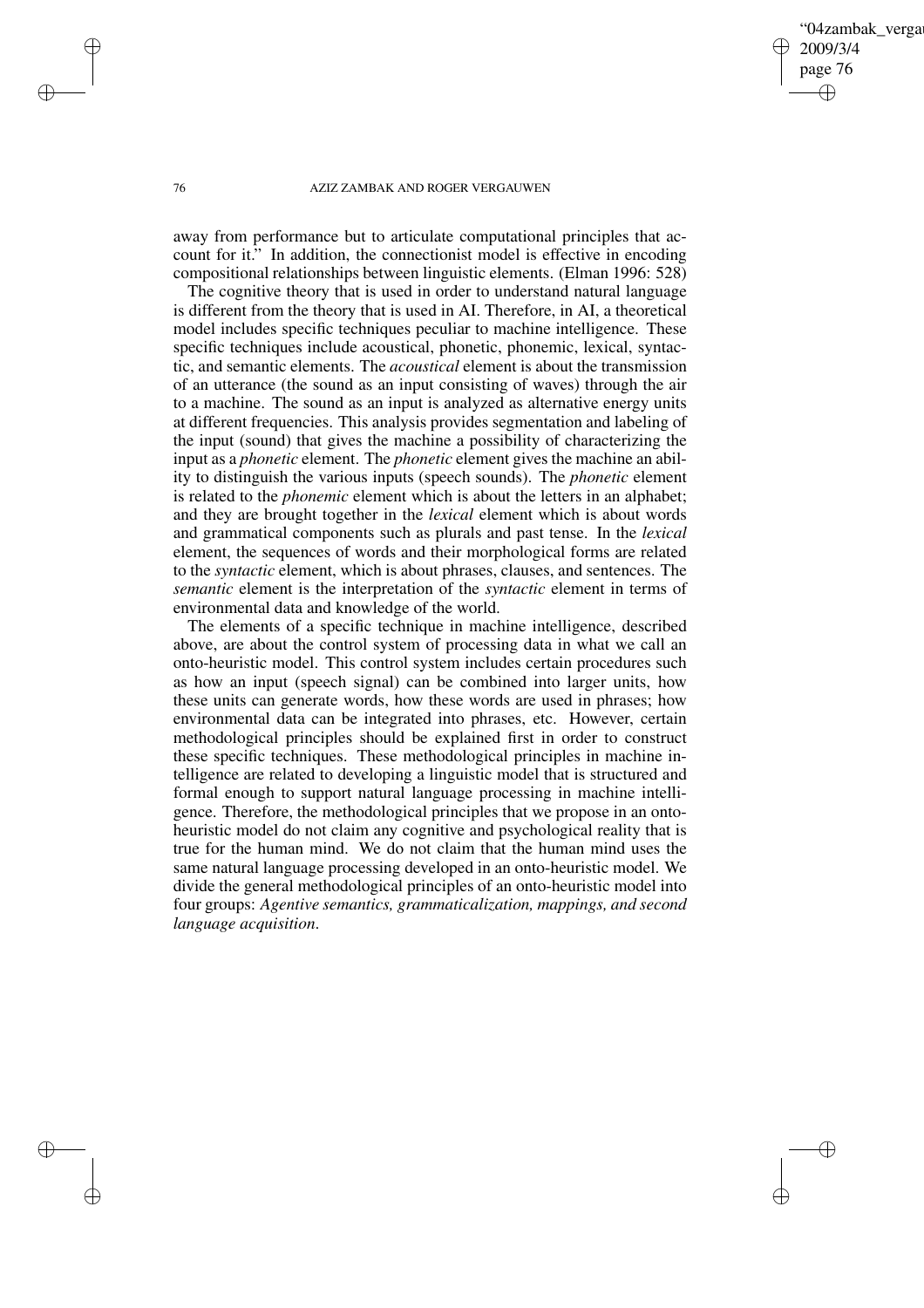04zambak verga 2009/3/4 page 76 ✐ ✐

✐

✐

#### 76 AZIZ ZAMBAK AND ROGER VERGAUWEN

away from performance but to articulate computational principles that account for it." In addition, the connectionist model is effective in encoding compositional relationships between linguistic elements. (Elman 1996: 528)

The cognitive theory that is used in order to understand natural language is different from the theory that is used in AI. Therefore, in AI, a theoretical model includes specific techniques peculiar to machine intelligence. These specific techniques include acoustical, phonetic, phonemic, lexical, syntactic, and semantic elements. The *acoustical* element is about the transmission of an utterance (the sound as an input consisting of waves) through the air to a machine. The sound as an input is analyzed as alternative energy units at different frequencies. This analysis provides segmentation and labeling of the input (sound) that gives the machine a possibility of characterizing the input as a *phonetic* element. The *phonetic* element gives the machine an ability to distinguish the various inputs (speech sounds). The *phonetic* element is related to the *phonemic* element which is about the letters in an alphabet; and they are brought together in the *lexical* element which is about words and grammatical components such as plurals and past tense. In the *lexical* element, the sequences of words and their morphological forms are related to the *syntactic* element, which is about phrases, clauses, and sentences. The *semantic* element is the interpretation of the *syntactic* element in terms of environmental data and knowledge of the world.

The elements of a specific technique in machine intelligence, described above, are about the control system of processing data in what we call an onto-heuristic model. This control system includes certain procedures such as how an input (speech signal) can be combined into larger units, how these units can generate words, how these words are used in phrases; how environmental data can be integrated into phrases, etc. However, certain methodological principles should be explained first in order to construct these specific techniques. These methodological principles in machine intelligence are related to developing a linguistic model that is structured and formal enough to support natural language processing in machine intelligence. Therefore, the methodological principles that we propose in an ontoheuristic model do not claim any cognitive and psychological reality that is true for the human mind. We do not claim that the human mind uses the same natural language processing developed in an onto-heuristic model. We divide the general methodological principles of an onto-heuristic model into four groups: *Agentive semantics, grammaticalization, mappings, and second language acquisition*.

 $\rightarrow$ 

 $\rightarrow$ 

✐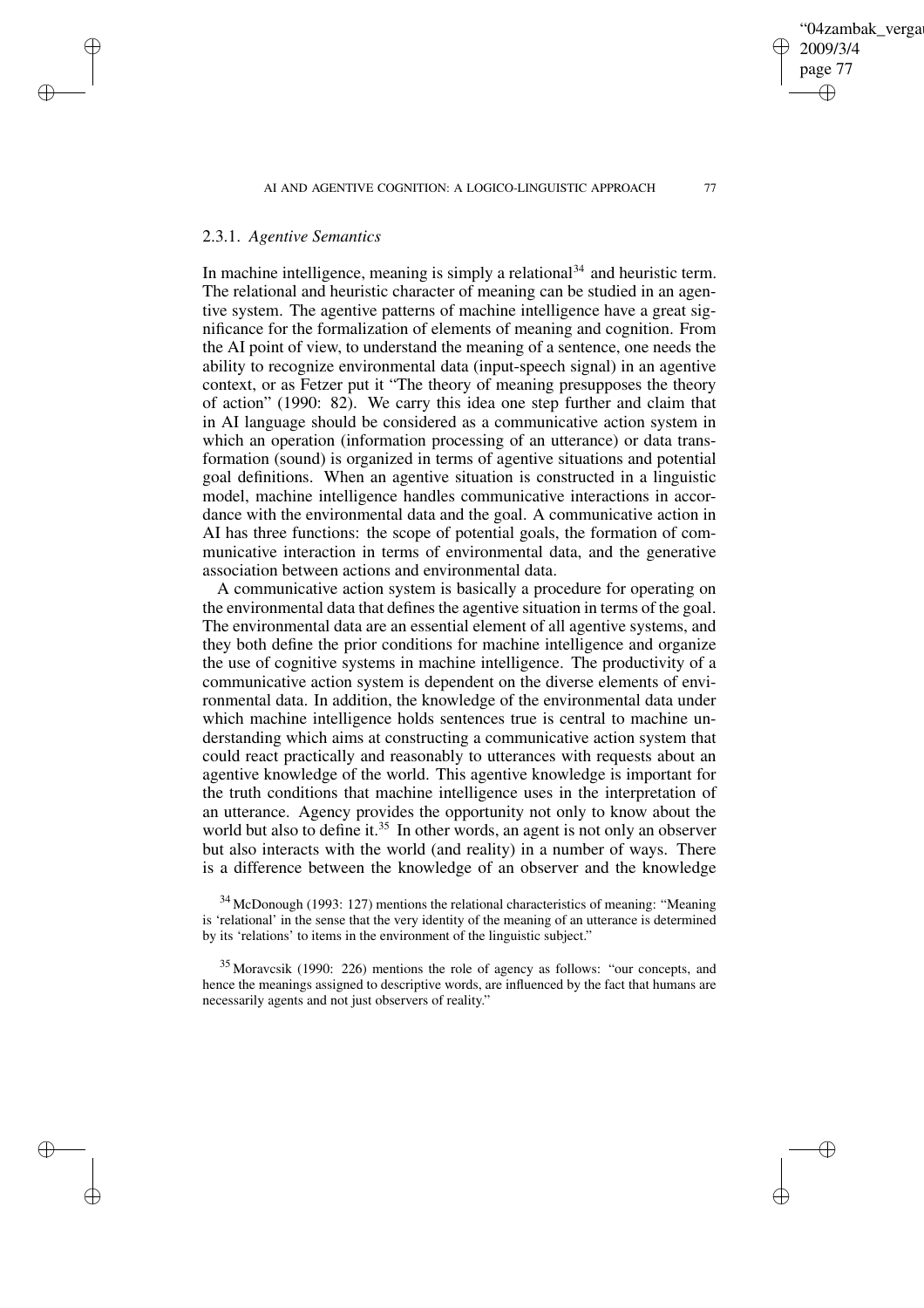# 2.3.1. *Agentive Semantics*

 $\rightarrow$ 

 $\rightarrow$ 

✐

✐

In machine intelligence, meaning is simply a relational  $34$  and heuristic term. The relational and heuristic character of meaning can be studied in an agentive system. The agentive patterns of machine intelligence have a great significance for the formalization of elements of meaning and cognition. From the AI point of view, to understand the meaning of a sentence, one needs the ability to recognize environmental data (input-speech signal) in an agentive context, or as Fetzer put it "The theory of meaning presupposes the theory of action" (1990: 82). We carry this idea one step further and claim that in AI language should be considered as a communicative action system in which an operation (information processing of an utterance) or data transformation (sound) is organized in terms of agentive situations and potential goal definitions. When an agentive situation is constructed in a linguistic model, machine intelligence handles communicative interactions in accordance with the environmental data and the goal. A communicative action in AI has three functions: the scope of potential goals, the formation of communicative interaction in terms of environmental data, and the generative association between actions and environmental data.

A communicative action system is basically a procedure for operating on the environmental data that defines the agentive situation in terms of the goal. The environmental data are an essential element of all agentive systems, and they both define the prior conditions for machine intelligence and organize the use of cognitive systems in machine intelligence. The productivity of a communicative action system is dependent on the diverse elements of environmental data. In addition, the knowledge of the environmental data under which machine intelligence holds sentences true is central to machine understanding which aims at constructing a communicative action system that could react practically and reasonably to utterances with requests about an agentive knowledge of the world. This agentive knowledge is important for the truth conditions that machine intelligence uses in the interpretation of an utterance. Agency provides the opportunity not only to know about the world but also to define it.<sup>35</sup> In other words, an agent is not only an observer but also interacts with the world (and reality) in a number of ways. There is a difference between the knowledge of an observer and the knowledge

<sup>34</sup> McDonough (1993: 127) mentions the relational characteristics of meaning: "Meaning is 'relational' in the sense that the very identity of the meaning of an utterance is determined by its 'relations' to items in the environment of the linguistic subject."

<sup>35</sup> Moravcsik (1990: 226) mentions the role of agency as follows: "our concepts, and hence the meanings assigned to descriptive words, are influenced by the fact that humans are necessarily agents and not just observers of reality."

04zambak verga

2009/3/4 page 77

✐

✐

✐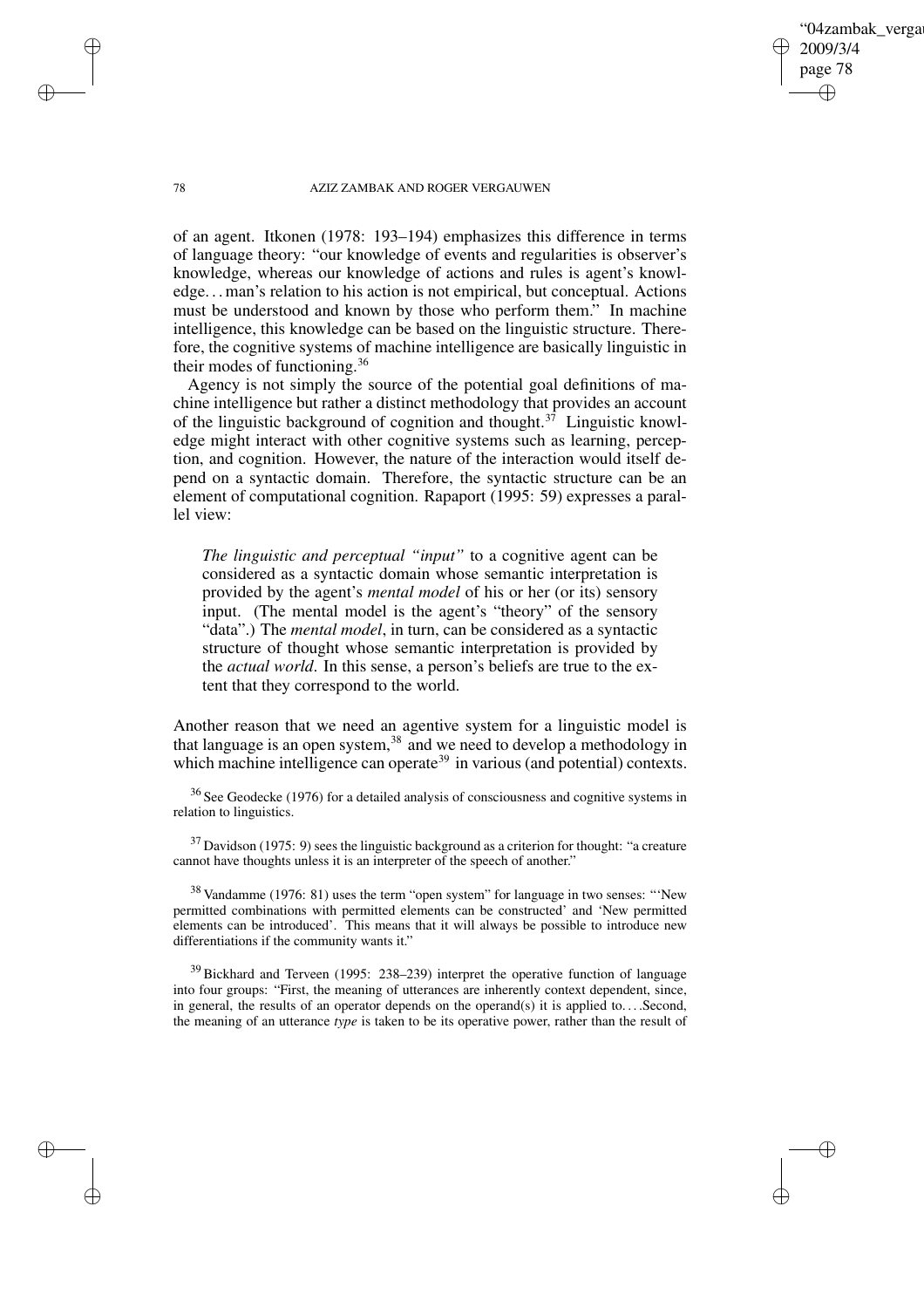78 AZIZ ZAMBAK AND ROGER VERGAUWEN

'04zambak verga

2009/3/4 page 78

✐

✐

✐

✐

of an agent. Itkonen (1978: 193–194) emphasizes this difference in terms of language theory: "our knowledge of events and regularities is observer's knowledge, whereas our knowledge of actions and rules is agent's knowledge. . .man's relation to his action is not empirical, but conceptual. Actions must be understood and known by those who perform them." In machine intelligence, this knowledge can be based on the linguistic structure. Therefore, the cognitive systems of machine intelligence are basically linguistic in their modes of functioning.<sup>36</sup>

Agency is not simply the source of the potential goal definitions of machine intelligence but rather a distinct methodology that provides an account of the linguistic background of cognition and thought.<sup>37</sup> Linguistic knowledge might interact with other cognitive systems such as learning, perception, and cognition. However, the nature of the interaction would itself depend on a syntactic domain. Therefore, the syntactic structure can be an element of computational cognition. Rapaport (1995: 59) expresses a parallel view:

*The linguistic and perceptual "input"* to a cognitive agent can be considered as a syntactic domain whose semantic interpretation is provided by the agent's *mental model* of his or her (or its) sensory input. (The mental model is the agent's "theory" of the sensory "data".) The *mental model*, in turn, can be considered as a syntactic structure of thought whose semantic interpretation is provided by the *actual world*. In this sense, a person's beliefs are true to the extent that they correspond to the world.

Another reason that we need an agentive system for a linguistic model is that language is an open system, $38$  and we need to develop a methodology in which machine intelligence can operate<sup>39</sup> in various (and potential) contexts.

<sup>36</sup> See Geodecke (1976) for a detailed analysis of consciousness and cognitive systems in relation to linguistics.

 $37$  Davidson (1975: 9) sees the linguistic background as a criterion for thought: "a creature cannot have thoughts unless it is an interpreter of the speech of another."

<sup>38</sup> Vandamme (1976: 81) uses the term "open system" for language in two senses: "'New permitted combinations with permitted elements can be constructed' and 'New permitted elements can be introduced'. This means that it will always be possible to introduce new differentiations if the community wants it."

<sup>39</sup> Bickhard and Terveen (1995: 238–239) interpret the operative function of language into four groups: "First, the meaning of utterances are inherently context dependent, since, in general, the results of an operator depends on the operand(s) it is applied to....Second, the meaning of an utterance *type* is taken to be its operative power, rather than the result of

 $\rightarrow$ 

 $\rightarrow$ 

✐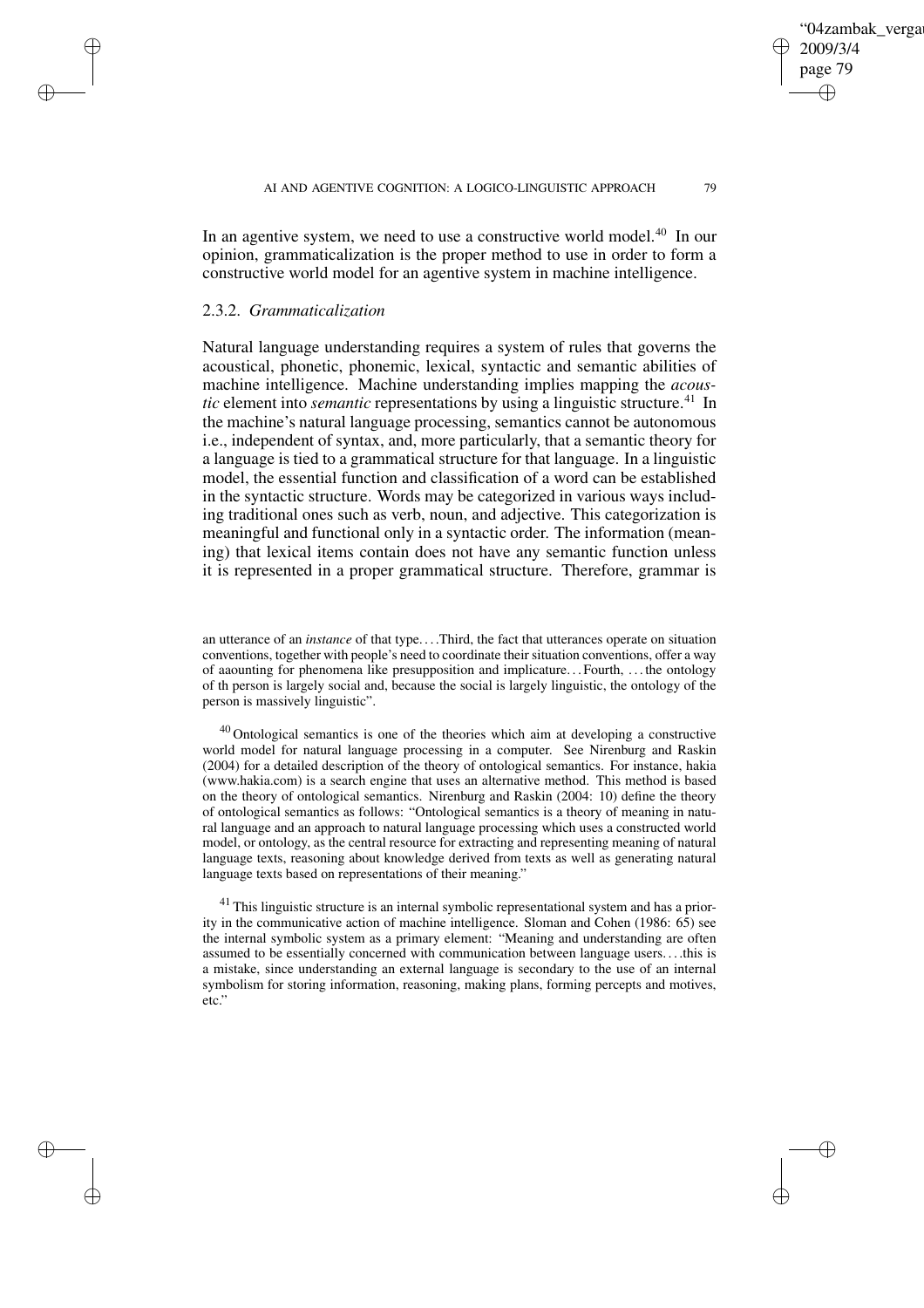✐

In an agentive system, we need to use a constructive world model.<sup>40</sup> In our opinion, grammaticalization is the proper method to use in order to form a constructive world model for an agentive system in machine intelligence.

## 2.3.2. *Grammaticalization*

 $\rightarrow$ 

 $\rightarrow$ 

✐

✐

Natural language understanding requires a system of rules that governs the acoustical, phonetic, phonemic, lexical, syntactic and semantic abilities of machine intelligence. Machine understanding implies mapping the *acoustic* element into *semantic* representations by using a linguistic structure.<sup>41</sup> In the machine's natural language processing, semantics cannot be autonomous i.e., independent of syntax, and, more particularly, that a semantic theory for a language is tied to a grammatical structure for that language. In a linguistic model, the essential function and classification of a word can be established in the syntactic structure. Words may be categorized in various ways including traditional ones such as verb, noun, and adjective. This categorization is meaningful and functional only in a syntactic order. The information (meaning) that lexical items contain does not have any semantic function unless it is represented in a proper grammatical structure. Therefore, grammar is

an utterance of an *instance* of that type. . . .Third, the fact that utterances operate on situation conventions, together with people's need to coordinate their situation conventions, offer a way of aaounting for phenomena like presupposition and implicature. . . Fourth, . . . the ontology of th person is largely social and, because the social is largely linguistic, the ontology of the person is massively linguistic".

<sup>40</sup> Ontological semantics is one of the theories which aim at developing a constructive world model for natural language processing in a computer. See Nirenburg and Raskin (2004) for a detailed description of the theory of ontological semantics. For instance, hakia (www.hakia.com) is a search engine that uses an alternative method. This method is based on the theory of ontological semantics. Nirenburg and Raskin (2004: 10) define the theory of ontological semantics as follows: "Ontological semantics is a theory of meaning in natural language and an approach to natural language processing which uses a constructed world model, or ontology, as the central resource for extracting and representing meaning of natural language texts, reasoning about knowledge derived from texts as well as generating natural language texts based on representations of their meaning."

 $41$  This linguistic structure is an internal symbolic representational system and has a priority in the communicative action of machine intelligence. Sloman and Cohen (1986: 65) see the internal symbolic system as a primary element: "Meaning and understanding are often assumed to be essentially concerned with communication between language users. . . .this is a mistake, since understanding an external language is secondary to the use of an internal symbolism for storing information, reasoning, making plans, forming percepts and motives, etc."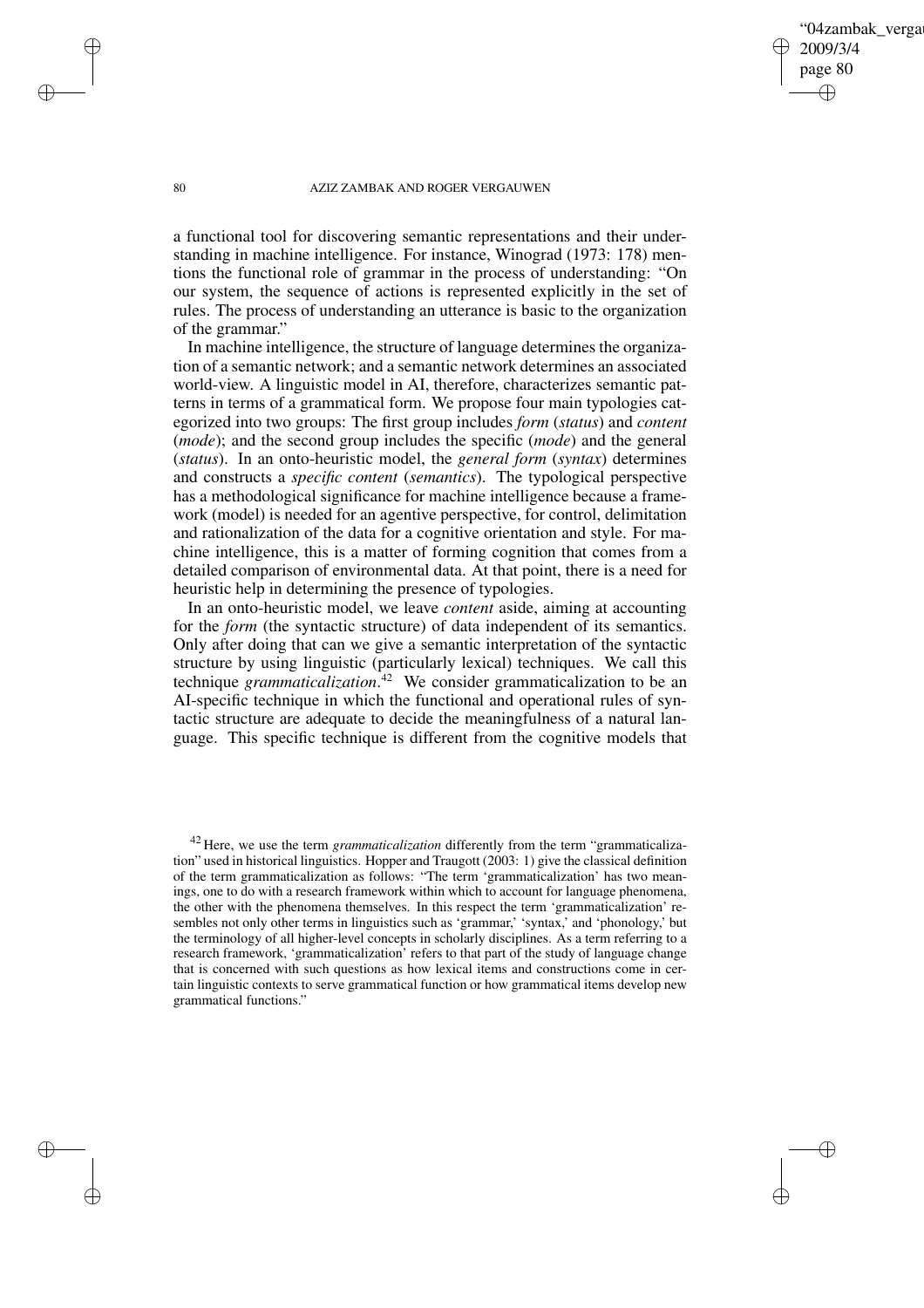04zambak verga 2009/3/4 page 80 ✐ ✐

✐

✐

#### 80 AZIZ ZAMBAK AND ROGER VERGAUWEN

 $\rightarrow$ 

 $\rightarrow$ 

✐

✐

a functional tool for discovering semantic representations and their understanding in machine intelligence. For instance, Winograd (1973: 178) mentions the functional role of grammar in the process of understanding: "On our system, the sequence of actions is represented explicitly in the set of rules. The process of understanding an utterance is basic to the organization of the grammar."

In machine intelligence, the structure of language determines the organization of a semantic network; and a semantic network determines an associated world-view. A linguistic model in AI, therefore, characterizes semantic patterns in terms of a grammatical form. We propose four main typologies categorized into two groups: The first group includes *form* (*status*) and *content* (*mode*); and the second group includes the specific (*mode*) and the general (*status*). In an onto-heuristic model, the *general form* (*syntax*) determines and constructs a *specific content* (*semantics*). The typological perspective has a methodological significance for machine intelligence because a framework (model) is needed for an agentive perspective, for control, delimitation and rationalization of the data for a cognitive orientation and style. For machine intelligence, this is a matter of forming cognition that comes from a detailed comparison of environmental data. At that point, there is a need for heuristic help in determining the presence of typologies.

In an onto-heuristic model, we leave *content* aside, aiming at accounting for the *form* (the syntactic structure) of data independent of its semantics. Only after doing that can we give a semantic interpretation of the syntactic structure by using linguistic (particularly lexical) techniques. We call this technique *grammaticalization*. <sup>42</sup> We consider grammaticalization to be an AI-specific technique in which the functional and operational rules of syntactic structure are adequate to decide the meaningfulness of a natural language. This specific technique is different from the cognitive models that

<sup>42</sup> Here, we use the term *grammaticalization* differently from the term "grammaticalization" used in historical linguistics. Hopper and Traugott (2003: 1) give the classical definition of the term grammaticalization as follows: "The term 'grammaticalization' has two meanings, one to do with a research framework within which to account for language phenomena, the other with the phenomena themselves. In this respect the term 'grammaticalization' resembles not only other terms in linguistics such as 'grammar,' 'syntax,' and 'phonology,' but the terminology of all higher-level concepts in scholarly disciplines. As a term referring to a research framework, 'grammaticalization' refers to that part of the study of language change that is concerned with such questions as how lexical items and constructions come in certain linguistic contexts to serve grammatical function or how grammatical items develop new grammatical functions."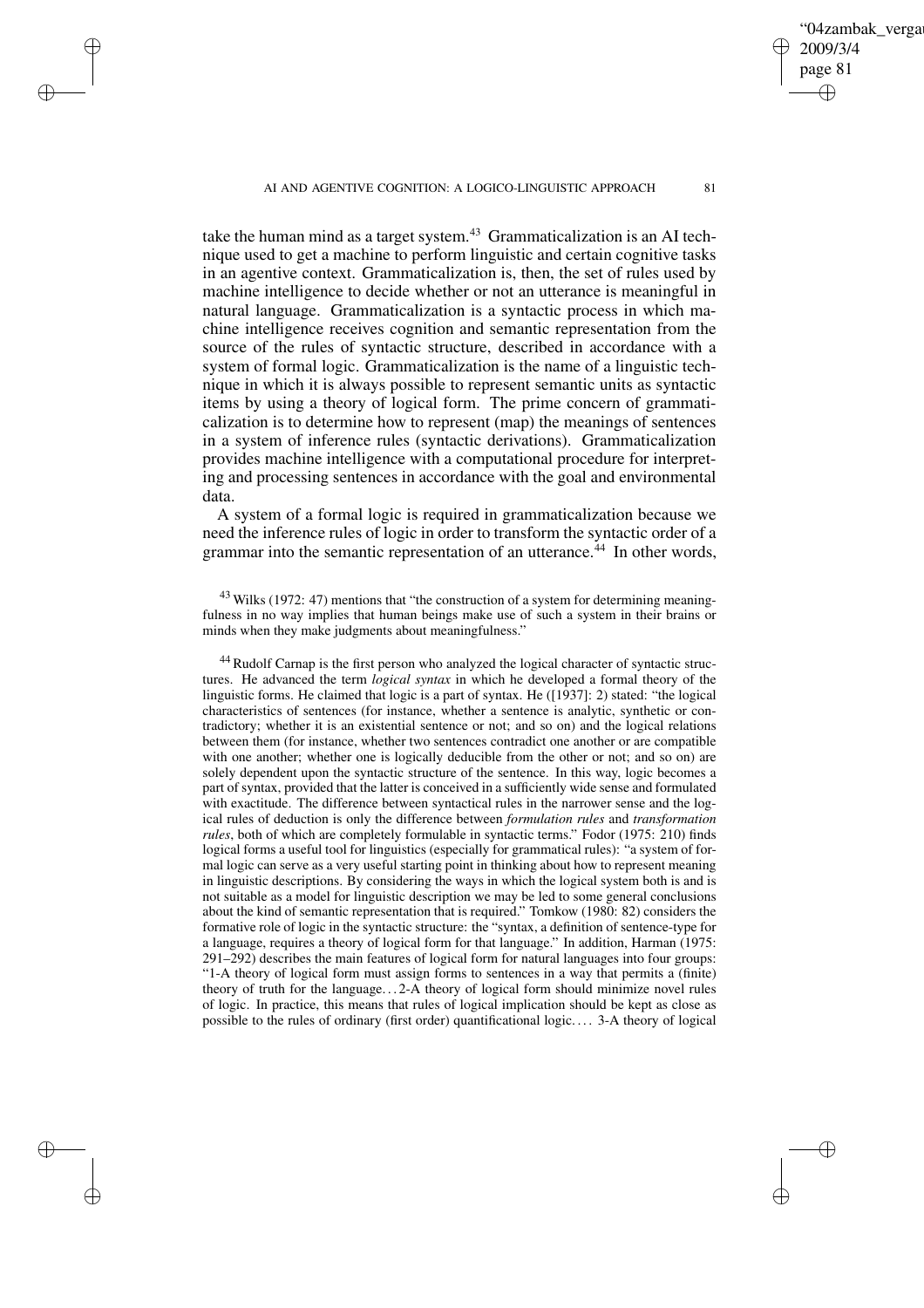$\rightarrow$ 

 $\rightarrow$ 

✐

✐

take the human mind as a target system.<sup>43</sup> Grammaticalization is an AI technique used to get a machine to perform linguistic and certain cognitive tasks in an agentive context. Grammaticalization is, then, the set of rules used by machine intelligence to decide whether or not an utterance is meaningful in natural language. Grammaticalization is a syntactic process in which machine intelligence receives cognition and semantic representation from the source of the rules of syntactic structure, described in accordance with a system of formal logic. Grammaticalization is the name of a linguistic technique in which it is always possible to represent semantic units as syntactic items by using a theory of logical form. The prime concern of grammati-

calization is to determine how to represent (map) the meanings of sentences in a system of inference rules (syntactic derivations). Grammaticalization provides machine intelligence with a computational procedure for interpreting and processing sentences in accordance with the goal and environmental data.

A system of a formal logic is required in grammaticalization because we need the inference rules of logic in order to transform the syntactic order of a grammar into the semantic representation of an utterance.<sup>44</sup> In other words,

<sup>43</sup> Wilks (1972: 47) mentions that "the construction of a system for determining meaningfulness in no way implies that human beings make use of such a system in their brains or minds when they make judgments about meaningfulness."

<sup>44</sup> Rudolf Carnap is the first person who analyzed the logical character of syntactic structures. He advanced the term *logical syntax* in which he developed a formal theory of the linguistic forms. He claimed that logic is a part of syntax. He ([1937]: 2) stated: "the logical characteristics of sentences (for instance, whether a sentence is analytic, synthetic or contradictory; whether it is an existential sentence or not; and so on) and the logical relations between them (for instance, whether two sentences contradict one another or are compatible with one another; whether one is logically deducible from the other or not; and so on) are solely dependent upon the syntactic structure of the sentence. In this way, logic becomes a part of syntax, provided that the latter is conceived in a sufficiently wide sense and formulated with exactitude. The difference between syntactical rules in the narrower sense and the logical rules of deduction is only the difference between *formulation rules* and *transformation rules*, both of which are completely formulable in syntactic terms." Fodor (1975: 210) finds logical forms a useful tool for linguistics (especially for grammatical rules): "a system of formal logic can serve as a very useful starting point in thinking about how to represent meaning in linguistic descriptions. By considering the ways in which the logical system both is and is not suitable as a model for linguistic description we may be led to some general conclusions about the kind of semantic representation that is required." Tomkow (1980: 82) considers the formative role of logic in the syntactic structure: the "syntax, a definition of sentence-type for a language, requires a theory of logical form for that language." In addition, Harman (1975: 291–292) describes the main features of logical form for natural languages into four groups: "1-A theory of logical form must assign forms to sentences in a way that permits a (finite) theory of truth for the language. . . 2-A theory of logical form should minimize novel rules of logic. In practice, this means that rules of logical implication should be kept as close as possible to the rules of ordinary (first order) quantificational logic. . . . 3-A theory of logical

✐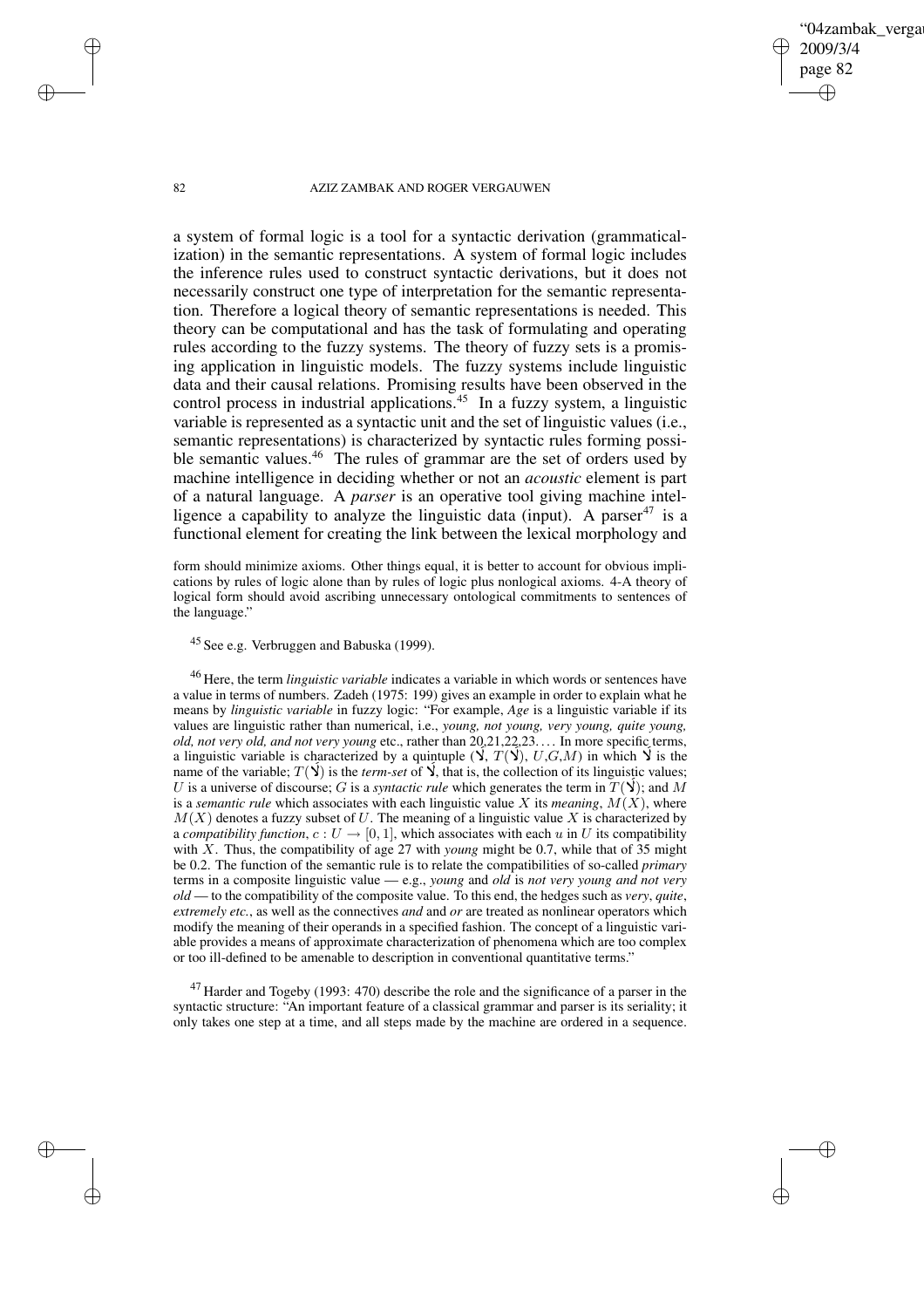## '04zambak verga 2009/3/4 page 82 ✐ ✐

✐

✐

#### 82 AZIZ ZAMBAK AND ROGER VERGAUWEN

a system of formal logic is a tool for a syntactic derivation (grammaticalization) in the semantic representations. A system of formal logic includes the inference rules used to construct syntactic derivations, but it does not necessarily construct one type of interpretation for the semantic representation. Therefore a logical theory of semantic representations is needed. This theory can be computational and has the task of formulating and operating rules according to the fuzzy systems. The theory of fuzzy sets is a promising application in linguistic models. The fuzzy systems include linguistic data and their causal relations. Promising results have been observed in the control process in industrial applications.<sup>45</sup> In a fuzzy system, a linguistic variable is represented as a syntactic unit and the set of linguistic values (i.e., semantic representations) is characterized by syntactic rules forming possible semantic values.<sup>46</sup> The rules of grammar are the set of orders used by machine intelligence in deciding whether or not an *acoustic* element is part of a natural language. A *parser* is an operative tool giving machine intelligence a capability to analyze the linguistic data (input). A parser<sup>47</sup> is a functional element for creating the link between the lexical morphology and

form should minimize axioms. Other things equal, it is better to account for obvious implications by rules of logic alone than by rules of logic plus nonlogical axioms. 4-A theory of logical form should avoid ascribing unnecessary ontological commitments to sentences of the language."

<sup>45</sup> See e.g. Verbruggen and Babuska (1999).

<sup>46</sup> Here, the term *linguistic variable* indicates a variable in which words or sentences have a value in terms of numbers. Zadeh (1975: 199) gives an example in order to explain what he means by *linguistic variable* in fuzzy logic: "For example, *Age* is a linguistic variable if its values are linguistic rather than numerical, i.e., *young, not young, very young, quite young, old, not very old, and not very young* etc., rather than 20,21,22,23. . . . In more specific terms, a linguistic variable is characterized by a quintuple  $(\vec{Y}, T(\vec{Y}), U, G, M)$  in which  $\vec{Y}$  is the  $\overline{)}$  $\frac{1}{2}$ ֦֦֧֦֧֦֧֦֧֦֧֦֧֦֧֧֧֧֦֧֧֧֧֧֧֧֧֧֧֝֝֝֝֝֝֝֝֬֝֬֝֝֬֝֝֬֝֬֝֬֝֬֝֬֝֬֝֬<br>֧֧֧֪֧֪֧֪֪֧֧֧֧֧֧֧֧֧֧֧֧֧֧֧֧֧֧֧֧֧֜֝֝<br>֧֜ a imguistic variable;  $T(\vec{Y})$  is the *term-set* of  $\vec{Y}$ , that is, the collection of its linguistic values; ֧֦֧֦֧֦֧֦֧֦֧֦֧֦֧֦֧֦֧֦֧֦֧֦֧֦֧֧֦֧֧֦֞֜֓֓֞֜֓֓֞֓ ŗ maine of the variable;  $I(\mathbf{y})$  is the *term-set* of  $\mathbf{y}$ , that is, the conection of its imguistic values;<br>U is a universe of discourse; G is a *syntactic rule* which generates the term in  $T(\mathbf{y})$ ; and M .<br>ţ is a *semantic rule* which associates with each linguistic value X its *meaning*,  $M(X)$ , where  $M(X)$  denotes a fuzzy subset of U. The meaning of a linguistic value X is characterized by a *compatibility function*,  $c: U \rightarrow [0, 1]$ , which associates with each u in U its compatibility with X. Thus, the compatibility of age 27 with *young* might be 0.7, while that of 35 might be 0.2. The function of the semantic rule is to relate the compatibilities of so-called *primary* terms in a composite linguistic value — e.g., *young* and *old* is *not very young and not very old* — to the compatibility of the composite value. To this end, the hedges such as *very*, *quite*, *extremely etc.*, as well as the connectives *and* and *or* are treated as nonlinear operators which modify the meaning of their operands in a specified fashion. The concept of a linguistic variable provides a means of approximate characterization of phenomena which are too complex or too ill-defined to be amenable to description in conventional quantitative terms."

 $47$  Harder and Togeby (1993: 470) describe the role and the significance of a parser in the syntactic structure: "An important feature of a classical grammar and parser is its seriality; it only takes one step at a time, and all steps made by the machine are ordered in a sequence.

 $\rightarrow$ 

 $\rightarrow$ 

✐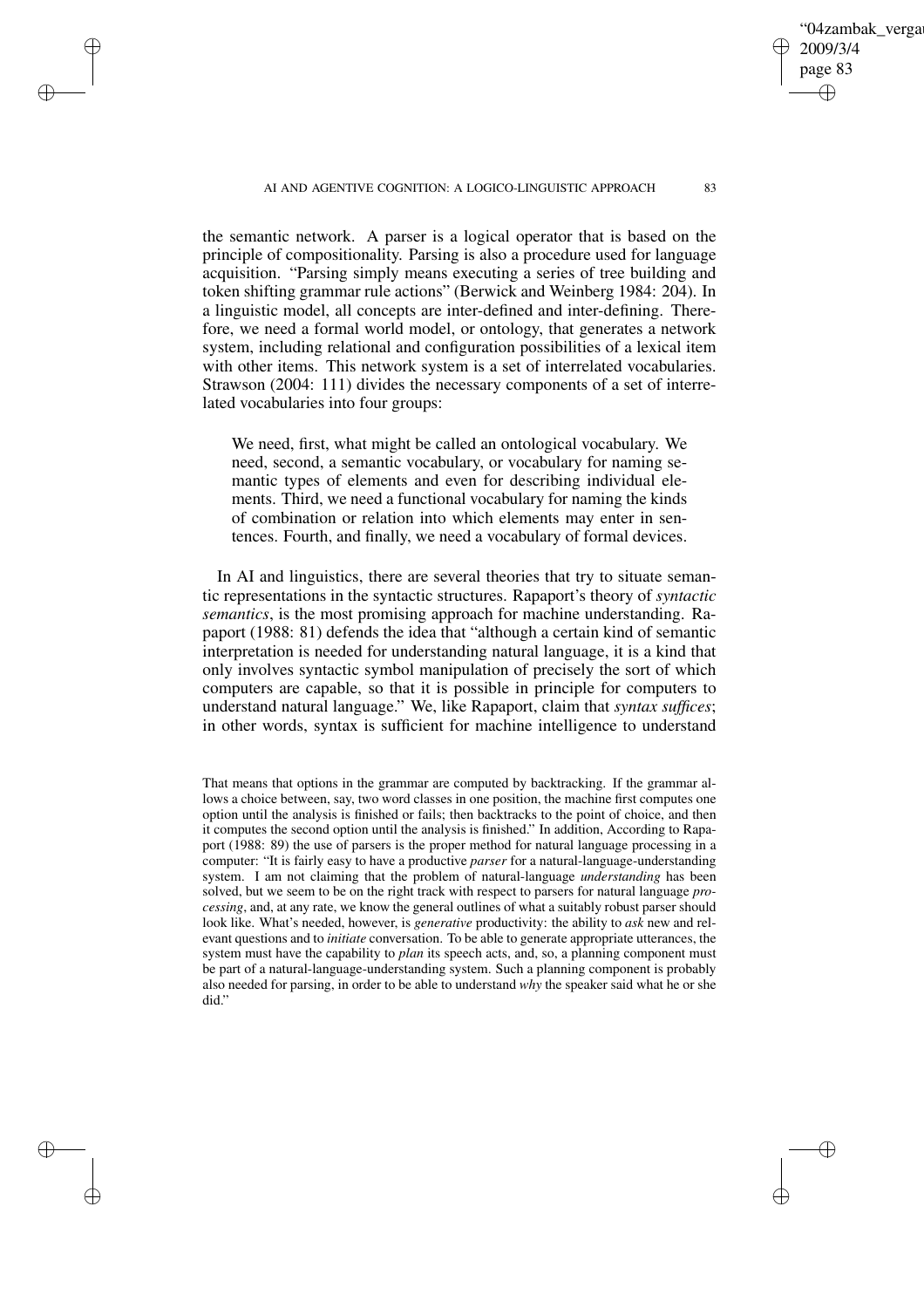✐

✐

✐

✐

2009/3/4 page 83

✐

✐

✐

✐

04zambak verga

the semantic network. A parser is a logical operator that is based on the principle of compositionality. Parsing is also a procedure used for language acquisition. "Parsing simply means executing a series of tree building and token shifting grammar rule actions" (Berwick and Weinberg 1984: 204). In a linguistic model, all concepts are inter-defined and inter-defining. Therefore, we need a formal world model, or ontology, that generates a network system, including relational and configuration possibilities of a lexical item with other items. This network system is a set of interrelated vocabularies. Strawson (2004: 111) divides the necessary components of a set of interrelated vocabularies into four groups:

We need, first, what might be called an ontological vocabulary. We need, second, a semantic vocabulary, or vocabulary for naming semantic types of elements and even for describing individual elements. Third, we need a functional vocabulary for naming the kinds of combination or relation into which elements may enter in sentences. Fourth, and finally, we need a vocabulary of formal devices.

In AI and linguistics, there are several theories that try to situate semantic representations in the syntactic structures. Rapaport's theory of *syntactic semantics*, is the most promising approach for machine understanding. Rapaport (1988: 81) defends the idea that "although a certain kind of semantic interpretation is needed for understanding natural language, it is a kind that only involves syntactic symbol manipulation of precisely the sort of which computers are capable, so that it is possible in principle for computers to understand natural language." We, like Rapaport, claim that *syntax suffices*; in other words, syntax is sufficient for machine intelligence to understand

That means that options in the grammar are computed by backtracking. If the grammar allows a choice between, say, two word classes in one position, the machine first computes one option until the analysis is finished or fails; then backtracks to the point of choice, and then it computes the second option until the analysis is finished." In addition, According to Rapaport (1988: 89) the use of parsers is the proper method for natural language processing in a computer: "It is fairly easy to have a productive *parser* for a natural-language-understanding system. I am not claiming that the problem of natural-language *understanding* has been solved, but we seem to be on the right track with respect to parsers for natural language *processing*, and, at any rate, we know the general outlines of what a suitably robust parser should look like. What's needed, however, is *generative* productivity: the ability to *ask* new and relevant questions and to *initiate* conversation. To be able to generate appropriate utterances, the system must have the capability to *plan* its speech acts, and, so, a planning component must be part of a natural-language-understanding system. Such a planning component is probably also needed for parsing, in order to be able to understand *why* the speaker said what he or she did."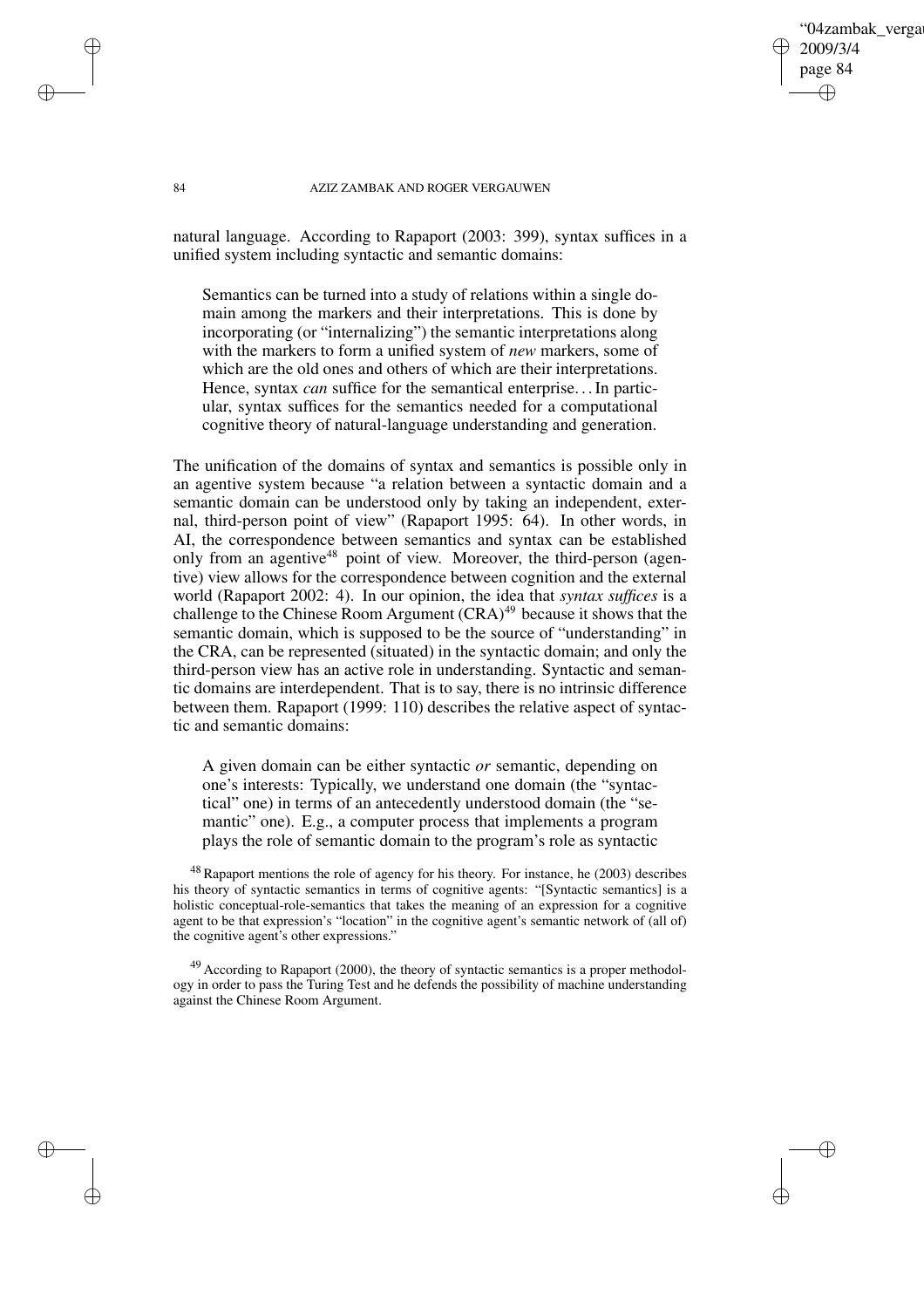04zambak verga 2009/3/4 page 84 ✐ ✐

✐

✐

#### 84 AZIZ ZAMBAK AND ROGER VERGAUWEN

natural language. According to Rapaport (2003: 399), syntax suffices in a unified system including syntactic and semantic domains:

Semantics can be turned into a study of relations within a single domain among the markers and their interpretations. This is done by incorporating (or "internalizing") the semantic interpretations along with the markers to form a unified system of *new* markers, some of which are the old ones and others of which are their interpretations. Hence, syntax *can* suffice for the semantical enterprise. . .In particular, syntax suffices for the semantics needed for a computational cognitive theory of natural-language understanding and generation.

The unification of the domains of syntax and semantics is possible only in an agentive system because "a relation between a syntactic domain and a semantic domain can be understood only by taking an independent, external, third-person point of view" (Rapaport 1995: 64). In other words, in AI, the correspondence between semantics and syntax can be established only from an agentive<sup>48</sup> point of view. Moreover, the third-person (agentive) view allows for the correspondence between cognition and the external world (Rapaport 2002: 4). In our opinion, the idea that *syntax suffices* is a challenge to the Chinese Room Argument (CRA)<sup>49</sup> because it shows that the semantic domain, which is supposed to be the source of "understanding" in the CRA, can be represented (situated) in the syntactic domain; and only the third-person view has an active role in understanding. Syntactic and semantic domains are interdependent. That is to say, there is no intrinsic difference between them. Rapaport (1999: 110) describes the relative aspect of syntactic and semantic domains:

A given domain can be either syntactic *or* semantic, depending on one's interests: Typically, we understand one domain (the "syntactical" one) in terms of an antecedently understood domain (the "semantic" one). E.g., a computer process that implements a program plays the role of semantic domain to the program's role as syntactic

<sup>48</sup> Rapaport mentions the role of agency for his theory. For instance, he (2003) describes his theory of syntactic semantics in terms of cognitive agents: "[Syntactic semantics] is a holistic conceptual-role-semantics that takes the meaning of an expression for a cognitive agent to be that expression's "location" in the cognitive agent's semantic network of (all of) the cognitive agent's other expressions."

 $^{49}$  According to Rapaport (2000), the theory of syntactic semantics is a proper methodology in order to pass the Turing Test and he defends the possibility of machine understanding against the Chinese Room Argument.

✐

✐

✐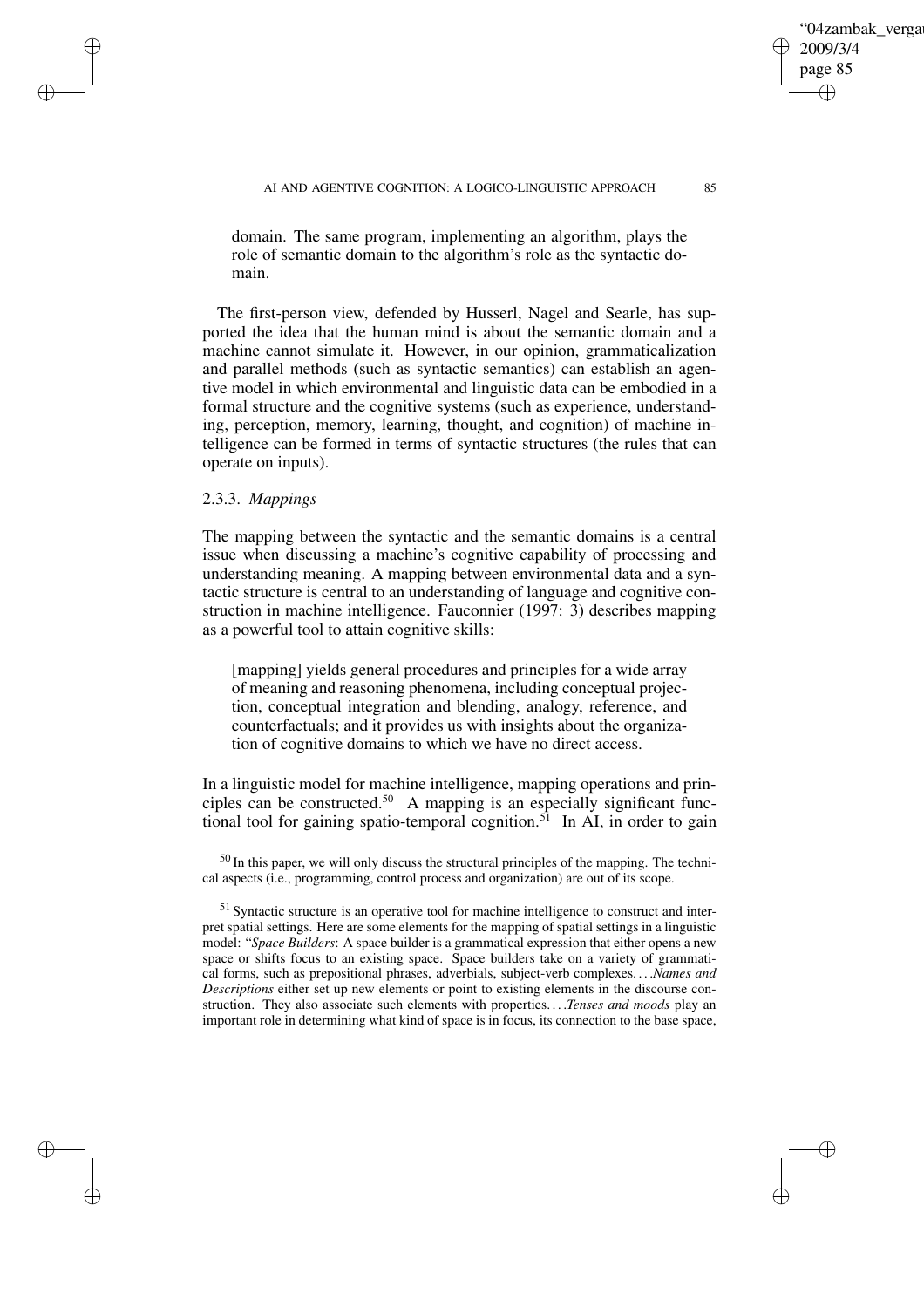04zambak verga

2009/3/4 page 85

✐

✐

✐

✐

domain. The same program, implementing an algorithm, plays the role of semantic domain to the algorithm's role as the syntactic domain.

The first-person view, defended by Husserl, Nagel and Searle, has supported the idea that the human mind is about the semantic domain and a machine cannot simulate it. However, in our opinion, grammaticalization and parallel methods (such as syntactic semantics) can establish an agentive model in which environmental and linguistic data can be embodied in a formal structure and the cognitive systems (such as experience, understanding, perception, memory, learning, thought, and cognition) of machine intelligence can be formed in terms of syntactic structures (the rules that can operate on inputs).

# 2.3.3. *Mappings*

✐

✐

✐

✐

The mapping between the syntactic and the semantic domains is a central issue when discussing a machine's cognitive capability of processing and understanding meaning. A mapping between environmental data and a syntactic structure is central to an understanding of language and cognitive construction in machine intelligence. Fauconnier (1997: 3) describes mapping as a powerful tool to attain cognitive skills:

[mapping] yields general procedures and principles for a wide array of meaning and reasoning phenomena, including conceptual projection, conceptual integration and blending, analogy, reference, and counterfactuals; and it provides us with insights about the organization of cognitive domains to which we have no direct access.

In a linguistic model for machine intelligence, mapping operations and principles can be constructed.<sup>50</sup> A mapping is an especially significant functional tool for gaining spatio-temporal cognition.<sup>51</sup> In AI, in order to gain

 $50$  In this paper, we will only discuss the structural principles of the mapping. The technical aspects (i.e., programming, control process and organization) are out of its scope.

<sup>51</sup> Syntactic structure is an operative tool for machine intelligence to construct and interpret spatial settings. Here are some elements for the mapping of spatial settings in a linguistic model: "*Space Builders*: A space builder is a grammatical expression that either opens a new space or shifts focus to an existing space. Space builders take on a variety of grammatical forms, such as prepositional phrases, adverbials, subject-verb complexes. . . .*Names and Descriptions* either set up new elements or point to existing elements in the discourse construction. They also associate such elements with properties. . . .*Tenses and moods* play an important role in determining what kind of space is in focus, its connection to the base space,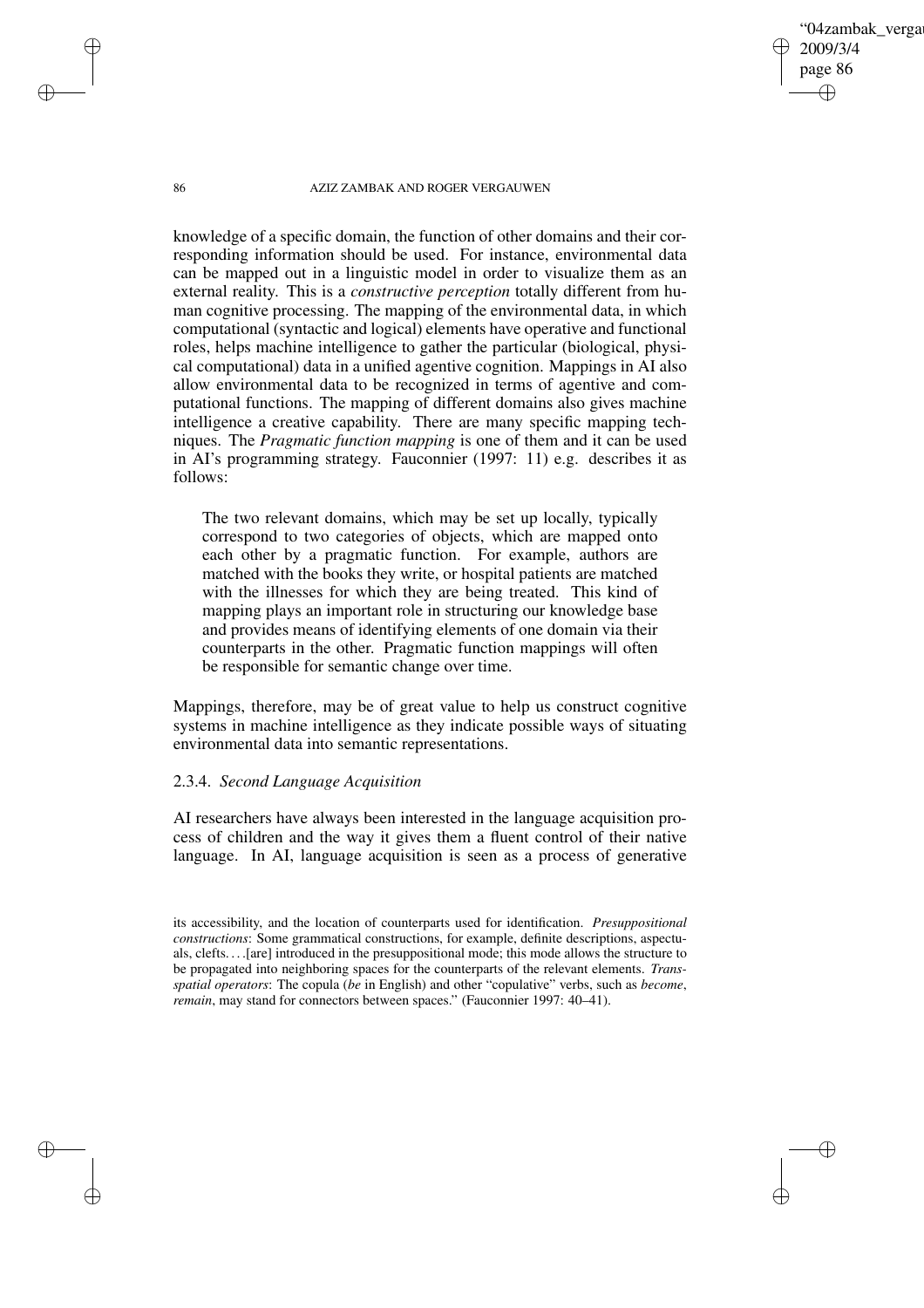86 AZIZ ZAMBAK AND ROGER VERGAUWEN

'04zambak verga

2009/3/4 page 86

✐

✐

✐

✐

knowledge of a specific domain, the function of other domains and their corresponding information should be used. For instance, environmental data can be mapped out in a linguistic model in order to visualize them as an external reality. This is a *constructive perception* totally different from human cognitive processing. The mapping of the environmental data, in which computational (syntactic and logical) elements have operative and functional roles, helps machine intelligence to gather the particular (biological, physical computational) data in a unified agentive cognition. Mappings in AI also allow environmental data to be recognized in terms of agentive and computational functions. The mapping of different domains also gives machine intelligence a creative capability. There are many specific mapping techniques. The *Pragmatic function mapping* is one of them and it can be used in AI's programming strategy. Fauconnier (1997: 11) e.g. describes it as follows:

The two relevant domains, which may be set up locally, typically correspond to two categories of objects, which are mapped onto each other by a pragmatic function. For example, authors are matched with the books they write, or hospital patients are matched with the illnesses for which they are being treated. This kind of mapping plays an important role in structuring our knowledge base and provides means of identifying elements of one domain via their counterparts in the other. Pragmatic function mappings will often be responsible for semantic change over time.

Mappings, therefore, may be of great value to help us construct cognitive systems in machine intelligence as they indicate possible ways of situating environmental data into semantic representations.

# 2.3.4. *Second Language Acquisition*

AI researchers have always been interested in the language acquisition process of children and the way it gives them a fluent control of their native language. In AI, language acquisition is seen as a process of generative

✐

✐

✐

its accessibility, and the location of counterparts used for identification. *Presuppositional constructions*: Some grammatical constructions, for example, definite descriptions, aspectuals, clefts. . . .[are] introduced in the presuppositional mode; this mode allows the structure to be propagated into neighboring spaces for the counterparts of the relevant elements. *Transspatial operators*: The copula (*be* in English) and other "copulative" verbs, such as *become*, *remain*, may stand for connectors between spaces." (Fauconnier 1997: 40–41).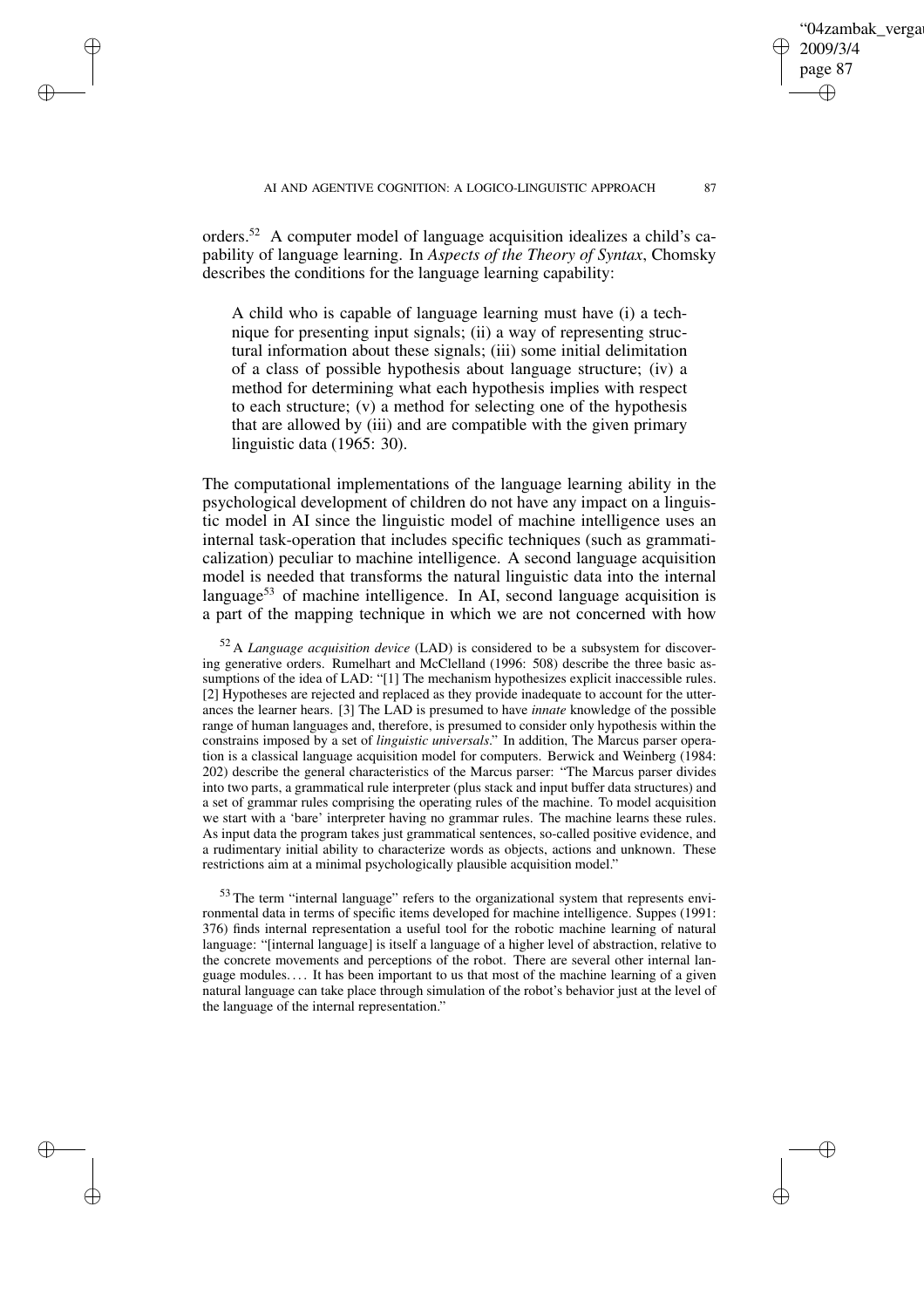orders.<sup>52</sup> A computer model of language acquisition idealizes a child's capability of language learning. In *Aspects of the Theory of Syntax*, Chomsky describes the conditions for the language learning capability:

✐

✐

✐

✐

A child who is capable of language learning must have (i) a technique for presenting input signals; (ii) a way of representing structural information about these signals; (iii) some initial delimitation of a class of possible hypothesis about language structure; (iv) a method for determining what each hypothesis implies with respect to each structure; (v) a method for selecting one of the hypothesis that are allowed by (iii) and are compatible with the given primary linguistic data (1965: 30).

The computational implementations of the language learning ability in the psychological development of children do not have any impact on a linguistic model in AI since the linguistic model of machine intelligence uses an internal task-operation that includes specific techniques (such as grammaticalization) peculiar to machine intelligence. A second language acquisition model is needed that transforms the natural linguistic data into the internal language<sup>53</sup> of machine intelligence. In AI, second language acquisition is a part of the mapping technique in which we are not concerned with how

<sup>52</sup> A *Language acquisition device* (LAD) is considered to be a subsystem for discovering generative orders. Rumelhart and McClelland (1996: 508) describe the three basic assumptions of the idea of LAD: "[1] The mechanism hypothesizes explicit inaccessible rules. [2] Hypotheses are rejected and replaced as they provide inadequate to account for the utterances the learner hears. [3] The LAD is presumed to have *innate* knowledge of the possible range of human languages and, therefore, is presumed to consider only hypothesis within the constrains imposed by a set of *linguistic universals*." In addition, The Marcus parser operation is a classical language acquisition model for computers. Berwick and Weinberg (1984: 202) describe the general characteristics of the Marcus parser: "The Marcus parser divides into two parts, a grammatical rule interpreter (plus stack and input buffer data structures) and a set of grammar rules comprising the operating rules of the machine. To model acquisition we start with a 'bare' interpreter having no grammar rules. The machine learns these rules. As input data the program takes just grammatical sentences, so-called positive evidence, and a rudimentary initial ability to characterize words as objects, actions and unknown. These restrictions aim at a minimal psychologically plausible acquisition model."

<sup>53</sup> The term "internal language" refers to the organizational system that represents environmental data in terms of specific items developed for machine intelligence. Suppes (1991: 376) finds internal representation a useful tool for the robotic machine learning of natural language: "[internal language] is itself a language of a higher level of abstraction, relative to the concrete movements and perceptions of the robot. There are several other internal language modules. . . . It has been important to us that most of the machine learning of a given natural language can take place through simulation of the robot's behavior just at the level of the language of the internal representation."

04zambak verga

2009/3/4 page 87

✐

✐

✐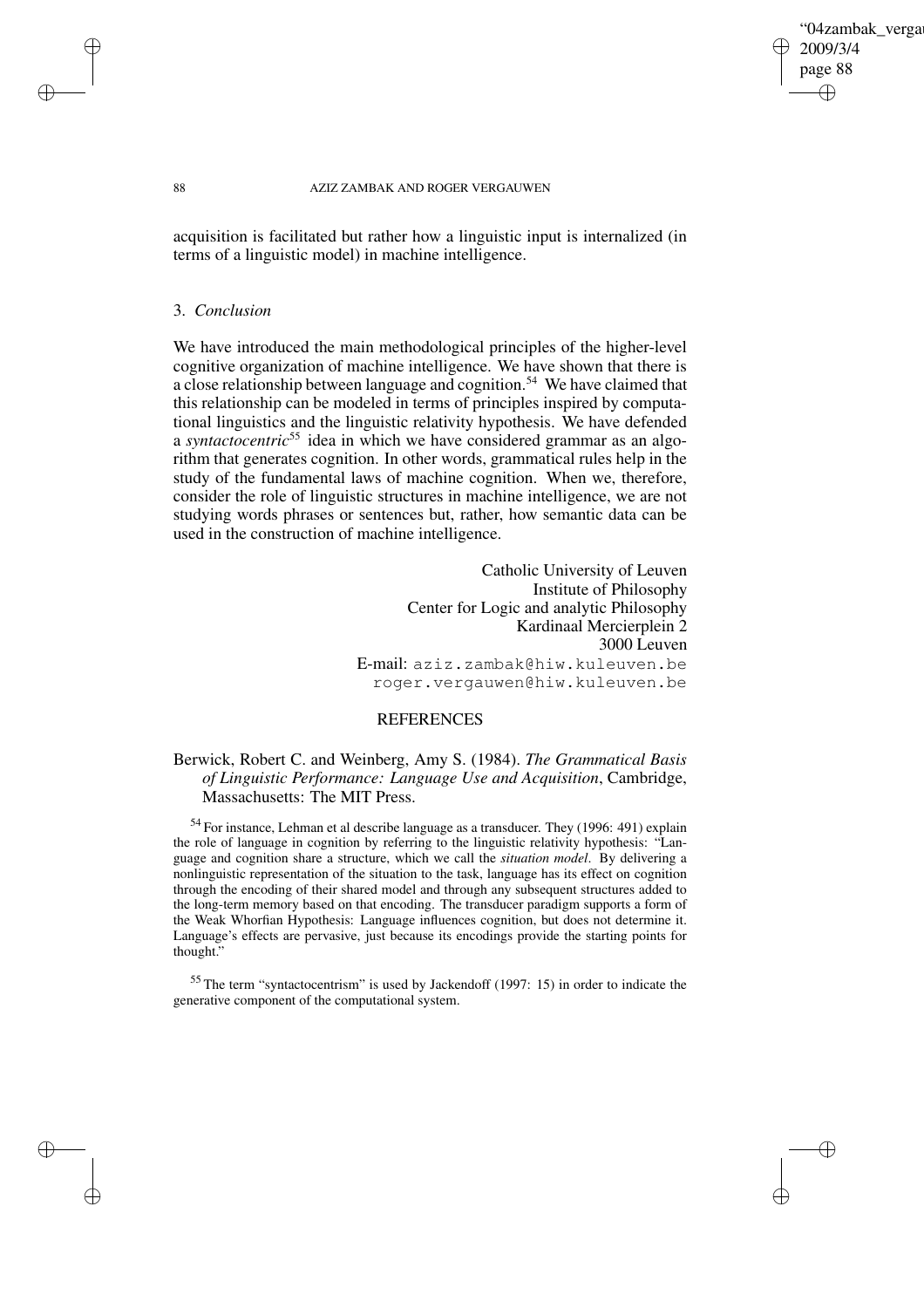## '04zambak verga 2009/3/4 page 88 ✐ ✐

✐

✐

#### 88 AZIZ ZAMBAK AND ROGER VERGAUWEN

acquisition is facilitated but rather how a linguistic input is internalized (in terms of a linguistic model) in machine intelligence.

## 3. *Conclusion*

✐

✐

✐

✐

We have introduced the main methodological principles of the higher-level cognitive organization of machine intelligence. We have shown that there is a close relationship between language and cognition.<sup>54</sup> We have claimed that this relationship can be modeled in terms of principles inspired by computational linguistics and the linguistic relativity hypothesis. We have defended a *syntactocentric*<sup>55</sup> idea in which we have considered grammar as an algorithm that generates cognition. In other words, grammatical rules help in the study of the fundamental laws of machine cognition. When we, therefore, consider the role of linguistic structures in machine intelligence, we are not studying words phrases or sentences but, rather, how semantic data can be used in the construction of machine intelligence.

> Catholic University of Leuven Institute of Philosophy Center for Logic and analytic Philosophy Kardinaal Mercierplein 2 3000 Leuven E-mail: aziz.zambak@hiw.kuleuven.be roger.vergauwen@hiw.kuleuven.be

## REFERENCES

# Berwick, Robert C. and Weinberg, Amy S. (1984). *The Grammatical Basis of Linguistic Performance: Language Use and Acquisition*, Cambridge, Massachusetts: The MIT Press.

<sup>54</sup> For instance, Lehman et al describe language as a transducer. They (1996: 491) explain the role of language in cognition by referring to the linguistic relativity hypothesis: "Language and cognition share a structure, which we call the *situation model*. By delivering a nonlinguistic representation of the situation to the task, language has its effect on cognition through the encoding of their shared model and through any subsequent structures added to the long-term memory based on that encoding. The transducer paradigm supports a form of the Weak Whorfian Hypothesis: Language influences cognition, but does not determine it. Language's effects are pervasive, just because its encodings provide the starting points for thought."

<sup>55</sup> The term "syntactocentrism" is used by Jackendoff (1997: 15) in order to indicate the generative component of the computational system.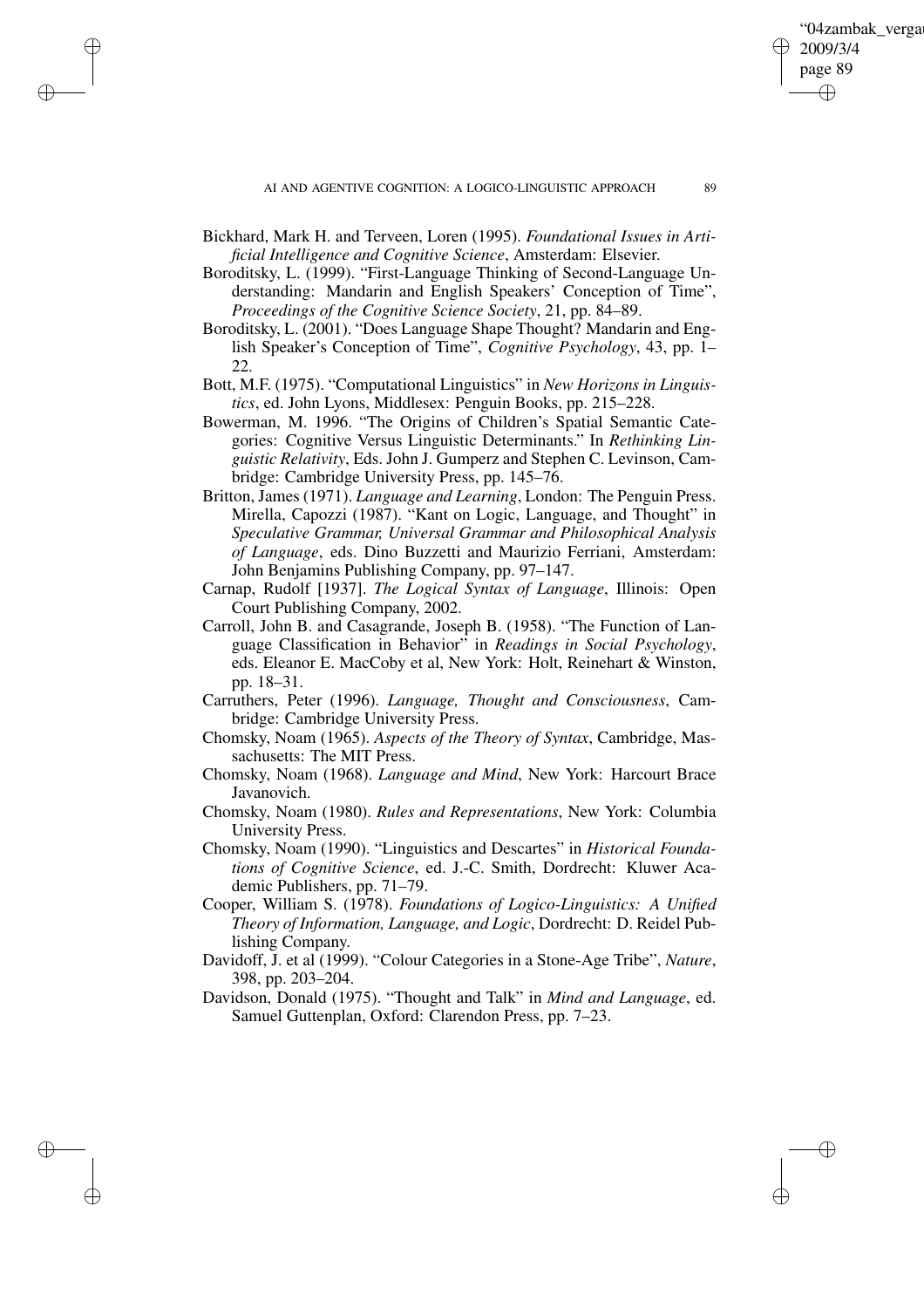✐

Bickhard, Mark H. and Terveen, Loren (1995). *Foundational Issues in Artificial Intelligence and Cognitive Science*, Amsterdam: Elsevier.

✐

✐

✐

- Boroditsky, L. (1999). "First-Language Thinking of Second-Language Understanding: Mandarin and English Speakers' Conception of Time", *Proceedings of the Cognitive Science Society*, 21, pp. 84–89.
- Boroditsky, L. (2001). "Does Language Shape Thought? Mandarin and English Speaker's Conception of Time", *Cognitive Psychology*, 43, pp. 1– 22.
- Bott, M.F. (1975). "Computational Linguistics" in *New Horizons in Linguistics*, ed. John Lyons, Middlesex: Penguin Books, pp. 215–228.
- Bowerman, M. 1996. "The Origins of Children's Spatial Semantic Categories: Cognitive Versus Linguistic Determinants." In *Rethinking Linguistic Relativity*, Eds. John J. Gumperz and Stephen C. Levinson, Cambridge: Cambridge University Press, pp. 145–76.
- Britton, James (1971). *Language and Learning*, London: The Penguin Press. Mirella, Capozzi (1987). "Kant on Logic, Language, and Thought" in *Speculative Grammar, Universal Grammar and Philosophical Analysis of Language*, eds. Dino Buzzetti and Maurizio Ferriani, Amsterdam: John Benjamins Publishing Company, pp. 97–147.
- Carnap, Rudolf [1937]. *The Logical Syntax of Language*, Illinois: Open Court Publishing Company, 2002.
- Carroll, John B. and Casagrande, Joseph B. (1958). "The Function of Language Classification in Behavior" in *Readings in Social Psychology*, eds. Eleanor E. MacCoby et al, New York: Holt, Reinehart & Winston, pp. 18–31.
- Carruthers, Peter (1996). *Language, Thought and Consciousness*, Cambridge: Cambridge University Press.
- Chomsky, Noam (1965). *Aspects of the Theory of Syntax*, Cambridge, Massachusetts: The MIT Press.
- Chomsky, Noam (1968). *Language and Mind*, New York: Harcourt Brace Javanovich.
- Chomsky, Noam (1980). *Rules and Representations*, New York: Columbia University Press.
- Chomsky, Noam (1990). "Linguistics and Descartes" in *Historical Foundations of Cognitive Science*, ed. J.-C. Smith, Dordrecht: Kluwer Academic Publishers, pp. 71–79.
- Cooper, William S. (1978). *Foundations of Logico-Linguistics: A Unified Theory of Information, Language, and Logic*, Dordrecht: D. Reidel Publishing Company.
- Davidoff, J. et al (1999). "Colour Categories in a Stone-Age Tribe", *Nature*, 398, pp. 203–204.
- Davidson, Donald (1975). "Thought and Talk" in *Mind and Language*, ed. Samuel Guttenplan, Oxford: Clarendon Press, pp. 7–23.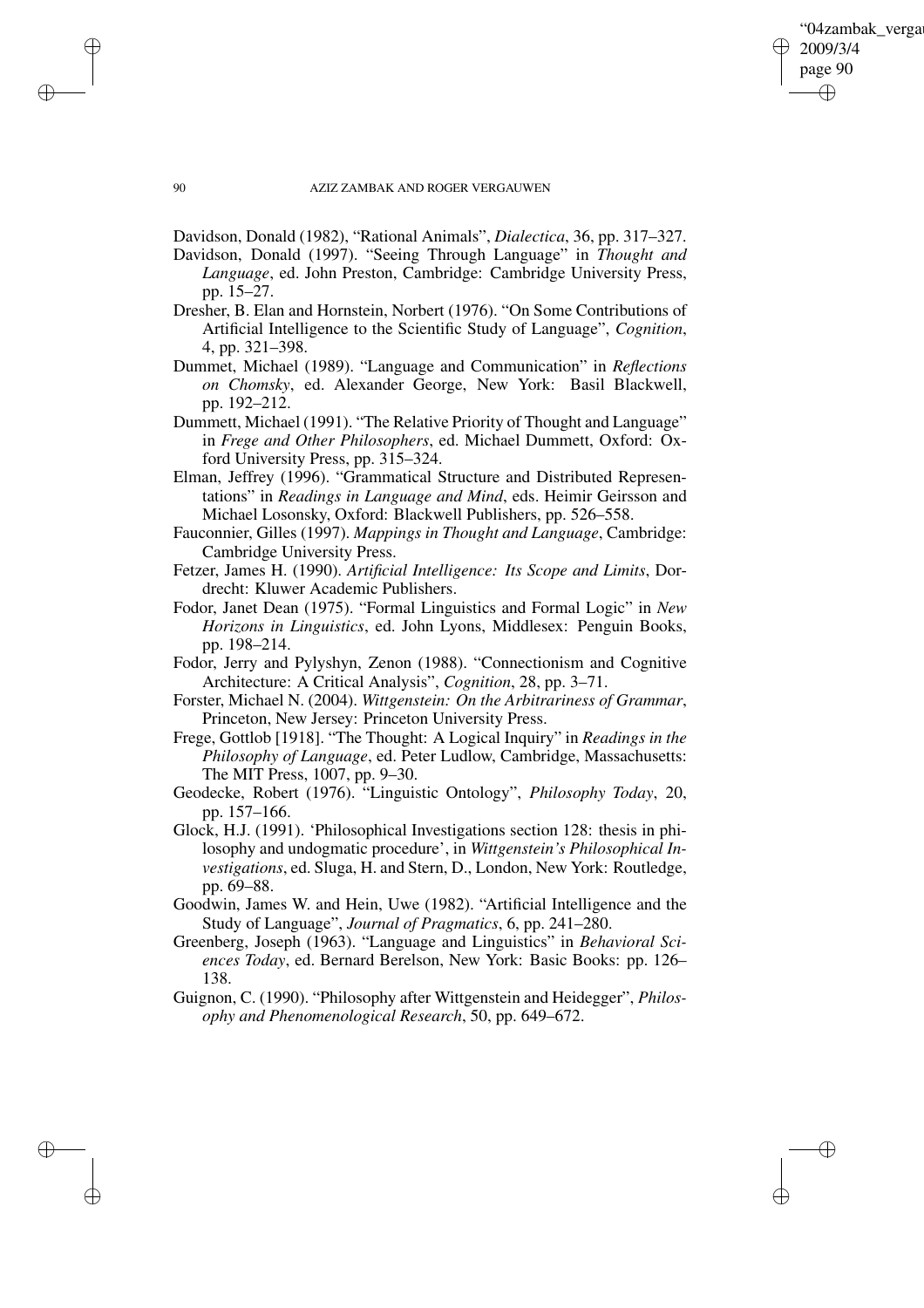✐

#### 90 AZIZ ZAMBAK AND ROGER VERGAUWEN

✐

✐

✐

✐

Davidson, Donald (1982), "Rational Animals", *Dialectica*, 36, pp. 317–327.

- Davidson, Donald (1997). "Seeing Through Language" in *Thought and Language*, ed. John Preston, Cambridge: Cambridge University Press, pp. 15–27.
- Dresher, B. Elan and Hornstein, Norbert (1976). "On Some Contributions of Artificial Intelligence to the Scientific Study of Language", *Cognition*, 4, pp. 321–398.
- Dummet, Michael (1989). "Language and Communication" in *Reflections on Chomsky*, ed. Alexander George, New York: Basil Blackwell, pp. 192–212.
- Dummett, Michael (1991). "The Relative Priority of Thought and Language" in *Frege and Other Philosophers*, ed. Michael Dummett, Oxford: Oxford University Press, pp. 315–324.
- Elman, Jeffrey (1996). "Grammatical Structure and Distributed Representations" in *Readings in Language and Mind*, eds. Heimir Geirsson and Michael Losonsky, Oxford: Blackwell Publishers, pp. 526–558.
- Fauconnier, Gilles (1997). *Mappings in Thought and Language*, Cambridge: Cambridge University Press.
- Fetzer, James H. (1990). *Artificial Intelligence: Its Scope and Limits*, Dordrecht: Kluwer Academic Publishers.
- Fodor, Janet Dean (1975). "Formal Linguistics and Formal Logic" in *New Horizons in Linguistics*, ed. John Lyons, Middlesex: Penguin Books, pp. 198–214.
- Fodor, Jerry and Pylyshyn, Zenon (1988). "Connectionism and Cognitive Architecture: A Critical Analysis", *Cognition*, 28, pp. 3–71.
- Forster, Michael N. (2004). *Wittgenstein: On the Arbitrariness of Grammar*, Princeton, New Jersey: Princeton University Press.
- Frege, Gottlob [1918]. "The Thought: A Logical Inquiry" in *Readings in the Philosophy of Language*, ed. Peter Ludlow, Cambridge, Massachusetts: The MIT Press, 1007, pp. 9–30.
- Geodecke, Robert (1976). "Linguistic Ontology", *Philosophy Today*, 20, pp. 157–166.
- Glock, H.J. (1991). 'Philosophical Investigations section 128: thesis in philosophy and undogmatic procedure', in *Wittgenstein's Philosophical Investigations*, ed. Sluga, H. and Stern, D., London, New York: Routledge, pp. 69–88.
- Goodwin, James W. and Hein, Uwe (1982). "Artificial Intelligence and the Study of Language", *Journal of Pragmatics*, 6, pp. 241–280.
- Greenberg, Joseph (1963). "Language and Linguistics" in *Behavioral Sciences Today*, ed. Bernard Berelson, New York: Basic Books: pp. 126– 138.
- Guignon, C. (1990). "Philosophy after Wittgenstein and Heidegger", *Philosophy and Phenomenological Research*, 50, pp. 649–672.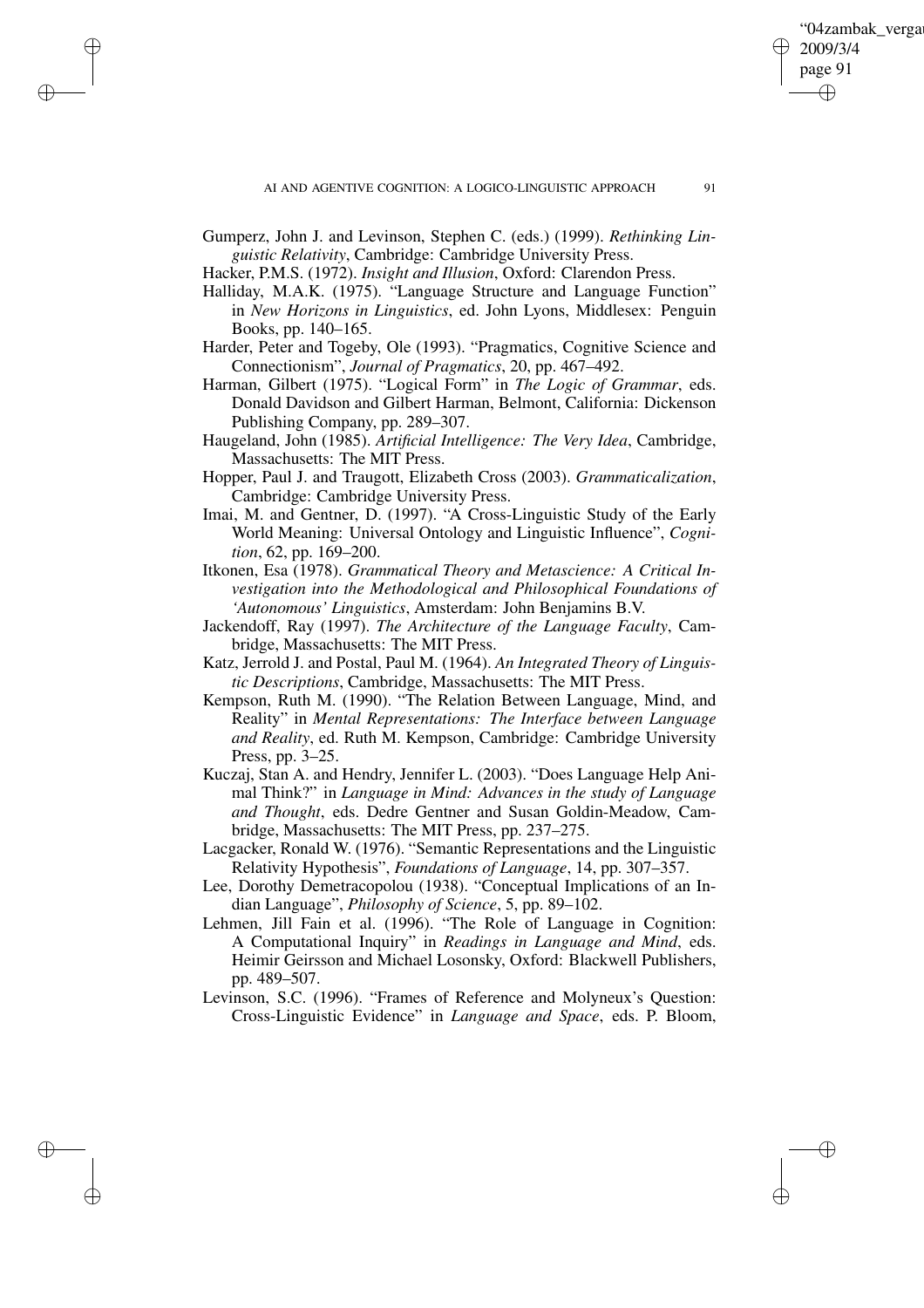✐

Gumperz, John J. and Levinson, Stephen C. (eds.) (1999). *Rethinking Linguistic Relativity*, Cambridge: Cambridge University Press.

Hacker, P.M.S. (1972). *Insight and Illusion*, Oxford: Clarendon Press.

✐

✐

✐

- Halliday, M.A.K. (1975). "Language Structure and Language Function" in *New Horizons in Linguistics*, ed. John Lyons, Middlesex: Penguin Books, pp. 140–165.
- Harder, Peter and Togeby, Ole (1993). "Pragmatics, Cognitive Science and Connectionism", *Journal of Pragmatics*, 20, pp. 467–492.
- Harman, Gilbert (1975). "Logical Form" in *The Logic of Grammar*, eds. Donald Davidson and Gilbert Harman, Belmont, California: Dickenson Publishing Company, pp. 289–307.
- Haugeland, John (1985). *Artificial Intelligence: The Very Idea*, Cambridge, Massachusetts: The MIT Press.
- Hopper, Paul J. and Traugott, Elizabeth Cross (2003). *Grammaticalization*, Cambridge: Cambridge University Press.
- Imai, M. and Gentner, D. (1997). "A Cross-Linguistic Study of the Early World Meaning: Universal Ontology and Linguistic Influence", *Cognition*, 62, pp. 169–200.
- Itkonen, Esa (1978). *Grammatical Theory and Metascience: A Critical Investigation into the Methodological and Philosophical Foundations of 'Autonomous' Linguistics*, Amsterdam: John Benjamins B.V.
- Jackendoff, Ray (1997). *The Architecture of the Language Faculty*, Cambridge, Massachusetts: The MIT Press.
- Katz, Jerrold J. and Postal, Paul M. (1964). *An Integrated Theory of Linguistic Descriptions*, Cambridge, Massachusetts: The MIT Press.
- Kempson, Ruth M. (1990). "The Relation Between Language, Mind, and Reality" in *Mental Representations: The Interface between Language and Reality*, ed. Ruth M. Kempson, Cambridge: Cambridge University Press, pp. 3–25.
- Kuczaj, Stan A. and Hendry, Jennifer L. (2003). "Does Language Help Animal Think?" in *Language in Mind: Advances in the study of Language and Thought*, eds. Dedre Gentner and Susan Goldin-Meadow, Cambridge, Massachusetts: The MIT Press, pp. 237–275.
- Lacgacker, Ronald W. (1976). "Semantic Representations and the Linguistic Relativity Hypothesis", *Foundations of Language*, 14, pp. 307–357.
- Lee, Dorothy Demetracopolou (1938). "Conceptual Implications of an Indian Language", *Philosophy of Science*, 5, pp. 89–102.
- Lehmen, Jill Fain et al. (1996). "The Role of Language in Cognition: A Computational Inquiry" in *Readings in Language and Mind*, eds. Heimir Geirsson and Michael Losonsky, Oxford: Blackwell Publishers, pp. 489–507.
- Levinson, S.C. (1996). "Frames of Reference and Molyneux's Question: Cross-Linguistic Evidence" in *Language and Space*, eds. P. Bloom,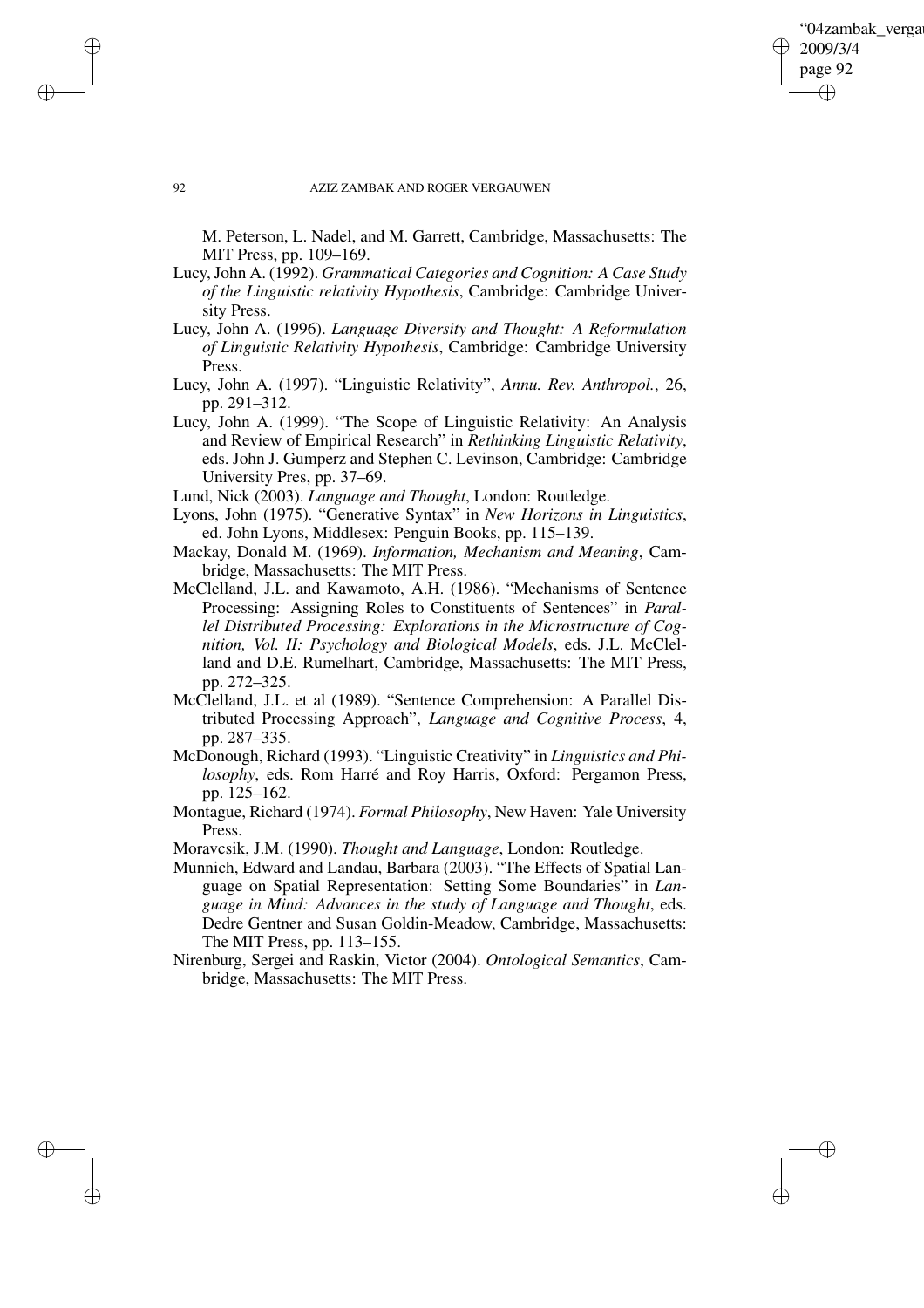'04zambak verga 2009/3/4 page 92 ✐ ✐

✐

✐

#### 92 AZIZ ZAMBAK AND ROGER VERGAUWEN

M. Peterson, L. Nadel, and M. Garrett, Cambridge, Massachusetts: The MIT Press, pp. 109–169.

- Lucy, John A. (1992). *Grammatical Categories and Cognition: A Case Study of the Linguistic relativity Hypothesis*, Cambridge: Cambridge University Press.
- Lucy, John A. (1996). *Language Diversity and Thought: A Reformulation of Linguistic Relativity Hypothesis*, Cambridge: Cambridge University Press.
- Lucy, John A. (1997). "Linguistic Relativity", *Annu. Rev. Anthropol.*, 26, pp. 291–312.
- Lucy, John A. (1999). "The Scope of Linguistic Relativity: An Analysis and Review of Empirical Research" in *Rethinking Linguistic Relativity*, eds. John J. Gumperz and Stephen C. Levinson, Cambridge: Cambridge University Pres, pp. 37–69.

Lund, Nick (2003). *Language and Thought*, London: Routledge.

- Lyons, John (1975). "Generative Syntax" in *New Horizons in Linguistics*, ed. John Lyons, Middlesex: Penguin Books, pp. 115–139.
- Mackay, Donald M. (1969). *Information, Mechanism and Meaning*, Cambridge, Massachusetts: The MIT Press.
- McClelland, J.L. and Kawamoto, A.H. (1986). "Mechanisms of Sentence Processing: Assigning Roles to Constituents of Sentences" in *Parallel Distributed Processing: Explorations in the Microstructure of Cognition, Vol. II: Psychology and Biological Models*, eds. J.L. McClelland and D.E. Rumelhart, Cambridge, Massachusetts: The MIT Press, pp. 272–325.
- McClelland, J.L. et al (1989). "Sentence Comprehension: A Parallel Distributed Processing Approach", *Language and Cognitive Process*, 4, pp. 287–335.
- McDonough, Richard (1993). "Linguistic Creativity" in *Linguistics and Philosophy*, eds. Rom Harré and Roy Harris, Oxford: Pergamon Press, pp. 125–162.
- Montague, Richard (1974). *Formal Philosophy*, New Haven: Yale University Press.
- Moravcsik, J.M. (1990). *Thought and Language*, London: Routledge.
- Munnich, Edward and Landau, Barbara (2003). "The Effects of Spatial Language on Spatial Representation: Setting Some Boundaries" in *Language in Mind: Advances in the study of Language and Thought*, eds. Dedre Gentner and Susan Goldin-Meadow, Cambridge, Massachusetts: The MIT Press, pp. 113–155.
- Nirenburg, Sergei and Raskin, Victor (2004). *Ontological Semantics*, Cambridge, Massachusetts: The MIT Press.

✐

✐

✐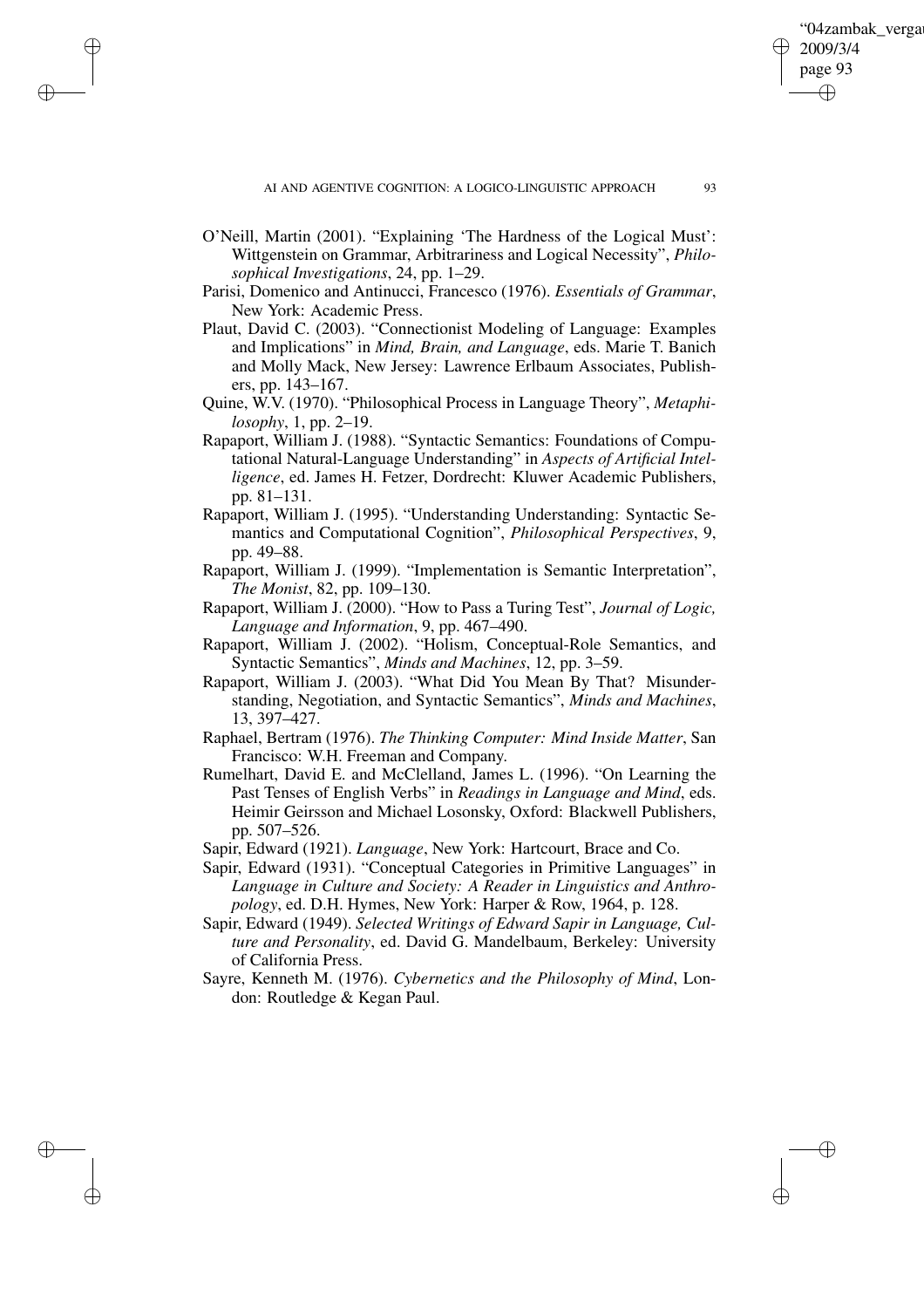O'Neill, Martin (2001). "Explaining 'The Hardness of the Logical Must': Wittgenstein on Grammar, Arbitrariness and Logical Necessity", *Philosophical Investigations*, 24, pp. 1–29.

✐

✐

✐

✐

- Parisi, Domenico and Antinucci, Francesco (1976). *Essentials of Grammar*, New York: Academic Press.
- Plaut, David C. (2003). "Connectionist Modeling of Language: Examples and Implications" in *Mind, Brain, and Language*, eds. Marie T. Banich and Molly Mack, New Jersey: Lawrence Erlbaum Associates, Publishers, pp. 143–167.
- Quine, W.V. (1970). "Philosophical Process in Language Theory", *Metaphilosophy*, 1, pp. 2–19.
- Rapaport, William J. (1988). "Syntactic Semantics: Foundations of Computational Natural-Language Understanding" in *Aspects of Artificial Intelligence*, ed. James H. Fetzer, Dordrecht: Kluwer Academic Publishers, pp. 81–131.
- Rapaport, William J. (1995). "Understanding Understanding: Syntactic Semantics and Computational Cognition", *Philosophical Perspectives*, 9, pp. 49–88.
- Rapaport, William J. (1999). "Implementation is Semantic Interpretation", *The Monist*, 82, pp. 109–130.
- Rapaport, William J. (2000). "How to Pass a Turing Test", *Journal of Logic, Language and Information*, 9, pp. 467–490.
- Rapaport, William J. (2002). "Holism, Conceptual-Role Semantics, and Syntactic Semantics", *Minds and Machines*, 12, pp. 3–59.
- Rapaport, William J. (2003). "What Did You Mean By That? Misunderstanding, Negotiation, and Syntactic Semantics", *Minds and Machines*, 13, 397–427.
- Raphael, Bertram (1976). *The Thinking Computer: Mind Inside Matter*, San Francisco: W.H. Freeman and Company.
- Rumelhart, David E. and McClelland, James L. (1996). "On Learning the Past Tenses of English Verbs" in *Readings in Language and Mind*, eds. Heimir Geirsson and Michael Losonsky, Oxford: Blackwell Publishers, pp. 507–526.
- Sapir, Edward (1921). *Language*, New York: Hartcourt, Brace and Co.
- Sapir, Edward (1931). "Conceptual Categories in Primitive Languages" in *Language in Culture and Society: A Reader in Linguistics and Anthropology*, ed. D.H. Hymes, New York: Harper & Row, 1964, p. 128.
- Sapir, Edward (1949). *Selected Writings of Edward Sapir in Language, Culture and Personality*, ed. David G. Mandelbaum, Berkeley: University of California Press.
- Sayre, Kenneth M. (1976). *Cybernetics and the Philosophy of Mind*, London: Routledge & Kegan Paul.

'04zambak verga

2009/3/4 page 93

✐

✐

✐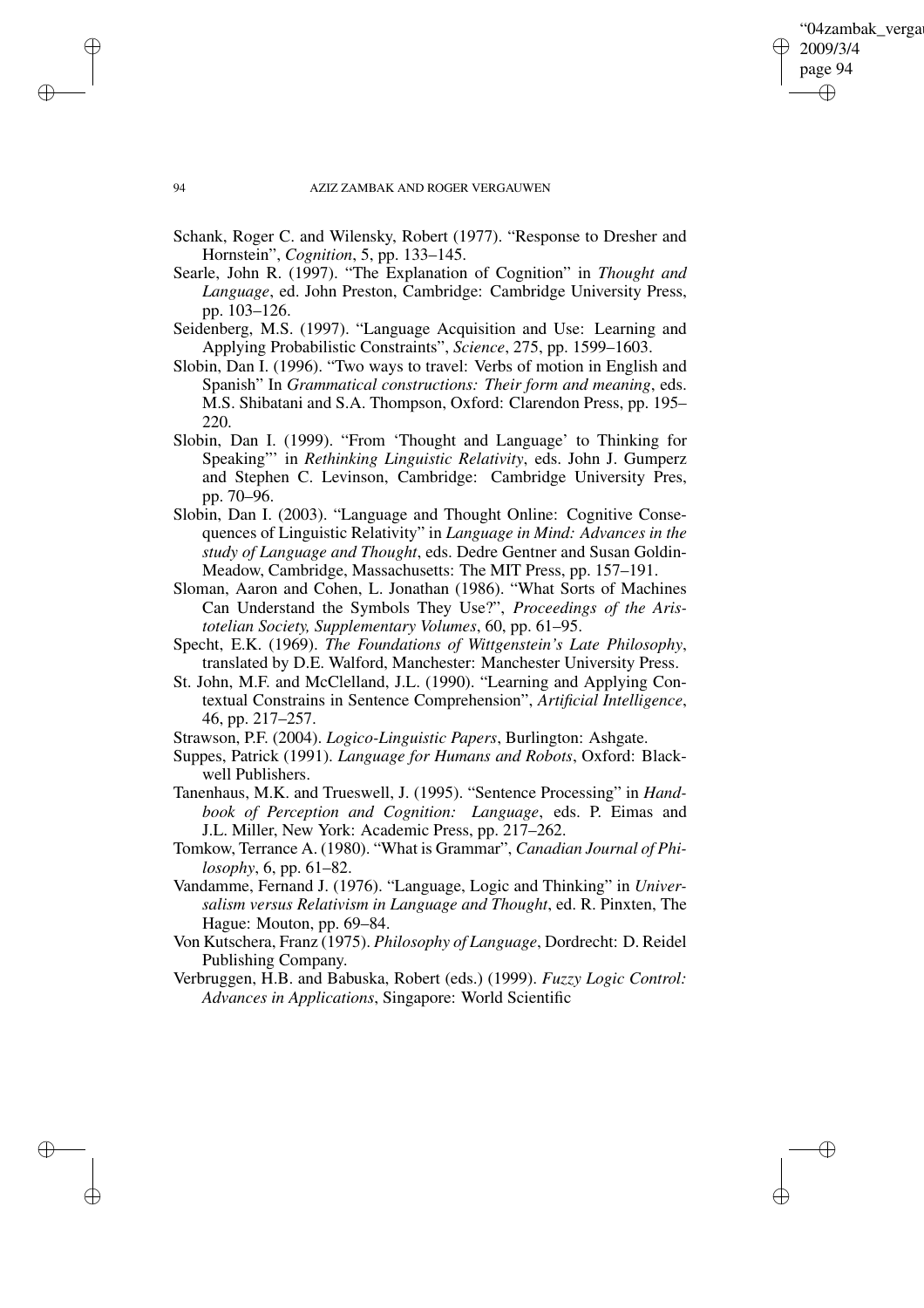✐

### 94 AZIZ ZAMBAK AND ROGER VERGAUWEN

- Schank, Roger C. and Wilensky, Robert (1977). "Response to Dresher and Hornstein", *Cognition*, 5, pp. 133–145.
- Searle, John R. (1997). "The Explanation of Cognition" in *Thought and Language*, ed. John Preston, Cambridge: Cambridge University Press, pp. 103–126.
- Seidenberg, M.S. (1997). "Language Acquisition and Use: Learning and Applying Probabilistic Constraints", *Science*, 275, pp. 1599–1603.
- Slobin, Dan I. (1996). "Two ways to travel: Verbs of motion in English and Spanish" In *Grammatical constructions: Their form and meaning*, eds. M.S. Shibatani and S.A. Thompson, Oxford: Clarendon Press, pp. 195– 220.
- Slobin, Dan I. (1999). "From 'Thought and Language' to Thinking for Speaking"' in *Rethinking Linguistic Relativity*, eds. John J. Gumperz and Stephen C. Levinson, Cambridge: Cambridge University Pres, pp. 70–96.
- Slobin, Dan I. (2003). "Language and Thought Online: Cognitive Consequences of Linguistic Relativity" in *Language in Mind: Advances in the study of Language and Thought*, eds. Dedre Gentner and Susan Goldin-Meadow, Cambridge, Massachusetts: The MIT Press, pp. 157–191.
- Sloman, Aaron and Cohen, L. Jonathan (1986). "What Sorts of Machines Can Understand the Symbols They Use?", *Proceedings of the Aristotelian Society, Supplementary Volumes*, 60, pp. 61–95.
- Specht, E.K. (1969). *The Foundations of Wittgenstein's Late Philosophy*, translated by D.E. Walford, Manchester: Manchester University Press.
- St. John, M.F. and McClelland, J.L. (1990). "Learning and Applying Contextual Constrains in Sentence Comprehension", *Artificial Intelligence*, 46, pp. 217–257.
- Strawson, P.F. (2004). *Logico-Linguistic Papers*, Burlington: Ashgate.
- Suppes, Patrick (1991). *Language for Humans and Robots*, Oxford: Blackwell Publishers.
- Tanenhaus, M.K. and Trueswell, J. (1995). "Sentence Processing" in *Handbook of Perception and Cognition: Language*, eds. P. Eimas and J.L. Miller, New York: Academic Press, pp. 217–262.
- Tomkow, Terrance A. (1980). "What is Grammar", *Canadian Journal of Philosophy*, 6, pp. 61–82.
- Vandamme, Fernand J. (1976). "Language, Logic and Thinking" in *Universalism versus Relativism in Language and Thought*, ed. R. Pinxten, The Hague: Mouton, pp. 69–84.
- Von Kutschera, Franz (1975). *Philosophy of Language*, Dordrecht: D. Reidel Publishing Company.
- Verbruggen, H.B. and Babuska, Robert (eds.) (1999). *Fuzzy Logic Control: Advances in Applications*, Singapore: World Scientific

✐

✐

✐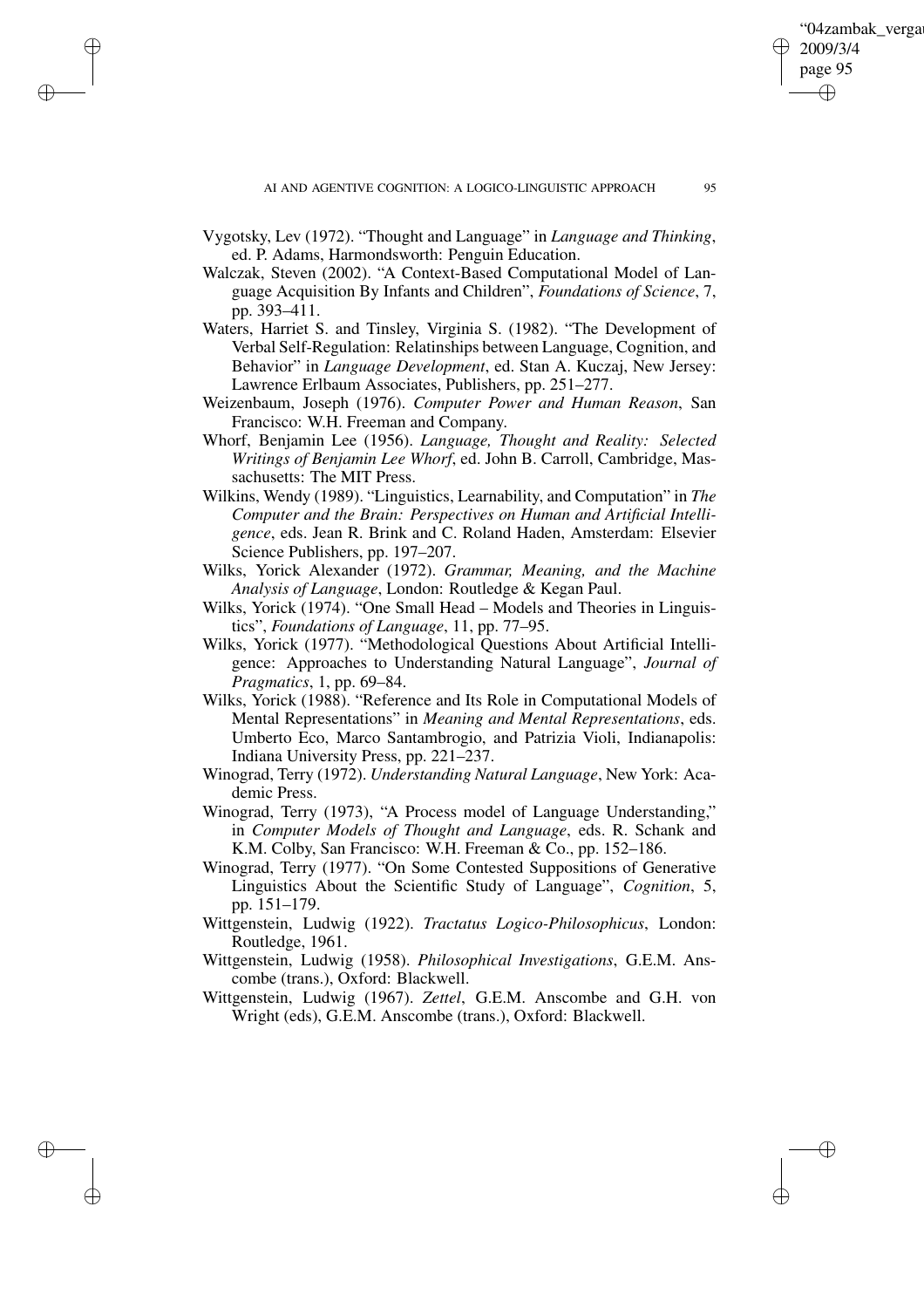✐

Vygotsky, Lev (1972). "Thought and Language" in *Language and Thinking*, ed. P. Adams, Harmondsworth: Penguin Education.

✐

✐

✐

- Walczak, Steven (2002). "A Context-Based Computational Model of Language Acquisition By Infants and Children", *Foundations of Science*, 7, pp. 393–411.
- Waters, Harriet S. and Tinsley, Virginia S. (1982). "The Development of Verbal Self-Regulation: Relatinships between Language, Cognition, and Behavior" in *Language Development*, ed. Stan A. Kuczaj, New Jersey: Lawrence Erlbaum Associates, Publishers, pp. 251–277.
- Weizenbaum, Joseph (1976). *Computer Power and Human Reason*, San Francisco: W.H. Freeman and Company.
- Whorf, Benjamin Lee (1956). *Language, Thought and Reality: Selected Writings of Benjamin Lee Whorf*, ed. John B. Carroll, Cambridge, Massachusetts: The MIT Press.
- Wilkins, Wendy (1989). "Linguistics, Learnability, and Computation" in *The Computer and the Brain: Perspectives on Human and Artificial Intelligence*, eds. Jean R. Brink and C. Roland Haden, Amsterdam: Elsevier Science Publishers, pp. 197–207.
- Wilks, Yorick Alexander (1972). *Grammar, Meaning, and the Machine Analysis of Language*, London: Routledge & Kegan Paul.
- Wilks, Yorick (1974). "One Small Head Models and Theories in Linguistics", *Foundations of Language*, 11, pp. 77–95.
- Wilks, Yorick (1977). "Methodological Questions About Artificial Intelligence: Approaches to Understanding Natural Language", *Journal of Pragmatics*, 1, pp. 69–84.
- Wilks, Yorick (1988). "Reference and Its Role in Computational Models of Mental Representations" in *Meaning and Mental Representations*, eds. Umberto Eco, Marco Santambrogio, and Patrizia Violi, Indianapolis: Indiana University Press, pp. 221–237.
- Winograd, Terry (1972). *Understanding Natural Language*, New York: Academic Press.
- Winograd, Terry (1973), "A Process model of Language Understanding," in *Computer Models of Thought and Language*, eds. R. Schank and K.M. Colby, San Francisco: W.H. Freeman & Co., pp. 152–186.
- Winograd, Terry (1977). "On Some Contested Suppositions of Generative Linguistics About the Scientific Study of Language", *Cognition*, 5, pp. 151–179.
- Wittgenstein, Ludwig (1922). *Tractatus Logico-Philosophicus*, London: Routledge, 1961.
- Wittgenstein, Ludwig (1958). *Philosophical Investigations*, G.E.M. Anscombe (trans.), Oxford: Blackwell.
- Wittgenstein, Ludwig (1967). *Zettel*, G.E.M. Anscombe and G.H. von Wright (eds), G.E.M. Anscombe (trans.), Oxford: Blackwell.